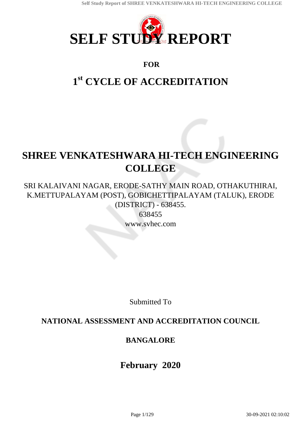

# **FOR**

# **1 st CYCLE OF ACCREDITATION**

# **SHREE VENKATESHWARA HI-TECH ENGINEERING COLLEGE**

# SRI KALAIVANI NAGAR, ERODE-SATHY MAIN ROAD, OTHAKUTHIRAI, K.METTUPALAYAM (POST), GOBICHETTIPALAYAM (TALUK), ERODE (DISTRICT) - 638455.

638455 www.svhec.com

Submitted To

# **NATIONAL ASSESSMENT AND ACCREDITATION COUNCIL**

# **BANGALORE**

# **February 2020**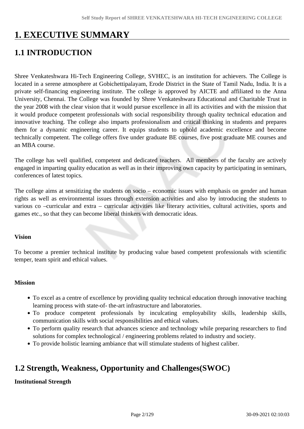# **1. EXECUTIVE SUMMARY**

# **1.1 INTRODUCTION**

Shree Venkateshwara Hi-Tech Engineering College, SVHEC, is an institution for achievers. The College is located in a serene atmosphere at Gobichettipalayam, Erode District in the State of Tamil Nadu, India. It is a private self-financing engineering institute. The college is approved by AICTE and affiliated to the Anna University, Chennai. The College was founded by Shree Venkateshwara Educational and Charitable Trust in the year 2008 with the clear vision that it would pursue excellence in all its activities and with the mission that it would produce competent professionals with social responsibility through quality technical education and innovative teaching. The college also imparts professionalism and critical thinking in students and prepares them for a dynamic engineering career. It equips students to uphold academic excellence and become technically competent. The college offers five under graduate BE courses, five post graduate ME courses and an MBA course.

The college has well qualified, competent and dedicated teachers. All members of the faculty are actively engaged in imparting quality education as well as in their improving own capacity by participating in seminars, conferences of latest topics.

The college aims at sensitizing the students on socio – economic issues with emphasis on gender and human rights as well as environmental issues through extension activities and also by introducing the students to various co –curricular and extra – curricular activities like literary activities, cultural activities, sports and games etc., so that they can become liberal thinkers with democratic ideas.

### **Vision**

To become a premier technical institute by producing value based competent professionals with scientific temper, team spirit and ethical values.

### **Mission**

- To excel as a centre of excellence by providing quality technical education through innovative teaching learning process with state-of- the-art infrastructure and laboratories.
- To produce competent professionals by inculcating employability skills, leadership skills, communication skills with social responsibilities and ethical values.
- To perform quality research that advances science and technology while preparing researchers to find solutions for complex technological / engineering problems related to industry and society.
- To provide holistic learning ambiance that will stimulate students of highest caliber.

# **1.2 Strength, Weakness, Opportunity and Challenges(SWOC)**

**Institutional Strength**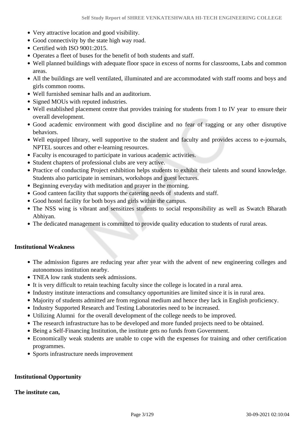- Very attractive location and good visibility.
- Good connectivity by the state high way road.
- Certified with ISO 9001:2015.
- Operates a fleet of buses for the benefit of both students and staff.
- Well planned buildings with adequate floor space in excess of norms for classrooms, Labs and common areas.
- All the buildings are well ventilated, illuminated and are accommodated with staff rooms and boys and girls common rooms.
- Well furnished seminar halls and an auditorium.
- Signed MOUs with reputed industries.
- Well established placement centre that provides training for students from I to IV year to ensure their overall development.
- Good academic environment with good discipline and no fear of ragging or any other disruptive behaviors.
- Well equipped library, well supportive to the student and faculty and provides access to e-journals, NPTEL sources and other e-learning resources.
- Faculty is encouraged to participate in various academic activities.
- Student chapters of professional clubs are very active.
- Practice of conducting Project exhibition helps students to exhibit their talents and sound knowledge. Students also participate in seminars, workshops and guest lectures.
- Beginning everyday with meditation and prayer in the morning.
- Good canteen facility that supports the catering needs of students and staff.
- Good hostel facility for both boys and girls within the campus.
- The NSS wing is vibrant and sensitizes students to social responsibility as well as Swatch Bharath Abhiyan.
- The dedicated management is committed to provide quality education to students of rural areas.

### **Institutional Weakness**

- The admission figures are reducing year after year with the advent of new engineering colleges and autonomous institution nearby.
- TNEA low rank students seek admissions.
- It is very difficult to retain teaching faculty since the college is located in a rural area.
- Industry institute interactions and consultancy opportunities are limited since it is in rural area.
- Majority of students admitted are from regional medium and hence they lack in English proficiency.
- Industry Supported Research and Testing Laboratories need to be increased.
- Utilizing Alumni for the overall development of the college needs to be improved.
- The research infrastructure has to be developed and more funded projects need to be obtained.
- Being a Self-Financing Institution, the institute gets no funds from Government.
- Economically weak students are unable to cope with the expenses for training and other certification programmes.
- Sports infrastructure needs improvement

### **Institutional Opportunity**

### **The institute can,**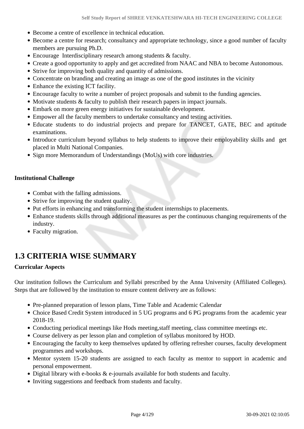- Become a centre of excellence in technical education.
- Become a centre for research; consultancy and appropriate technology, since a good number of faculty members are pursuing Ph.D.
- Encourage Interdisciplinary research among students & faculty.
- Create a good opportunity to apply and get accredited from NAAC and NBA to become Autonomous.
- Strive for improving both quality and quantity of admissions.
- Concentrate on branding and creating an image as one of the good institutes in the vicinity
- Enhance the existing ICT facility.
- Encourage faculty to write a number of project proposals and submit to the funding agencies.
- Motivate students & faculty to publish their research papers in impact journals.
- Embark on more green energy initiatives for sustainable development.
- Empower all the faculty members to undertake consultancy and testing activities.
- Educate students to do industrial projects and prepare for TANCET, GATE, BEC and aptitude examinations.
- Introduce curriculum beyond syllabus to help students to improve their employability skills and get placed in Multi National Companies.
- Sign more Memorandum of Understandings (MoUs) with core industries.

### **Institutional Challenge**

- Combat with the falling admissions.
- Strive for improving the student quality.
- Put efforts in enhancing and transforming the student internships to placements.
- Enhance students skills through additional measures as per the continuous changing requirements of the industry.
- Faculty migration.

# **1.3 CRITERIA WISE SUMMARY**

### **Curricular Aspects**

Our institution follows the Curriculum and Syllabi prescribed by the Anna University (Affiliated Colleges). Steps that are followed by the institution to ensure content delivery are as follows:

- Pre-planned preparation of lesson plans, Time Table and Academic Calendar
- Choice Based Credit System introduced in 5 UG programs and 6 PG programs from the academic year 2018-19.
- Conducting periodical meetings like Hods meeting, staff meeting, class committee meetings etc.
- Course delivery as per lesson plan and completion of syllabus monitored by HOD.
- Encouraging the faculty to keep themselves updated by offering refresher courses, faculty development programmes and workshops.
- Mentor system 15-20 students are assigned to each faculty as mentor to support in academic and personal empowerment.
- Digital library with e-books & e-journals available for both students and faculty.
- Inviting suggestions and feedback from students and faculty.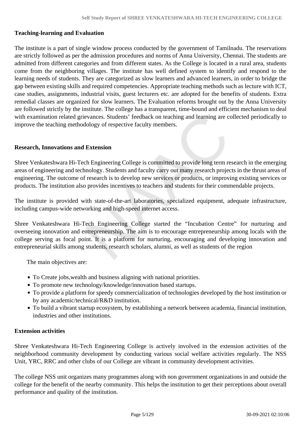### **Teaching-learning and Evaluation**

The institute is a part of single window process conducted by the government of Tamilnadu. The reservations are strictly followed as per the admission procedures and norms of Anna University, Chennai. The students are admitted from different categories and from different states. As the College is located in a rural area, students come from the neighboring villages. The institute has well defined system to identify and respond to the learning needs of students. They are categorized as slow learners and advanced learners, in order to bridge the gap between existing skills and required competencies. Appropriate teaching methods such as lecture with ICT, case studies, assignments, industrial visits, guest lecturers etc. are adopted for the benefits of students. Extra remedial classes are organized for slow learners. The Evaluation reforms brought out by the Anna University are followed strictly by the institute. The college has a transparent, time-bound and efficient mechanism to deal with examination related grievances. Students' feedback on teaching and learning are collected periodically to improve the teaching methodology of respective faculty members.

#### **Research, Innovations and Extension**

Shree Venkateshwara Hi-Tech Engineering College is committed to provide long term research in the emerging areas of engineering and technology. Students and faculty carry out many research projects in the thrust areas of engineering. The outcome of research is to develop new services or products, or improving existing services or products. The institution also provides incentives to teachers and students for their commendable projects.

The institute is provided with state-of-the-art laboratories, specialized equipment, adequate infrastructure, including campus-wide networking and high-speed internet access.

Shree Venkateshwara Hi-Tech Engineering College started the "Incubation Centre" for nurturing and overseeing innovation and entrepreneurship. The aim is to encourage entrepreneurship among locals with the college serving as focal point. It is a platform for nurturing, encouraging and developing innovation and entrepreneurial skills among students, research scholars, alumni, as well as students of the region

The main objectives are:

- To Create jobs,wealth and business aligning with national priorities.
- To promote new technology/knowledge/innovation based startups.
- To provide a platform for speedy commercialization of technologies developed by the host institution or by any academic/technical/R&D institution.
- To build a vibrant startup ecosystem, by establishing a network between academia, financial institution, industries and other institutions.

### **Extension activities**

Shree Venkateshwara Hi-Tech Engineering College is actively involved in the extension activities of the neighborhood community development by conducting various social welfare activities regularly. The NSS Unit, YRC, RRC and other clubs of our College are vibrant in community development activities.

The college NSS unit organizes many programmes along with non government organizations in and outside the college for the benefit of the nearby community. This helps the institution to get their perceptions about overall performance and quality of the institution.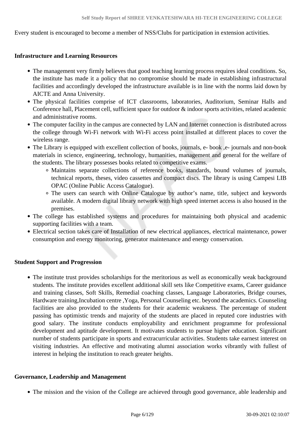Every student is encouraged to become a member of NSS/Clubs for participation in extension activities.

#### **Infrastructure and Learning Resources**

- The management very firmly believes that good teaching learning process requires ideal conditions. So, the institute has made it a policy that no compromise should be made in establishing infrastructural facilities and accordingly developed the infrastructure available is in line with the norms laid down by AICTE and Anna University.
- The physical facilities comprise of ICT classrooms, laboratories, Auditorium, Seminar Halls and Conference hall, Placement cell, sufficient space for outdoor & indoor sports activities, related academic and administrative rooms.
- The computer facility in the campus are connected by LAN and Internet connection is distributed across the college through Wi-Fi network with Wi-Fi access point installed at different places to cover the wireless range.
- The Library is equipped with excellent collection of books, journals, e- book ,e- journals and non-book materials in science, engineering, technology, humanities, management and general for the welfare of the students. The library possesses books related to competitive exams.
	- Maintains separate collections of reference books, standards, bound volumes of journals, technical reports, theses, video cassettes and compact discs. The library is using Campesi LIB OPAC (Online Public Access Catalogue).
	- The users can search with Online Catalogue by author's name, title, subject and keywords available. A modern digital library network with high speed internet access is also housed in the premises.
- The college has established systems and procedures for maintaining both physical and academic supporting facilities with a team.
- Electrical section takes care of Installation of new electrical appliances, electrical maintenance, power consumption and energy monitoring, generator maintenance and energy conservation.

### **Student Support and Progression**

• The institute trust provides scholarships for the meritorious as well as economically weak background students. The institute provides excellent additional skill sets like Competitive exams, Career guidance and training classes, Soft Skills, Remedial coaching classes, Language Laboratories, Bridge courses, Hardware training,Incubation centre ,Yoga, Personal Counseling etc. beyond the academics. Counseling facilities are also provided to the students for their academic weakness. The percentage of student passing has optimistic trends and majority of the students are placed in reputed core industries with good salary. The institute conducts employability and enrichment programme for professional development and aptitude development. It motivates students to pursue higher education. Significant number of students participate in sports and extracurricular activities. Students take earnest interest on visiting industries. An effective and motivating alumni association works vibrantly with fullest of interest in helping the institution to reach greater heights.

### **Governance, Leadership and Management**

The mission and the vision of the College are achieved through good governance, able leadership and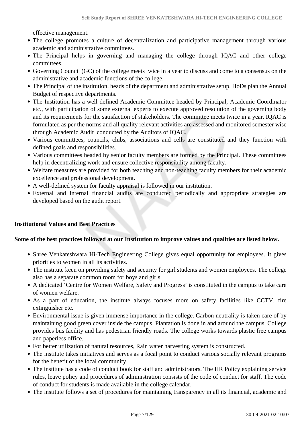effective management.

- The college promotes a culture of decentralization and participative management through various academic and administrative committees.
- The Principal helps in governing and managing the college through IQAC and other college committees.
- Governing Council (GC) of the college meets twice in a year to discuss and come to a consensus on the administrative and academic functions of the college.
- The Principal of the institution, heads of the department and administrative setup. HoDs plan the Annual Budget of respective departments.
- The Institution has a well defined Academic Committee headed by Principal, Academic Coordinator etc., with participation of some external experts to execute approved resolution of the governing body and its requirements for the satisfaction of stakeholders. The committee meets twice in a year. IQAC is formulated as per the norms and all quality relevant activities are assessed and monitored semester wise through Academic Audit conducted by the Auditors of IQAC.
- Various committees, councils, clubs, associations and cells are constituted and they function with defined goals and responsibilities.
- Various committees headed by senior faculty members are formed by the Principal. These committees help in decentralizing work and ensure collective responsibility among faculty.
- Welfare measures are provided for both teaching and non-teaching faculty members for their academic excellence and professional development.
- A well-defined system for faculty appraisal is followed in our institution.
- External and internal financial audits are conducted periodically and appropriate strategies are developed based on the audit report.

# **Institutional Values and Best Practices**

# **Some of the best practices followed at our Institution to improve values and qualities are listed below.**

- Shree Venkateshwara Hi-Tech Engineering College gives equal opportunity for employees. It gives priorities to women in all its activities.
- The institute keen on providing safety and security for girl students and women employees. The college also has a separate common room for boys and girls.
- A dedicated 'Centre for Women Welfare, Safety and Progress' is constituted in the campus to take care of women welfare.
- As a part of education, the institute always focuses more on safety facilities like CCTV, fire extinguisher etc.
- Environmental issue is given immense importance in the college. Carbon neutrality is taken care of by maintaining good green cover inside the campus. Plantation is done in and around the campus. College provides bus facility and has pedestrian friendly roads. The college works towards plastic free campus and paperless office.
- For better utilization of natural resources, Rain water harvesting system is constructed.
- The institute takes initiatives and serves as a focal point to conduct various socially relevant programs for the benefit of the local community.
- The institute has a code of conduct book for staff and administrators. The HR Policy explaining service rules, leave policy and procedures of administration consists of the code of conduct for staff. The code of conduct for students is made available in the college calendar.
- The institute follows a set of procedures for maintaining transparency in all its financial, academic and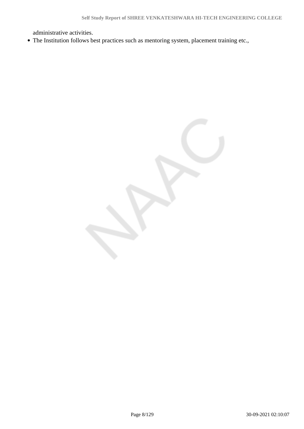administrative activities.

The Institution follows best practices such as mentoring system, placement training etc.,

Page 8/129 30-09-2021 02:10:07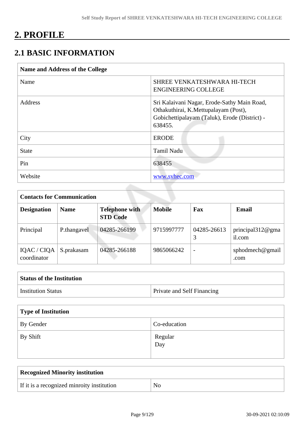# **2. PROFILE**

# **2.1 BASIC INFORMATION**

| <b>Name and Address of the College</b> |                                                                                                                                                 |
|----------------------------------------|-------------------------------------------------------------------------------------------------------------------------------------------------|
| Name                                   | SHREE VENKATESHWARA HI-TECH<br><b>ENGINEERING COLLEGE</b>                                                                                       |
| Address                                | Sri Kalaivani Nagar, Erode-Sathy Main Road,<br>Othakuthirai, K.Mettupalayam (Post),<br>Gobichettipalayam (Taluk), Erode (District) -<br>638455. |
| City                                   | <b>ERODE</b>                                                                                                                                    |
| <b>State</b>                           | Tamil Nadu                                                                                                                                      |
| Pin                                    | 638455                                                                                                                                          |
| Website                                | www.syhec.com                                                                                                                                   |
|                                        |                                                                                                                                                 |

| <b>Contacts for Communication</b> |             |                                          |               |             |                                |  |  |  |
|-----------------------------------|-------------|------------------------------------------|---------------|-------------|--------------------------------|--|--|--|
| <b>Designation</b>                | <b>Name</b> | <b>Telephone with</b><br><b>STD Code</b> | <b>Mobile</b> | Fax         | Email                          |  |  |  |
| Principal                         | P.thangavel | 04285-266199                             | 9715997777    | 04285-26613 | principal $312@$ gma<br>il.com |  |  |  |
| IQAC / CIQA<br>coordinator        | S.prakasam  | 04285-266188                             | 9865066242    |             | sphodmech@gmail<br>.com        |  |  |  |

| <b>Status of the Institution</b> |                                   |
|----------------------------------|-----------------------------------|
| <b>Institution Status</b>        | <b>Private and Self Financing</b> |

| Type of Institution |                |
|---------------------|----------------|
| By Gender           | Co-education   |
| By Shift            | Regular<br>Day |

| Recognized Minority institution            |    |
|--------------------------------------------|----|
| If it is a recognized minroity institution | No |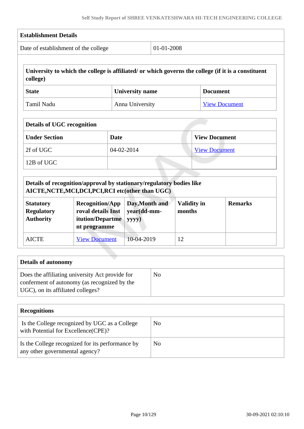|                                                           | <b>Establishment Details</b>                                                     |                 |                                                                                                                                                                       |        |                      |                                                                                                     |  |
|-----------------------------------------------------------|----------------------------------------------------------------------------------|-----------------|-----------------------------------------------------------------------------------------------------------------------------------------------------------------------|--------|----------------------|-----------------------------------------------------------------------------------------------------|--|
| Date of establishment of the college                      |                                                                                  |                 | 01-01-2008                                                                                                                                                            |        |                      |                                                                                                     |  |
| college)                                                  |                                                                                  |                 |                                                                                                                                                                       |        |                      | University to which the college is affiliated/ or which governs the college (if it is a constituent |  |
| <b>State</b>                                              |                                                                                  |                 | <b>University name</b>                                                                                                                                                |        | <b>Document</b>      |                                                                                                     |  |
| <b>Tamil Nadu</b>                                         |                                                                                  | Anna University |                                                                                                                                                                       |        | <b>View Document</b> |                                                                                                     |  |
| <b>Details of UGC recognition</b>                         |                                                                                  |                 |                                                                                                                                                                       |        |                      |                                                                                                     |  |
| <b>Under Section</b><br><b>Date</b>                       |                                                                                  |                 |                                                                                                                                                                       |        |                      | <b>View Document</b>                                                                                |  |
| 2f of UGC                                                 |                                                                                  | 04-02-2014      |                                                                                                                                                                       |        | <b>View Document</b> |                                                                                                     |  |
| 12B of UGC                                                |                                                                                  |                 |                                                                                                                                                                       |        |                      |                                                                                                     |  |
|                                                           |                                                                                  |                 |                                                                                                                                                                       |        |                      |                                                                                                     |  |
| <b>Statutory</b><br><b>Regulatory</b><br><b>Authority</b> | <b>Recognition/App</b><br>roval details Inst<br>itution/Departme<br>nt programme |                 | Details of recognition/approval by stationary/regulatory bodies like<br>AICTE, NCTE, MCI, DCI, PCI, RCI etc(other than UGC)<br>Day, Month and<br>year(dd-mm-<br>yyyy) | months | <b>Validity in</b>   | <b>Remarks</b>                                                                                      |  |
| <b>AICTE</b>                                              | <b>View Document</b>                                                             |                 | 10-04-2019                                                                                                                                                            | 12     |                      |                                                                                                     |  |

| <b>Recognitions</b>                                                                  |    |
|--------------------------------------------------------------------------------------|----|
| Is the College recognized by UGC as a College<br>with Potential for Excellence(CPE)? | No |
| Is the College recognized for its performance by<br>any other governmental agency?   | No |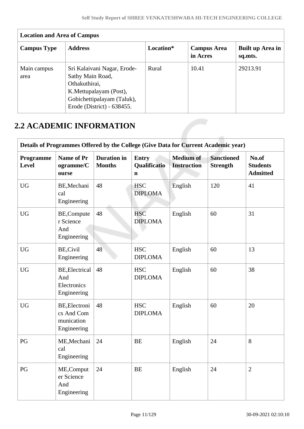| <b>Campus Type</b>  | <b>Address</b>                                                                                                                                         | Location* | <b>Campus Area</b><br>in Acres | <b>Built up Area in</b><br>sq.mts. |
|---------------------|--------------------------------------------------------------------------------------------------------------------------------------------------------|-----------|--------------------------------|------------------------------------|
| Main campus<br>area | Sri Kalaivani Nagar, Erode-<br>Sathy Main Road,<br>Othakuthirai,<br>K.Mettupalayam (Post),<br>Gobichettipalayam (Taluk),<br>Erode (District) - 638455. | Rural     | 10.41                          | 29213.91                           |

# **2.2 ACADEMIC INFORMATION**

| Details of Programmes Offered by the College (Give Data for Current Academic year) |                                                            |                                     |                                             |                                        |                                      |                                             |  |
|------------------------------------------------------------------------------------|------------------------------------------------------------|-------------------------------------|---------------------------------------------|----------------------------------------|--------------------------------------|---------------------------------------------|--|
| Programme<br><b>Level</b>                                                          | <b>Name of Pr</b><br>ogramme/C<br>ourse                    | <b>Duration</b> in<br><b>Months</b> | <b>Entry</b><br>Qualificatio<br>$\mathbf n$ | <b>Medium of</b><br><b>Instruction</b> | <b>Sanctioned</b><br><b>Strength</b> | No.of<br><b>Students</b><br><b>Admitted</b> |  |
| <b>UG</b>                                                                          | BE, Mechani<br>cal<br>Engineering                          | 48                                  | <b>HSC</b><br><b>DIPLOMA</b>                | English                                | 120                                  | 41                                          |  |
| <b>UG</b>                                                                          | BE,Compute<br>r Science<br>And<br>Engineering              | 48                                  | <b>HSC</b><br><b>DIPLOMA</b>                | English                                | 60                                   | 31                                          |  |
| <b>UG</b>                                                                          | <b>BE, Civil</b><br>Engineering                            | 48                                  | <b>HSC</b><br><b>DIPLOMA</b>                | English                                | 60                                   | 13                                          |  |
| <b>UG</b>                                                                          | <b>BE, Electrical</b><br>And<br>Electronics<br>Engineering | 48                                  | <b>HSC</b><br><b>DIPLOMA</b>                | English                                | 60                                   | 38                                          |  |
| <b>UG</b>                                                                          | BE, Electroni<br>cs And Com<br>munication<br>Engineering   | 48                                  | <b>HSC</b><br><b>DIPLOMA</b>                | English                                | 60                                   | 20                                          |  |
| PG                                                                                 | ME, Mechani<br>cal<br>Engineering                          | 24                                  | <b>BE</b>                                   | English                                | 24                                   | 8                                           |  |
| PG                                                                                 | ME, Comput<br>er Science<br>And<br>Engineering             | 24                                  | <b>BE</b>                                   | English                                | 24                                   | $\overline{2}$                              |  |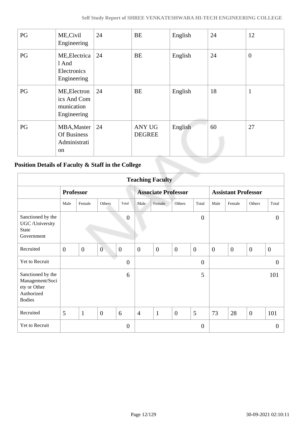| PG | ME, Civil<br>Engineering                                    | 24 | <b>BE</b>                      | English | 24 | 12             |
|----|-------------------------------------------------------------|----|--------------------------------|---------|----|----------------|
| PG | ME, Electrica<br>1 And<br>Electronics<br>Engineering        | 24 | <b>BE</b>                      | English | 24 | $\overline{0}$ |
| PG | ME, Electron<br>ics And Com<br>munication<br>Engineering    | 24 | BE                             | English | 18 | $\bf{I}$       |
| PG | MBA, Master<br>Of Business<br>Administrati<br><sub>on</sub> | 24 | <b>ANY UG</b><br><b>DEGREE</b> | English | 60 | 27             |

# **Position Details of Faculty & Staff in the College**

| <b>Teaching Faculty</b>                                                             |                  |                |                |                            |                |              |                            |                  |                  |                  |                |                  |
|-------------------------------------------------------------------------------------|------------------|----------------|----------------|----------------------------|----------------|--------------|----------------------------|------------------|------------------|------------------|----------------|------------------|
|                                                                                     | <b>Professor</b> |                |                | <b>Associate Professor</b> |                |              | <b>Assistant Professor</b> |                  |                  |                  |                |                  |
|                                                                                     | Male             | Female         | Others         | Total                      | Male           | Female       | Others                     | Total            | Male             | Female           | Others         | Total            |
| Sanctioned by the<br>UGC /University<br><b>State</b><br>Government                  |                  |                |                | $\theta$                   |                |              |                            | $\overline{0}$   |                  |                  |                | $\Omega$         |
| Recruited                                                                           | $\overline{0}$   | $\overline{0}$ | $\overline{0}$ | $\boldsymbol{0}$           | $\overline{0}$ | $\mathbf{0}$ | $\overline{0}$             | $\boldsymbol{0}$ | $\boldsymbol{0}$ | $\boldsymbol{0}$ | $\overline{0}$ | $\boldsymbol{0}$ |
| Yet to Recruit                                                                      |                  |                |                | $\overline{0}$             |                |              |                            | $\boldsymbol{0}$ |                  |                  |                | $\overline{0}$   |
| Sanctioned by the<br>Management/Soci<br>ety or Other<br>Authorized<br><b>Bodies</b> |                  |                |                | 6                          |                |              |                            | 5                |                  |                  |                | 101              |
| Recruited                                                                           | 5                | $\mathbf{1}$   | $\overline{0}$ | 6                          | $\overline{4}$ | $\mathbf{1}$ | $\overline{0}$             | 5                | 73               | 28               | $\overline{0}$ | 101              |
| Yet to Recruit                                                                      |                  |                |                | $\boldsymbol{0}$           |                |              |                            | $\theta$         |                  |                  |                | $\overline{0}$   |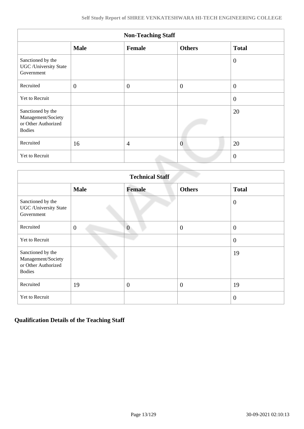| <b>Non-Teaching Staff</b>                                                       |                |                |                |                |  |  |
|---------------------------------------------------------------------------------|----------------|----------------|----------------|----------------|--|--|
|                                                                                 | <b>Male</b>    | Female         | <b>Others</b>  | <b>Total</b>   |  |  |
| Sanctioned by the<br><b>UGC</b> / University State<br>Government                |                |                |                | $\overline{0}$ |  |  |
| Recruited                                                                       | $\overline{0}$ | $\overline{0}$ | $\overline{0}$ | $\overline{0}$ |  |  |
| Yet to Recruit                                                                  |                |                |                | $\overline{0}$ |  |  |
| Sanctioned by the<br>Management/Society<br>or Other Authorized<br><b>Bodies</b> |                |                |                | 20             |  |  |
| Recruited                                                                       | 16             | $\overline{4}$ | $\overline{0}$ | 20             |  |  |
| Yet to Recruit                                                                  |                |                |                | $\overline{0}$ |  |  |

|                                                                                 | <b>Technical Staff</b> |                |                |                |  |  |  |  |  |
|---------------------------------------------------------------------------------|------------------------|----------------|----------------|----------------|--|--|--|--|--|
|                                                                                 | <b>Male</b>            | Female         | <b>Others</b>  | <b>Total</b>   |  |  |  |  |  |
| Sanctioned by the<br><b>UGC</b> / University State<br>Government                |                        |                |                | $\theta$       |  |  |  |  |  |
| Recruited                                                                       | $\overline{0}$         | $\overline{0}$ | $\overline{0}$ | $\theta$       |  |  |  |  |  |
| Yet to Recruit                                                                  |                        |                |                | $\overline{0}$ |  |  |  |  |  |
| Sanctioned by the<br>Management/Society<br>or Other Authorized<br><b>Bodies</b> |                        |                |                | 19             |  |  |  |  |  |
| Recruited                                                                       | 19                     | $\overline{0}$ | $\theta$       | 19             |  |  |  |  |  |
| Yet to Recruit                                                                  |                        |                |                | $\overline{0}$ |  |  |  |  |  |

# **Qualification Details of the Teaching Staff**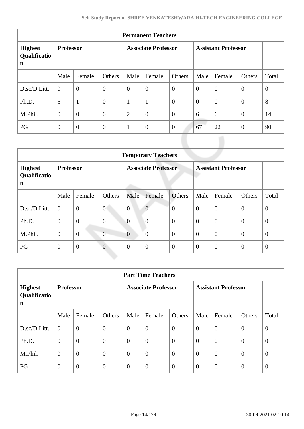| <b>Permanent Teachers</b>           |                  |                |                  |                |                            |                |                            |                |                |                |
|-------------------------------------|------------------|----------------|------------------|----------------|----------------------------|----------------|----------------------------|----------------|----------------|----------------|
| <b>Highest</b><br>Qualificatio<br>n | <b>Professor</b> |                |                  |                | <b>Associate Professor</b> |                | <b>Assistant Professor</b> |                |                |                |
|                                     | Male             | Female         | Others           | Male           | Female                     | Others         | Male                       | Female         | Others         | Total          |
| D.sc/D.Litt.                        | $\theta$         | $\overline{0}$ | $\boldsymbol{0}$ | $\theta$       | $\overline{0}$             | $\overline{0}$ | $\overline{0}$             | $\overline{0}$ | $\overline{0}$ | $\overline{0}$ |
| Ph.D.                               | 5                | $\mathbf{1}$   | $\overline{0}$   | $\mathbf{1}$   | $\mathbf{1}$               | $\overline{0}$ | $\overline{0}$             | $\overline{0}$ | $\theta$       | 8              |
| M.Phil.                             | $\overline{0}$   | $\overline{0}$ | $\overline{0}$   | $\overline{2}$ | $\overline{0}$             | $\overline{0}$ | 6                          | 6              | $\overline{0}$ | 14             |
| PG                                  | $\theta$         | $\theta$       | $\theta$         | $\mathbf{1}$   | $\boldsymbol{0}$           | $\theta$       | 67                         | 22             | $\overline{0}$ | 90             |

|                                               | <b>Temporary Teachers</b> |                |                  |                |                            |                |                |                            |                  |                |
|-----------------------------------------------|---------------------------|----------------|------------------|----------------|----------------------------|----------------|----------------|----------------------------|------------------|----------------|
| <b>Highest</b><br>Qualificatio<br>$\mathbf n$ | <b>Professor</b>          |                |                  |                | <b>Associate Professor</b> |                |                | <b>Assistant Professor</b> |                  |                |
|                                               | Male                      | Female         | Others           | Male           | Female                     | Others         | Male           | Female                     | Others           | Total          |
| D.sc/D.Litt.                                  | $\overline{0}$            | $\overline{0}$ | $\overline{0}$   | $\overline{0}$ | $\overline{0}$             | $\overline{0}$ | $\overline{0}$ | $\overline{0}$             | $\overline{0}$   | $\theta$       |
| Ph.D.                                         | $\mathbf{0}$              | $\overline{0}$ | $\boldsymbol{0}$ | $\overline{0}$ | $\overline{0}$             | $\overline{0}$ | $\overline{0}$ | $\overline{0}$             | $\overline{0}$   | $\theta$       |
| M.Phil.                                       | $\overline{0}$            | $\overline{0}$ | $\overline{0}$   | $\overline{0}$ | $\overline{0}$             | $\overline{0}$ | $\overline{0}$ | $\overline{0}$             | $\overline{0}$   | $\overline{0}$ |
| PG                                            | $\mathbf{0}$              | $\mathbf{0}$   | $\overline{0}$   | $\overline{0}$ | $\overline{0}$             | $\mathbf{0}$   | $\overline{0}$ | $\overline{0}$             | $\boldsymbol{0}$ | $\theta$       |

|                                     | <b>Part Time Teachers</b> |                  |                |                            |                  |                            |                |                |                |                |
|-------------------------------------|---------------------------|------------------|----------------|----------------------------|------------------|----------------------------|----------------|----------------|----------------|----------------|
| <b>Highest</b><br>Qualificatio<br>n | <b>Professor</b>          |                  |                | <b>Associate Professor</b> |                  | <b>Assistant Professor</b> |                |                |                |                |
|                                     | Male                      | Female           | Others         | Male                       | Female           | Others                     | Male           | Female         | Others         | Total          |
| D.sc/D.Litt.                        | $\overline{0}$            | $\overline{0}$   | $\overline{0}$ | $\overline{0}$             | $\overline{0}$   | $\overline{0}$             | $\overline{0}$ | $\overline{0}$ | $\theta$       | $\overline{0}$ |
| Ph.D.                               | $\overline{0}$            | $\overline{0}$   | $\overline{0}$ | $\overline{0}$             | $\overline{0}$   | $\theta$                   | $\overline{0}$ | $\theta$       | $\theta$       | $\overline{0}$ |
| M.Phil.                             | $\theta$                  | $\boldsymbol{0}$ | $\overline{0}$ | $\overline{0}$             | $\boldsymbol{0}$ | $\overline{0}$             | $\overline{0}$ | $\overline{0}$ | $\overline{0}$ | $\overline{0}$ |
| PG                                  | $\overline{0}$            | $\overline{0}$   | $\overline{0}$ | $\overline{0}$             | $\overline{0}$   | $\theta$                   | $\overline{0}$ | $\theta$       | $\theta$       | $\overline{0}$ |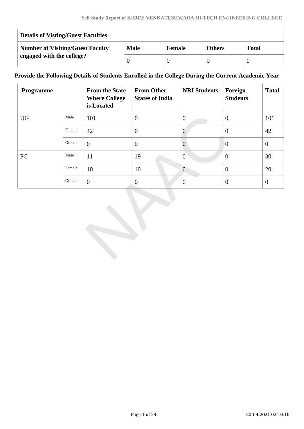| <b>Details of Visting/Guest Faculties</b> |             |               |               |              |  |  |  |
|-------------------------------------------|-------------|---------------|---------------|--------------|--|--|--|
| <b>Number of Visiting/Guest Faculty</b>   | <b>Male</b> | <b>Female</b> | <b>Others</b> | <b>Total</b> |  |  |  |
| engaged with the college?                 |             |               |               |              |  |  |  |

# **Provide the Following Details of Students Enrolled in the College During the Current Academic Year**

| Programme |        | <b>From the State</b><br><b>Where College</b><br>is Located | <b>From Other</b><br><b>States of India</b> | <b>NRI Students</b> | Foreign<br><b>Students</b> | <b>Total</b>   |
|-----------|--------|-------------------------------------------------------------|---------------------------------------------|---------------------|----------------------------|----------------|
| <b>UG</b> | Male   | 101                                                         | $\overline{0}$                              | $\Omega$            | $\theta$                   | 101            |
|           | Female | 42                                                          | $\overline{0}$                              | $\theta$            | $\theta$                   | 42             |
|           | Others | $\overline{0}$                                              | $\overline{0}$                              | $\theta$            | $\overline{0}$             | $\overline{0}$ |
| PG        | Male   | 11                                                          | 19                                          | $\overline{0}$      | $\overline{0}$             | 30             |
|           | Female | 10                                                          | 10                                          | $\theta$            | $\theta$                   | 20             |
|           | Others | $\theta$                                                    | $\overline{0}$                              | $\Omega$            | $\theta$                   | $\overline{0}$ |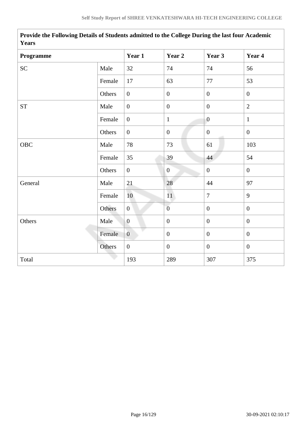| Programme  |        | Year 1           | Year 2           | Year 3           | Year 4           |
|------------|--------|------------------|------------------|------------------|------------------|
| ${\rm SC}$ | Male   | 32               | 74               | 74               | 56               |
|            | Female | 17               | 63               | $77\,$           | 53               |
|            | Others | $\overline{0}$   | $\boldsymbol{0}$ | $\boldsymbol{0}$ | $\mathbf{0}$     |
| <b>ST</b>  | Male   | $\boldsymbol{0}$ | $\boldsymbol{0}$ | $\mathbf{0}$     | $\overline{2}$   |
|            | Female | $\overline{0}$   | $\mathbf{1}$     | $\overline{0}$   | $\mathbf{1}$     |
|            | Others | $\overline{0}$   | $\boldsymbol{0}$ | $\overline{0}$   | $\mathbf{0}$     |
| OBC        | Male   | 78               | 73               | 61               | 103              |
|            | Female | 35               | 39               | 44               | 54               |
|            | Others | $\boldsymbol{0}$ | $\overline{0}$   | $\boldsymbol{0}$ | $\mathbf{0}$     |
| General    | Male   | 21               | 28               | 44               | 97               |
|            | Female | 10               | 11               | $\overline{7}$   | 9                |
|            | Others | $\boldsymbol{0}$ | $\overline{0}$   | $\boldsymbol{0}$ | $\boldsymbol{0}$ |
| Others     | Male   | $\overline{0}$   | $\mathbf{0}$     | $\overline{0}$   | $\overline{0}$   |
|            | Female | $\overline{0}$   | $\boldsymbol{0}$ | $\boldsymbol{0}$ | $\mathbf{0}$     |
|            | Others | $\overline{0}$   | $\boldsymbol{0}$ | $\mathbf{0}$     | $\boldsymbol{0}$ |
| Total      |        | 193              | 289              | 307              | 375              |

**Provide the Following Details of Students admitted to the College During the last four Academic Years**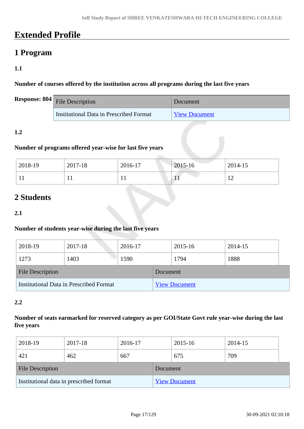# **Extended Profile**

# **1 Program**

# **1.1**

**Number of courses offered by the institution across all programs during the last five years**

| <b>Response:</b> $804$ File Description | Document             |
|-----------------------------------------|----------------------|
| Institutional Data in Prescribed Format | <b>View Document</b> |

# **1.2**

### **Number of programs offered year-wise for last five years**

| 2018-19      | 2017-18      | 2016-17 | 2015-16      | 2014-15         |
|--------------|--------------|---------|--------------|-----------------|
| $\mathbf{r}$ | $\mathbf{r}$ | 11      | $\mathbf{r}$ | -<br>. <u>.</u> |

# **2 Students**

# **2.1**

# **Number of students year-wise during the last five years**

| 2018-19                                 | 2017-18 | 2016-17 |                      | 2015-16 | 2014-15 |  |
|-----------------------------------------|---------|---------|----------------------|---------|---------|--|
| 1273                                    | 1403    | 1590    |                      | 1794    | 1888    |  |
| <b>File Description</b>                 |         |         | Document             |         |         |  |
| Institutional Data in Prescribed Format |         |         | <b>View Document</b> |         |         |  |

### **2.2**

# **Number of seats earmarked for reserved category as per GOI/State Govt rule year-wise during the last five years**

| 2018-19                                 | 2017-18 | 2016-17 |                      | 2015-16 | 2014-15 |  |
|-----------------------------------------|---------|---------|----------------------|---------|---------|--|
| 421                                     | 462     | 667     |                      | 675     | 709     |  |
| <b>File Description</b>                 |         |         | Document             |         |         |  |
| Institutional data in prescribed format |         |         | <b>View Document</b> |         |         |  |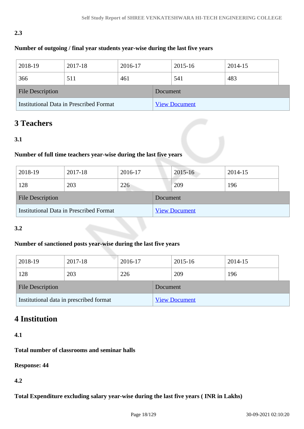# **2.3**

# **Number of outgoing / final year students year-wise during the last five years**

| 2018-19                                 | 2017-18 | 2016-17 |                      | 2015-16 |  | 2014-15 |  |
|-----------------------------------------|---------|---------|----------------------|---------|--|---------|--|
| 366                                     | 511     | 461     |                      | 541     |  | 483     |  |
| <b>File Description</b>                 |         |         | Document             |         |  |         |  |
| Institutional Data in Prescribed Format |         |         | <b>View Document</b> |         |  |         |  |

# **3 Teachers**

# **3.1**

# **Number of full time teachers year-wise during the last five years**

| 2018-19                                 | 2017-18 | 2016-17 |          | $2015 - 16$          | 2014-15 |
|-----------------------------------------|---------|---------|----------|----------------------|---------|
| 128                                     | 203     | 226     |          | 209                  | 196     |
| <b>File Description</b>                 |         |         | Document |                      |         |
| Institutional Data in Prescribed Format |         |         |          | <b>View Document</b> |         |

# **3.2**

# **Number of sanctioned posts year-wise during the last five years**

| 2018-19                                 | 2017-18 | 2016-17 |          | 2015-16              |     | 2014-15 |  |
|-----------------------------------------|---------|---------|----------|----------------------|-----|---------|--|
| 128                                     | 203     | 226     |          | 209                  | 196 |         |  |
| <b>File Description</b>                 |         |         | Document |                      |     |         |  |
| Institutional data in prescribed format |         |         |          | <b>View Document</b> |     |         |  |

# **4 Institution**

**4.1**

# **Total number of classrooms and seminar halls**

**Response: 44**

**4.2**

**Total Expenditure excluding salary year-wise during the last five years ( INR in Lakhs)**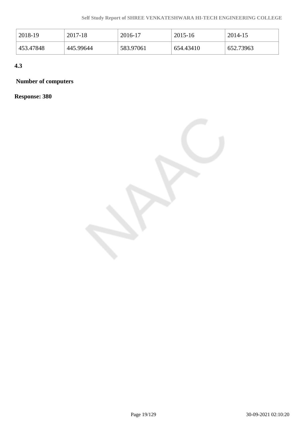| 2018-19   | 2017-18   | 2016-17   | 2015-16   | 2014-15   |
|-----------|-----------|-----------|-----------|-----------|
| 453.47848 | 445.99644 | 583.97061 | 654.43410 | 652.73963 |

**4.3**

# **Number of computers**

**Response: 380**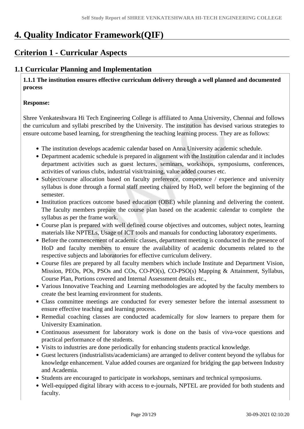# **4. Quality Indicator Framework(QIF)**

# **Criterion 1 - Curricular Aspects**

# **1.1 Curricular Planning and Implementation**

 **1.1.1 The institution ensures effective curriculum delivery through a well planned and documented process** 

# **Response:**

Shree Venkateshwara Hi Tech Engineering College is affiliated to Anna University, Chennai and follows the curriculum and syllabi prescribed by the University. The institution has devised various strategies to ensure outcome based learning, for strengthening the teaching learning process. They are as follows:

- The institution develops academic calendar based on Anna University academic schedule.
- Department academic schedule is prepared in alignment with the Institution calendar and it includes department activities such as guest lectures, seminars, workshops, symposiums, conferences, activities of various clubs, industrial visit/training, value added courses etc.
- Subject/course allocation based on faculty preference, competence / experience and university syllabus is done through a formal staff meeting chaired by HoD, well before the beginning of the semester.
- Institution practices outcome based education (OBE) while planning and delivering the content. The faculty members prepare the course plan based on the academic calendar to complete the syllabus as per the frame work.
- Course plan is prepared with well defined course objectives and outcomes, subject notes, learning materials like NPTELs, Usage of ICT tools and manuals for conducting laboratory experiments.
- Before the commencement of academic classes, department meeting is conducted in the presence of HoD and faculty members to ensure the availability of academic documents related to the respective subjects and laboratories for effective curriculum delivery.
- Course files are prepared by all faculty members which include Institute and Department Vision, Mission, PEOs, POs, PSOs and COs, CO-PO(s), CO-PSO(s) Mapping & Attainment, Syllabus, Course Plan, Portions covered and Internal Assessment details etc.,
- Various Innovative Teaching and Learning methodologies are adopted by the faculty members to create the best learning environment for students.
- Class committee meetings are conducted for every semester before the internal assessment to ensure effective teaching and learning process.
- Remedial coaching classes are conducted academically for slow learners to prepare them for University Examination.
- Continuous assessment for laboratory work is done on the basis of viva-voce questions and practical performance of the students.
- Visits to industries are done periodically for enhancing students practical knowledge.
- Guest lecturers (industrialists/academicians) are arranged to deliver content beyond the syllabus for knowledge enhancement. Value added courses are organized for bridging the gap between Industry and Academia.
- Students are encouraged to participate in workshops, seminars and technical symposiums.
- Well-equipped digital library with access to e-journals, NPTEL are provided for both students and faculty.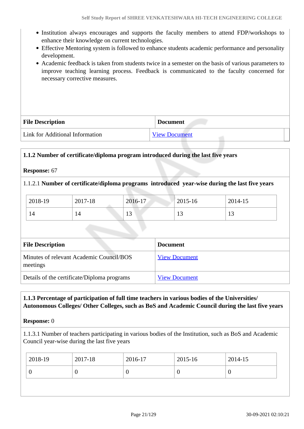- Institution always encourages and supports the faculty members to attend FDP/workshops to enhance their knowledge on current technologies.
- Effective Mentoring system is followed to enhance students academic performance and personality development.
- Academic feedback is taken from students twice in a semester on the basis of various parameters to improve teaching learning process. Feedback is communicated to the faculty concerned for necessary corrective measures.

| <b>File Description</b>         | <b>Document</b>      |
|---------------------------------|----------------------|
| Link for Additional Information | <b>View Document</b> |

#### **1.1.2 Number of certificate/diploma program introduced during the last five years**

#### **Response:** 67

#### 1.1.2.1 **Number of certificate/diploma programs introduced year-wise during the last five years**

| 2018-19 | 2017-18 | 2016-17               | 2015-16 | 2014-15              |
|---------|---------|-----------------------|---------|----------------------|
| 14      | 14      | 1 <sub>2</sub><br>1 J | . L.J   | 1 <sub>2</sub><br>IJ |

| <b>File Description</b>                              | <b>Document</b>      |
|------------------------------------------------------|----------------------|
| Minutes of relevant Academic Council/BOS<br>meetings | <b>View Document</b> |
| Details of the certificate/Diploma programs          | <b>View Document</b> |

### **1.1.3 Percentage of participation of full time teachers in various bodies of the Universities/ Autonomous Colleges/ Other Colleges, such as BoS and Academic Council during the last five years**

#### **Response:** 0

1.1.3.1 Number of teachers participating in various bodies of the Institution, such as BoS and Academic Council year-wise during the last five years

| $ 2018-19 $ | 2017-18 | 2016-17 | $2015 - 16$ | 2014-15 |
|-------------|---------|---------|-------------|---------|
|             |         |         | υ           | ν       |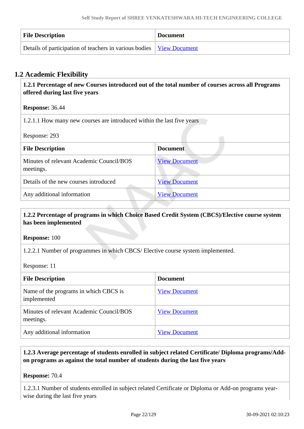| <b>File Description</b>                                                       | <b>Document</b> |
|-------------------------------------------------------------------------------|-----------------|
| Details of participation of teachers in various bodies   <u>View Document</u> |                 |

# **1.2 Academic Flexibility**

 **1.2.1 Percentage of new Courses introduced out of the total number of courses across all Programs offered during last five years**

**Response:** 36.44

1.2.1.1 How many new courses are introduced within the last five years

Response: 293

| <b>File Description</b>                               | <b>Document</b>      |
|-------------------------------------------------------|----------------------|
| Minutes of relevant Academic Council/BOS<br>meetings. | <b>View Document</b> |
| Details of the new courses introduced                 | <b>View Document</b> |
| Any additional information                            | <b>View Document</b> |

# **1.2.2 Percentage of programs in which Choice Based Credit System (CBCS)/Elective course system has been implemented**

**Response:** 100

1.2.2.1 Number of programmes in which CBCS/ Elective course system implemented.

Response: 11

| <b>File Description</b>                               | <b>Document</b>      |
|-------------------------------------------------------|----------------------|
| Name of the programs in which CBCS is<br>implemented  | <b>View Document</b> |
| Minutes of relevant Academic Council/BOS<br>meetings. | <b>View Document</b> |
| Any additional information                            | <b>View Document</b> |

# **1.2.3 Average percentage of students enrolled in subject related Certificate/ Diploma programs/Addon programs as against the total number of students during the last five years**

**Response:** 70.4

1.2.3.1 Number of students enrolled in subject related Certificate or Diploma or Add-on programs yearwise during the last five years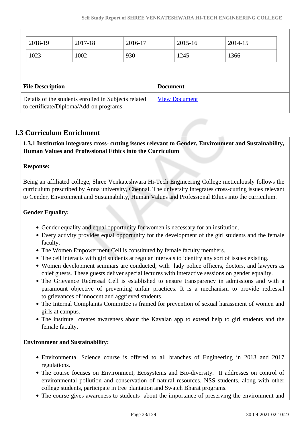| 2018-19                 | 2017-18 | 2016-17 |                 | $2015 - 16$ | 2014-15 |  |
|-------------------------|---------|---------|-----------------|-------------|---------|--|
| 1023                    | 1002    | 930     |                 | 1245        | 1366    |  |
|                         |         |         |                 |             |         |  |
|                         |         |         |                 |             |         |  |
| <b>File Description</b> |         |         | <b>Document</b> |             |         |  |

# **1.3 Curriculum Enrichment**

 **1.3.1 Institution integrates cross- cutting issues relevant to Gender, Environment and Sustainability, Human Values and Professional Ethics into the Curriculum**

### **Response:**

Being an affiliated college, Shree Venkateshwara Hi-Tech Engineering College meticulously follows the curriculum prescribed by Anna university, Chennai. The university integrates cross-cutting issues relevant to Gender, Environment and Sustainability, Human Values and Professional Ethics into the curriculum.

# **Gender Equality:**

- Gender equality and equal opportunity for women is necessary for an institution.
- Every activity provides equal opportunity for the development of the girl students and the female faculty.
- The Women Empowerment Cell is constituted by female faculty members.
- The cell interacts with girl students at regular intervals to identify any sort of issues existing.
- Women development seminars are conducted, with lady police officers, doctors, and lawyers as chief guests. These guests deliver special lectures with interactive sessions on gender equality.
- The Grievance Redressal Cell is established to ensure transparency in admissions and with a paramount objective of preventing unfair practices. It is a mechanism to provide redressal to grievances of innocent and aggrieved students.
- The Internal Complaints Committee is framed for prevention of sexual harassment of women and girls at campus.
- The institute creates awareness about the Kavalan app to extend help to girl students and the female faculty.

### **Environment and Sustainability:**

- Environmental Science course is offered to all branches of Engineering in 2013 and 2017 regulations.
- The course focuses on Environment, Ecosystems and Bio-diversity. It addresses on control of environmental pollution and conservation of natural resources. NSS students, along with other college students, participate in tree plantation and Swatch Bharat programs.
- The course gives awareness to students about the importance of preserving the environment and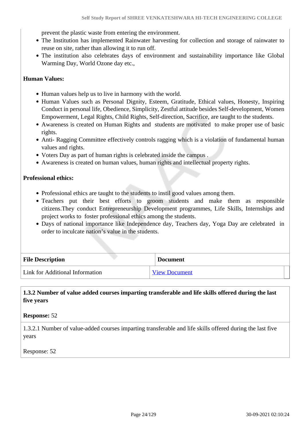prevent the plastic waste from entering the environment.

- The Institution has implemented Rainwater harvesting for collection and storage of rainwater to reuse on site, rather than allowing it to run off.
- The institution also celebrates days of environment and sustainability importance like Global Warming Day, World Ozone day etc.,

#### **Human Values:**

- Human values help us to live in harmony with the world.
- Human Values such as Personal Dignity, Esteem, Gratitude, Ethical values, Honesty, Inspiring Conduct in personal life, Obedience, Simplicity, Zestful attitude besides Self-development, Women Empowerment, Legal Rights, Child Rights, Self-direction, Sacrifice, are taught to the students.
- Awareness is created on Human Rights and students are motivated to make proper use of basic rights.
- Anti- Ragging Committee effectively controls ragging which is a violation of fundamental human values and rights.
- Voters Day as part of human rights is celebrated inside the campus .
- Awareness is created on human values, human rights and intellectual property rights.

#### **Professional ethics:**

- Professional ethics are taught to the students to instil good values among them.
- Teachers put their best efforts to groom students and make them as responsible citizens.They conduct Entrepreneurship Development programmes, Life Skills, Internships and project works to foster professional ethics among the students.
- Days of national importance like Independence day, Teachers day, Yoga Day are celebrated in order to inculcate nation's value in the students.

| <b>File Description</b>         | <b>Document</b>      |
|---------------------------------|----------------------|
| Link for Additional Information | <b>View Document</b> |

# **1.3.2 Number of value added courses imparting transferable and life skills offered during the last five years**

#### **Response:** 52

1.3.2.1 Number of value-added courses imparting transferable and life skills offered during the last five years

#### Response: 52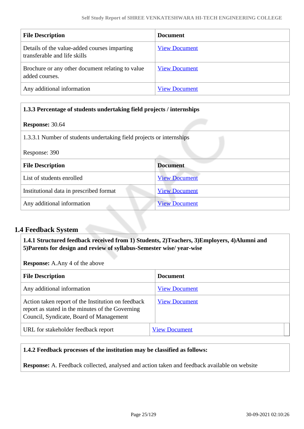| <b>File Description</b>                                                      | <b>Document</b>      |
|------------------------------------------------------------------------------|----------------------|
| Details of the value-added courses imparting<br>transferable and life skills | <b>View Document</b> |
| Brochure or any other document relating to value<br>added courses.           | <b>View Document</b> |
| Any additional information                                                   | <b>View Document</b> |

| 1.3.3 Percentage of students undertaking field projects / internships |                      |  |  |
|-----------------------------------------------------------------------|----------------------|--|--|
| <b>Response: 30.64</b>                                                |                      |  |  |
| 1.3.3.1 Number of students undertaking field projects or internships  |                      |  |  |
|                                                                       |                      |  |  |
| Response: 390                                                         |                      |  |  |
| <b>File Description</b>                                               | <b>Document</b>      |  |  |
| List of students enrolled                                             | <b>View Document</b> |  |  |
| Institutional data in prescribed format                               | <b>View Document</b> |  |  |
| Any additional information                                            | <b>View Document</b> |  |  |

# **1.4 Feedback System**

 **1.4.1 Structured feedback received from 1) Students, 2)Teachers, 3)Employers, 4)Alumni and 5)Parents for design and review of syllabus-Semester wise/ year-wise** 

**Response:** A.Any 4 of the above

| <b>File Description</b>                                                                                                                           | <b>Document</b>      |
|---------------------------------------------------------------------------------------------------------------------------------------------------|----------------------|
| Any additional information                                                                                                                        | <b>View Document</b> |
| Action taken report of the Institution on feedback<br>report as stated in the minutes of the Governing<br>Council, Syndicate, Board of Management | <b>View Document</b> |
| URL for stakeholder feedback report                                                                                                               | <b>View Document</b> |

### **1.4.2 Feedback processes of the institution may be classified as follows:**

**Response:** A. Feedback collected, analysed and action taken and feedback available on website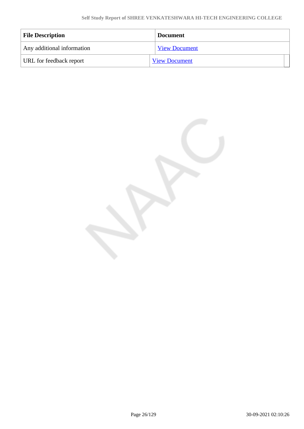| <b>File Description</b>    | <b>Document</b>      |
|----------------------------|----------------------|
| Any additional information | <b>View Document</b> |
| URL for feedback report    | <b>View Document</b> |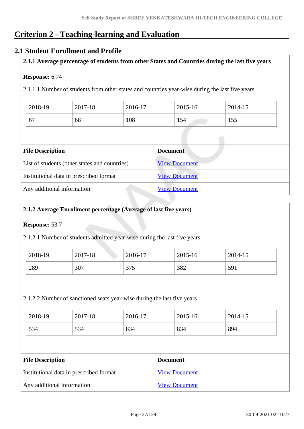# **Criterion 2 - Teaching-learning and Evaluation**

# **2.1 Student Enrollment and Profile**

**2.1.1 Average percentage of students from other States and Countries during the last five years**

### **Response:** 6.74

2.1.1.1 Number of students from other states and countries year-wise during the last five years

| 2018-19 | 2017-18 | 2016-17 | 2015-16 | 2014-15     |
|---------|---------|---------|---------|-------------|
| 67      | 68      | 108     | 154     | 55<br>1 J J |

| <b>File Description</b>                       | <b>Document</b>      |
|-----------------------------------------------|----------------------|
| List of students (other states and countries) | <b>View Document</b> |
| Institutional data in prescribed format       | <b>View Document</b> |
| Any additional information                    | <b>View Document</b> |

# **2.1.2 Average Enrollment percentage (Average of last five years)**

### **Response:** 53.7

2.1.2.1 Number of students admitted year-wise during the last five years

| 2018-19 | 2017-18 | 2016-17    | 2015-16 | 2014-15 |
|---------|---------|------------|---------|---------|
| 289     | 307     | 275<br>ں ر | 382     | 591     |

### 2.1.2.2 Number of sanctioned seats year-wise during the last five years

| 2018-19 | 2017-18 | 2016-17 | 2015-16 | 2014-15 |
|---------|---------|---------|---------|---------|
| 534     | 534     | 834     | 834     | 894     |

| <b>File Description</b>                 | <b>Document</b>      |
|-----------------------------------------|----------------------|
| Institutional data in prescribed format | <b>View Document</b> |
| Any additional information              | <b>View Document</b> |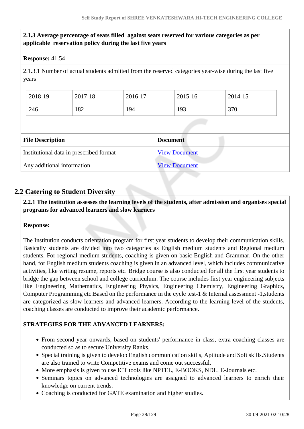# **2.1.3 Average percentage of seats filled against seats reserved for various categories as per applicable reservation policy during the last five years**

# **Response:** 41.54

2.1.3.1 Number of actual students admitted from the reserved categories year-wise during the last five years

| 2018-19 | 2017-18 | 2016-17 | 2015-16 | 2014-15 |
|---------|---------|---------|---------|---------|
| 246     | 182     | 194     | 193     | 370     |

| <b>File Description</b>                 | <b>Document</b>      |
|-----------------------------------------|----------------------|
| Institutional data in prescribed format | <b>View Document</b> |
| Any additional information              | <b>View Document</b> |

# **2.2 Catering to Student Diversity**

 **2.2.1 The institution assesses the learning levels of the students, after admission and organises special programs for advanced learners and slow learners**

### **Response:**

The Institution conducts orientation program for first year students to develop their communication skills. Basically students are divided into two categories as English medium students and Regional medium students. For regional medium students, coaching is given on basic English and Grammar. On the other hand, for English medium students coaching is given in an advanced level, which includes communicative activities, like writing resume, reports etc. Bridge course is also conducted for all the first year students to bridge the gap between school and college curriculum. The course includes first year engineering subjects like Engineering Mathematics, Engineering Physics, Engineering Chemistry, Engineering Graphics, Computer Programming etc.Based on the performance in the cycle test-1 & Internal assessment -1,students are categorized as slow learners and advanced learners. According to the learning level of the students, coaching classes are conducted to improve their academic performance.

# **STRATEGIES FOR THE ADVANCED LEARNERS:**

- From second year onwards, based on students' performance in class, extra coaching classes are conducted so as to secure University Ranks.
- Special training is given to develop English communication skills, Aptitude and Soft skills.Students are also trained to write Competitive exams and come out successful.
- More emphasis is given to use ICT tools like NPTEL, E-BOOKS, NDL, E-Journals etc.
- Seminars topics on advanced technologies are assigned to advanced learners to enrich their knowledge on current trends.
- Coaching is conducted for GATE examination and higher studies.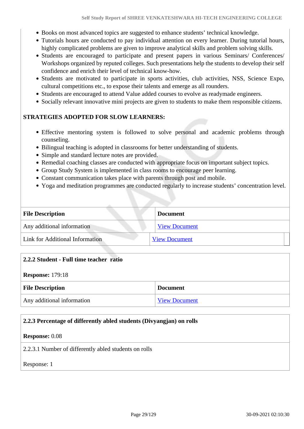- Books on most advanced topics are suggested to enhance students' technical knowledge.
- Tutorials hours are conducted to pay individual attention on every learner. During tutorial hours, highly complicated problems are given to improve analytical skills and problem solving skills.
- Students are encouraged to participate and present papers in various Seminars/ Conferences/ Workshops organized by reputed colleges. Such presentations help the students to develop their self confidence and enrich their level of technical know-how.
- Students are motivated to participate in sports activities, club activities, NSS, Science Expo, cultural competitions etc., to expose their talents and emerge as all rounders.
- Students are encouraged to attend Value added courses to evolve as readymade engineers.
- Socially relevant innovative mini projects are given to students to make them responsible citizens.

# **STRATEGIES ADOPTED FOR SLOW LEARNERS:**

- Effective mentoring system is followed to solve personal and academic problems through counseling.
- Bilingual teaching is adopted in classrooms for better understanding of students.
- Simple and standard lecture notes are provided.
- Remedial coaching classes are conducted with appropriate focus on important subject topics.
- Group Study System is implemented in class rooms to encourage peer learning.
- Constant communication takes place with parents through post and mobile.
- Yoga and meditation programmes are conducted regularly to increase students' concentration level.

| <b>File Description</b>         | <b>Document</b>      |
|---------------------------------|----------------------|
| Any additional information      | <b>View Document</b> |
| Link for Additional Information | <b>View Document</b> |

|                         | 2.2.2 Student - Full time teacher ratio |                      |  |
|-------------------------|-----------------------------------------|----------------------|--|
| <b>Response:</b> 179:18 |                                         |                      |  |
|                         | <b>File Description</b>                 | <b>Document</b>      |  |
|                         | Any additional information              | <b>View Document</b> |  |

# **2.2.3 Percentage of differently abled students (Divyangjan) on rolls Response:** 0.08

### 2.2.3.1 Number of differently abled students on rolls

Response: 1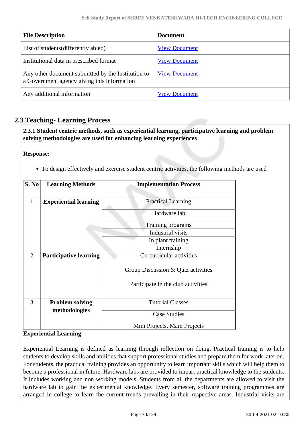| <b>File Description</b>                                                                           | <b>Document</b>      |
|---------------------------------------------------------------------------------------------------|----------------------|
| List of students (differently abled)                                                              | <b>View Document</b> |
| Institutional data in prescribed format                                                           | <b>View Document</b> |
| Any other document submitted by the Institution to<br>a Government agency giving this information | <b>View Document</b> |
| Any additional information                                                                        | <b>View Document</b> |

# **2.3 Teaching- Learning Process**

 **2.3.1 Student centric methods, such as experiential learning, participative learning and problem solving methodologies are used for enhancing learning experiences**

**Response:** 

To design effectively and exercise student centric activities, the following methods are used

| S. No          | <b>Learning Methods</b>       | <b>Implementation Process</b>      |  |
|----------------|-------------------------------|------------------------------------|--|
|                |                               |                                    |  |
| 1              | <b>Experiential learning</b>  | <b>Practical Learning</b>          |  |
|                |                               | Hardware lab                       |  |
|                |                               | Training programs                  |  |
|                |                               | <b>Industrial visits</b>           |  |
|                |                               | In plant training                  |  |
|                |                               | Internship                         |  |
| $\overline{2}$ | <b>Participative learning</b> | Co-curricular activities           |  |
|                |                               | Group Discussion & Quiz activities |  |
|                |                               | Participate in the club activities |  |
| 3              | <b>Problem solving</b>        | <b>Tutorial Classes</b>            |  |
|                | methodologies                 |                                    |  |
|                |                               | <b>Case Studies</b>                |  |
|                |                               | Mini Projects, Main Projects       |  |

# **Experiential Learning**

Experiential Learning is defined as learning through reflection on doing. Practical training is to help students to develop skills and abilities that support professional studies and prepare them for work later on. For students, the practical training provides an opportunity to learn important skills which will help them to become a professional in future. Hardware labs are provided to impart practical knowledge to the students. It includes working and non working models. Students from all the departments are allowed to visit the hardware lab to gain the experimental knowledge. Every semester, software training programmes are arranged in college to learn the current trends prevailing in their respective areas. Industrial visits are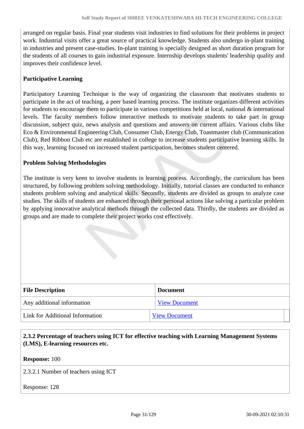arranged on regular basis. Final year students visit industries to find solutions for their problems in project work. Industrial visits offer a great source of practical knowledge. Students also undergo in-plant training in industries and present case-studies. In-plant training is specially designed as short duration program for the students of all courses to gain industrial exposure. Internship develops students' leadership quality and improves their confidence level.

# **Participative Learning**

Participatory Learning Technique is the way of organizing the classroom that motivates students to participate in the act of teaching, a peer based learning process. The institute organizes different activities for students to encourage them to participate in various competitions held at local, national  $\&$  international levels. The faculty members follow interactive methods to motivate students to take part in group discussion, subject quiz, news analysis and questions and answers on current affairs. Various clubs like Eco & Environmental Engineering Club, Consumer Club, Energy Club, Toastmaster club (Communication Club), Red Ribbon Club etc are established in college to increase students participative learning skills. In this way, learning focused on increased student participation, becomes student centered.

### **Problem Solving Methodologies**

The institute is very keen to involve students in learning process. Accordingly, the curriculum has been structured, by following problem solving methodology. Initially, tutorial classes are conducted to enhance students problem solving and analytical skills. Secondly, students are divided as groups to analyze case studies. The skills of students are enhanced through their personal actions like solving a particular problem by applying innovative analytical methods through the collected data. Thirdly, the students are divided as groups and are made to complete their project works cost effectively.

| <b>File Description</b>         | <b>Document</b>      |
|---------------------------------|----------------------|
| Any additional information      | <b>View Document</b> |
| Link for Additional Information | <b>View Document</b> |

# **2.3.2 Percentage of teachers using ICT for effective teaching with Learning Management Systems (LMS), E-learning resources etc.**

**Response:** 100

2.3.2.1 Number of teachers using ICT

Response: 128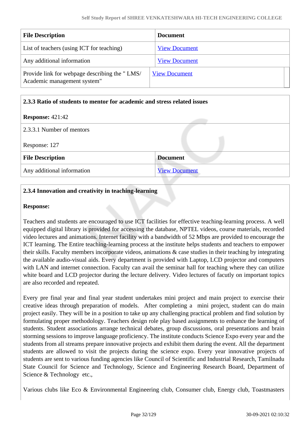| <b>File Description</b>                                                      | <b>Document</b>      |
|------------------------------------------------------------------------------|----------------------|
| List of teachers (using ICT for teaching)                                    | <b>View Document</b> |
| Any additional information                                                   | <b>View Document</b> |
| Provide link for webpage describing the "LMS/<br>Academic management system" | <b>View Document</b> |

#### **2.3.3 Ratio of students to mentor for academic and stress related issues**

#### **Response:** 421:42

| 2.3.3.1 Number of mentors  |                      |  |
|----------------------------|----------------------|--|
| Response: 127              |                      |  |
| <b>File Description</b>    | <b>Document</b>      |  |
| Any additional information | <b>View Document</b> |  |

# **2.3.4 Innovation and creativity in teaching-learning**

#### **Response:**

Teachers and students are encouraged to use ICT facilities for effective teaching-learning process. A well equipped digital library is provided for accessing the database, NPTEL videos, course materials, recorded video lectures and animations. Internet facility with a bandwidth of 52 Mbps are provided to encourage the ICT learning. The Entire teaching-learning process at the institute helps students and teachers to empower their skills. Faculty members incorporate videos, animations & case studies in their teaching by integrating the available audio-visual aids. Every department is provided with Laptop, LCD projector and computers with LAN and internet connection. Faculty can avail the seminar hall for teaching where they can utilize white board and LCD projector during the lecture delivery. Video lectures of facutly on important topics are also recorded and repeated.

Every pre final year and final year student undertakes mini project and main project to exercise their creative ideas through preparation of models. After completing a mini project, student can do main project easily. They will be in a position to take up any challenging practical problem and find solution by formulating proper methodology. Teachers design role play based assignments to enhance the learning of students. Student associations arrange technical debates, group discussions, oral presentations and brain storming sessions to improve language proficiency. The institute conducts Science Expo every year and the students from all streams prepare innovative projects and exhibit them during the event. All the department students are allowed to visit the projects during the science expo. Every year innovative projects of students are sent to various funding agencies like Council of Scientific and Industrial Research, Tamilnadu State Council for Science and Technology, Science and Engineering Research Board, Department of Science & Technology etc.,

Various clubs like Eco & Environmental Engineering club, Consumer club, Energy club, Toastmasters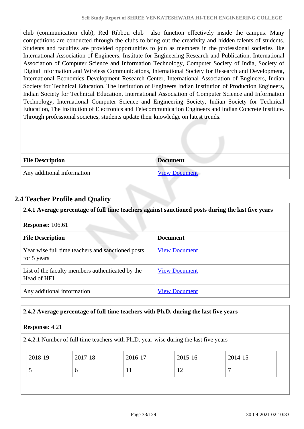club (communication club), Red Ribbon club also function effectively inside the campus. Many competitions are conducted through the clubs to bring out the creativity and hidden talents of students. Students and faculties are provided opportunities to join as members in the professional societies like International Association of Engineers, Institute for Engineering Research and Publication, International Association of Computer Science and Information Technology, Computer Society of India, Society of Digital Information and Wireless Communications, International Society for Research and Development, International Economics Development Research Center, International Association of Engineers, Indian Society for Technical Education, The Institution of Engineers Indian Institution of Production Engineers, Indian Society for Technical Education, International Association of Computer Science and Information Technology, International Computer Science and Engineering Society, Indian Society for Technical Education, The Institution of Electronics and Telecommunication Engineers and Indian Concrete Institute. Through professional societies, students update their knowledge on latest trends.

| <b>File Description</b>    | <b>Document</b>      |
|----------------------------|----------------------|
| Any additional information | <b>View Document</b> |

# **2.4 Teacher Profile and Quality**

**2.4.1 Average percentage of full time teachers against sanctioned posts during the last five years**

#### **Response:** 106.61

| <b>File Description</b>                                          | <b>Document</b>      |
|------------------------------------------------------------------|----------------------|
| Year wise full time teachers and sanctioned posts<br>for 5 years | <b>View Document</b> |
| List of the faculty members authenticated by the<br>Head of HEI  | <b>View Document</b> |
| Any additional information                                       | <b>View Document</b> |

### **2.4.2 Average percentage of full time teachers with Ph.D. during the last five years**

### **Response:** 4.21

2.4.2.1 Number of full time teachers with Ph.D. year-wise during the last five years

| $12018-19$ | 2017-18 | 2016-17 | 2015-16 | 2014-15 |
|------------|---------|---------|---------|---------|
|            | U       | 11      | 12      |         |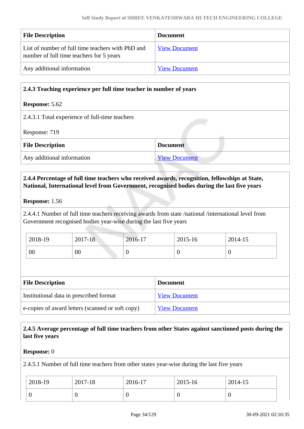| <b>File Description</b>                                                                       | <b>Document</b>      |
|-----------------------------------------------------------------------------------------------|----------------------|
| List of number of full time teachers with PhD and<br>number of full time teachers for 5 years | <b>View Document</b> |
| Any additional information                                                                    | <b>View Document</b> |

# **2.4.3 Teaching experience per full time teacher in number of years**

#### **Response:** 5.62

| 2.4.3.1 Total experience of full-time teachers |  |  |  |
|------------------------------------------------|--|--|--|
|------------------------------------------------|--|--|--|

Response: 719

| <b>File Description</b>    | <b>Document</b>      |
|----------------------------|----------------------|
| Any additional information | <b>View Document</b> |

# **2.4.4 Percentage of full time teachers who received awards, recognition, fellowships at State, National, International level from Government, recognised bodies during the last five years**

#### **Response:** 1.56

2.4.4.1 Number of full time teachers receiving awards from state /national /international level from Government recognised bodies year-wise during the last five years

| 2018-19 | $2017 - 18$ | 2016-17 | 2015-16 | 2014-15 |
|---------|-------------|---------|---------|---------|
| 00      | 00          |         | -6      |         |

| <b>File Description</b>                          | <b>Document</b>      |  |  |  |
|--------------------------------------------------|----------------------|--|--|--|
| Institutional data in prescribed format          | <b>View Document</b> |  |  |  |
| e-copies of award letters (scanned or soft copy) | <b>View Document</b> |  |  |  |

# **2.4.5 Average percentage of full time teachers from other States against sanctioned posts during the last five years**

#### **Response:** 0

2.4.5.1 Number of full time teachers from other states year-wise during the last five years

| 2018-19 | 2017-18 | 2016-17 | 2015-16 | 2014-15 |
|---------|---------|---------|---------|---------|
|         | ◡       | ◡       |         | ν       |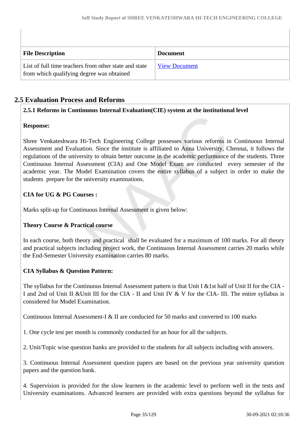| <b>File Description</b>                                                                            | <b>Document</b>      |
|----------------------------------------------------------------------------------------------------|----------------------|
| List of full time teachers from other state and state<br>from which qualifying degree was obtained | <b>View Document</b> |

# **2.5 Evaluation Process and Reforms**

### **2.5.1 Reforms in Continuous Internal Evaluation(CIE) system at the institutional level**

#### **Response:**

Shree Venkateshwara Hi**-**Tech Engineering College possesses various reforms in Continuous Internal Assessment and Evaluation. Since the institute is affiliated to Anna University, Chennai, it follows the regulations of the university to obtain better outcome in the academic performance of the students. Three Continuous Internal Assessment (CIA) and One Model Exam are conducted every semester of the academic year. The Model Examination covers the entire syllabus of a subject in order to make the students prepare for the university examinations.

### **CIA for UG & PG Courses :**

Marks split-up for Continuous Internal Assessment is given below:

### **Theory Course & Practical course**

In each course, both theory and practical shall be evaluated for a maximum of 100 marks. For all theory and practical subjects including project work, the Continuous Internal Assessment carries 20 marks while the End-Semester University examination carries 80 marks.

### **CIA Syllabus & Question Pattern:**

The syllabus for the Continuous Internal Assessment pattern is that Unit I &1st half of Unit II for the CIA - I and 2nd of Unit II &Unit III for the CIA - II and Unit IV & V for the CIA- III. The entire syllabus is considered for Model Examination.

Continuous Internal Assessment-I & II are conducted for 50 marks and converted to 100 marks

1. One cycle test per month is commonly conducted for an hour for all the subjects.

2. Unit/Topic wise question banks are provided to the students for all subjects including with answers.

3. Continuous Internal Assessment question papers are based on the previous year university question papers and the question bank.

4. Supervision is provided for the slow learners in the academic level to perform well in the tests and University examinations. Advanced learners are provided with extra questions beyond the syllabus for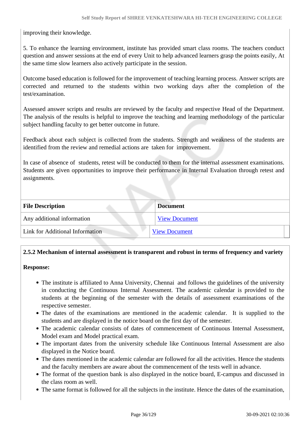improving their knowledge.

5. To enhance the learning environment, institute has provided smart class rooms. The teachers conduct question and answer sessions at the end of every Unit to help advanced learners grasp the points easily, At the same time slow learners also actively participate in the session.

Outcome based education is followed for the improvement of teaching learning process. Answer scripts are corrected and returned to the students within two working days after the completion of the test/examination.

Assessed answer scripts and results are reviewed by the faculty and respective Head of the Department. The analysis of the results is helpful to improve the teaching and learning methodology of the particular subject handling faculty to get better outcome in future.

Feedback about each subject is collected from the students. Strength and weakness of the students are identified from the review and remedial actions are taken for improvement.

In case of absence of students, retest will be conducted to them for the internal assessment examinations. Students are given opportunities to improve their performance in Internal Evaluation through retest and assignments.

| <b>File Description</b>         | <b>Document</b>      |
|---------------------------------|----------------------|
| Any additional information      | <b>View Document</b> |
| Link for Additional Information | <b>View Document</b> |

# **2.5.2 Mechanism of internal assessment is transparent and robust in terms of frequency and variety**

#### **Response:**

- The institute is affiliated to Anna University, Chennai and follows the guidelines of the university in conducting the Continuous Internal Assessment. The academic calendar is provided to the students at the beginning of the semester with the details of assessment examinations of the respective semester.
- The dates of the examinations are mentioned in the academic calendar. It is supplied to the students and are displayed in the notice board on the first day of the semester.
- The academic calendar consists of dates of commencement of Continuous Internal Assessment, Model exam and Model practical exam.
- The important dates from the university schedule like Continuous Internal Assessment are also displayed in the Notice board.
- The dates mentioned in the academic calendar are followed for all the activities. Hence the students and the faculty members are aware about the commencement of the tests well in advance.
- The format of the question bank is also displayed in the notice board, E-campus and discussed in the class room as well.
- The same format is followed for all the subjects in the institute. Hence the dates of the examination,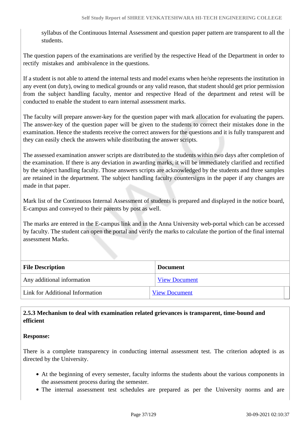syllabus of the Continuous Internal Assessment and question paper pattern are transparent to all the students.

The question papers of the examinations are verified by the respective Head of the Department in order to rectify mistakes and ambivalence in the questions.

If a student is not able to attend the internal tests and model exams when he/she represents the institution in any event (on duty), owing to medical grounds or any valid reason, that student should get prior permission from the subject handling faculty, mentor and respective Head of the department and retest will be conducted to enable the student to earn internal assessment marks.

The faculty will prepare answer-key for the question paper with mark allocation for evaluating the papers. The answer-key of the question paper will be given to the students to correct their mistakes done in the examination. Hence the students receive the correct answers for the questions and it is fully transparent and they can easily check the answers while distributing the answer scripts.

The assessed examination answer scripts are distributed to the students within two days after completion of the examination. If there is any deviation in awarding marks, it will be immediately clarified and rectified by the subject handling faculty. Those answers scripts are acknowledged by the students and three samples are retained in the department. The subject handling faculty countersigns in the paper if any changes are made in that paper.

Mark list of the Continuous Internal Assessment of students is prepared and displayed in the notice board, E-campus and conveyed to their parents by post as well.

The marks are entered in the E-campus link and in the Anna University web-portal which can be accessed by faculty. The student can open the portal and verify the marks to calculate the portion of the final internal assessment Marks.

| <b>File Description</b>         | <b>Document</b>      |  |
|---------------------------------|----------------------|--|
| Any additional information      | <b>View Document</b> |  |
| Link for Additional Information | <b>View Document</b> |  |

# **2.5.3 Mechanism to deal with examination related grievances is transparent, time-bound and efficient**

#### **Response:**

There is a complete transparency in conducting internal assessment test. The criterion adopted is as directed by the University.

- At the beginning of every semester, faculty informs the students about the various components in the assessment process during the semester.
- The internal assessment test schedules are prepared as per the University norms and are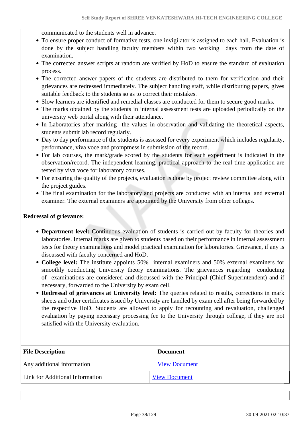communicated to the students well in advance.

- To ensure proper conduct of formative tests, one invigilator is assigned to each hall. Evaluation is done by the subject handling faculty members within two working days from the date of examination.
- The corrected answer scripts at random are verified by HoD to ensure the standard of evaluation process.
- The corrected answer papers of the students are distributed to them for verification and their grievances are redressed immediately. The subject handling staff, while distributing papers, gives suitable feedback to the students so as to correct their mistakes.
- Slow learners are identified and remedial classes are conducted for them to secure good marks.
- The marks obtained by the students in internal assessment tests are uploaded periodically on the university web portal along with their attendance.
- In Laboratories after marking the values in observation and validating the theoretical aspects, students submit lab record regularly.
- Day to day performance of the students is assessed for every experiment which includes regularity, performance, viva voce and promptness in submission of the record.
- For lab courses, the mark/grade scored by the students for each experiment is indicated in the observation/record. The independent learning, practical approach to the real time application are tested by viva voce for laboratory courses.
- For ensuring the quality of the projects, evaluation is done by project review committee along with the project guides.
- The final examination for the laboratory and projects are conducted with an internal and external examiner. The external examiners are appointed by the University from other colleges.

#### **Redressal of grievance:**

- **Department level:** Continuous evaluation of students is carried out by faculty for theories and laboratories. Internal marks are given to students based on their performance in internal assessment tests for theory examinations and model practical examination for laboratories. Grievance, if any is discussed with faculty concerned and HoD.
- **College level:** The institute appoints 50% internal examiners and 50% external examiners for smoothly conducting University theory examinations. The grievances regarding conducting of examinations are considered and discussed with the Principal (Chief Superintendent) and if necessary, forwarded to the University by exam cell.
- **Redressal of grievances at University level:** The queries related to results, corrections in mark sheets and other certificates issued by University are handled by exam cell after being forwarded by the respective HoD. Students are allowed to apply for recounting and revaluation, challenged evaluation by paying necessary processing fee to the University through college, if they are not satisfied with the University evaluation.

| <b>File Description</b>         | <b>Document</b>      |  |
|---------------------------------|----------------------|--|
| Any additional information      | <b>View Document</b> |  |
| Link for Additional Information | <b>View Document</b> |  |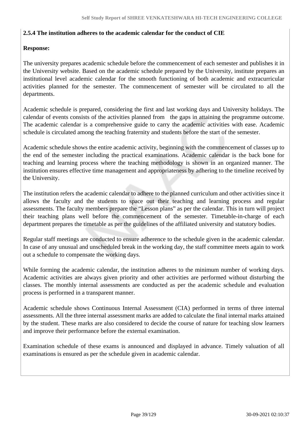### **2.5.4 The institution adheres to the academic calendar for the conduct of CIE**

# **Response:**

The university prepares academic schedule before the commencement of each semester and publishes it in the University website. Based on the academic schedule prepared by the University, institute prepares an institutional level academic calendar for the smooth functioning of both academic and extracurricular activities planned for the semester. The commencement of semester will be circulated to all the departments.

Academic schedule is prepared, considering the first and last working days and University holidays. The calendar of events consists of the activities planned from the gaps in attaining the programme outcome. The academic calendar is a comprehensive guide to carry the academic activities with ease. Academic schedule is circulated among the teaching fraternity and students before the start of the semester.

Academic schedule shows the entire academic activity, beginning with the commencement of classes up to the end of the semester including the practical examinations. Academic calendar is the back bone for teaching and learning process where the teaching methodology is shown in an organized manner. The institution ensures effective time management and appropriateness by adhering to the timeline received by the University.

The institution refers the academic calendar to adhere to the planned curriculum and other activities since it allows the faculty and the students to space out their teaching and learning process and regular assessments. The faculty members prepare the "Lesson plans" as per the calendar. This in turn will project their teaching plans well before the commencement of the semester. Timetable-in-charge of each department prepares the timetable as per the guidelines of the affiliated university and statutory bodies.

Regular staff meetings are conducted to ensure adherence to the schedule given in the academic calendar. In case of any unusual and unscheduled break in the working day, the staff committee meets again to work out a schedule to compensate the working days.

While forming the academic calendar, the institution adheres to the minimum number of working days. Academic activities are always given priority and other activities are performed without disturbing the classes. The monthly internal assessments are conducted as per the academic schedule and evaluation process is performed in a transparent manner.

Academic schedule shows Continuous Internal Assessment (CIA) performed in terms of three internal assessments. All the three internal assessment marks are added to calculate the final internal marks attained by the student. These marks are also considered to decide the course of nature for teaching slow learners and improve their performance before the external examination.

Examination schedule of these exams is announced and displayed in advance. Timely valuation of all examinations is ensured as per the schedule given in academic calendar.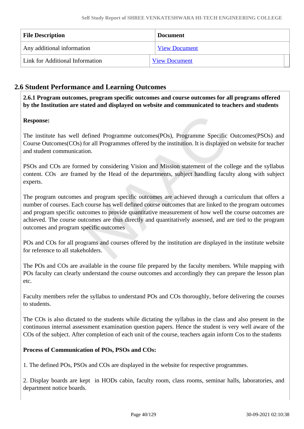| <b>File Description</b>         | <b>Document</b>      |  |
|---------------------------------|----------------------|--|
| Any additional information      | <b>View Document</b> |  |
| Link for Additional Information | <b>View Document</b> |  |

# **2.6 Student Performance and Learning Outcomes**

 **2.6.1 Program outcomes, program specific outcomes and course outcomes for all programs offered by the Institution are stated and displayed on website and communicated to teachers and students**

# **Response:**

The institute has well defined Programme outcomes(POs), Programme Specific Outcomes(PSOs) and Course Outcomes(COs) for all Programmes offered by the institution. It is displayed on website for teacher and student communication.

PSOs and COs are formed by considering Vision and Mission statement of the college and the syllabus content. COs are framed by the Head of the departments, subject handling faculty along with subject experts.

The program outcomes and program specific outcomes are achieved through a curriculum that offers a number of courses. Each course has well defined course outcomes that are linked to the program outcomes and program specific outcomes to provide quantitative measurement of how well the course outcomes are achieved. The course outcomes are thus directly and quantitatively assessed, and are tied to the program outcomes and program specific outcomes

POs and COs for all programs and courses offered by the institution are displayed in the institute website for reference to all stakeholders.

The POs and COs are available in the course file prepared by the faculty members. While mapping with POs faculty can clearly understand the course outcomes and accordingly they can prepare the lesson plan etc.

Faculty members refer the syllabus to understand POs and COs thoroughly, before delivering the courses to students.

The COs is also dictated to the students while dictating the syllabus in the class and also present in the continuous internal assessment examination question papers. Hence the student is very well aware of the COs of the subject. After completion of each unit of the course, teachers again inform Cos to the students

# **Process of Communication of POs, PSOs and COs:**

1. The defined POs, PSOs and COs are displayed in the website for respective programmes.

2. Display boards are kept in HODs cabin, faculty room, class rooms, seminar halls, laboratories, and department notice boards.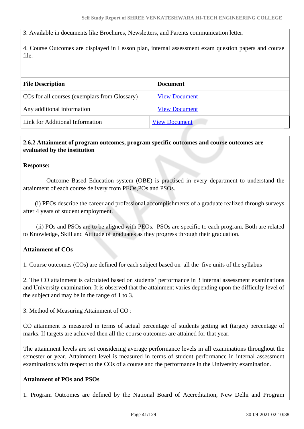3. Available in documents like Brochures, Newsletters, and Parents communication letter.

4. Course Outcomes are displayed in Lesson plan, internal assessment exam question papers and course file.

| <b>File Description</b>                       | Document             |
|-----------------------------------------------|----------------------|
| COs for all courses (exemplars from Glossary) | <b>View Document</b> |
| Any additional information                    | <b>View Document</b> |
| Link for Additional Information               | <b>View Document</b> |

# **2.6.2 Attainment of program outcomes, program specific outcomes and course outcomes are evaluated by the institution**

#### **Response:**

 Outcome Based Education system (OBE) is practised in every department to understand the attainment of each course delivery from PEOs,POs and PSOs.

 (i) PEOs describe the career and professional accomplishments of a graduate realized through surveys after 4 years of student employment.

 (ii) POs and PSOs are to be aligned with PEOs. PSOs are specific to each program. Both are related to Knowledge, Skill and Attitude of graduates as they progress through their graduation.

#### **Attainment of COs**

1. Course outcomes (COs) are defined for each subject based on all the five units of the syllabus

2. The CO attainment is calculated based on students' performance in 3 internal assessment examinations and University examination. It is observed that the attainment varies depending upon the difficulty level of the subject and may be in the range of 1 to 3.

3. Method of Measuring Attainment of CO :

CO attainment is measured in terms of actual percentage of students getting set (target) percentage of marks. If targets are achieved then all the course outcomes are attained for that year.

The attainment levels are set considering average performance levels in all examinations throughout the semester or year. Attainment level is measured in terms of student performance in internal assessment examinations with respect to the COs of a course and the performance in the University examination.

#### **Attainment of POs and PSOs**

1. Program Outcomes are defined by the National Board of Accreditation, New Delhi and Program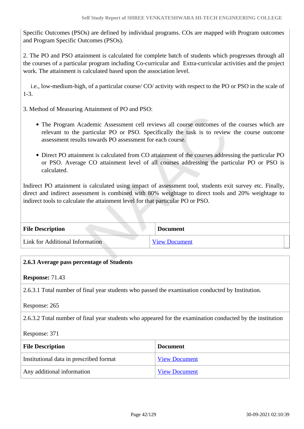Specific Outcomes (PSOs) are defined by individual programs. COs are mapped with Program outcomes and Program Specific Outcomes (PSOs).

2. The PO and PSO attainment is calculated for complete batch of students which progresses through all the courses of a particular program including Co-curricular and Extra-curricular activities and the project work. The attainment is calculated based upon the association level.

 i.e., low-medium-high, of a particular course/ CO/ activity with respect to the PO or PSO in the scale of 1-3.

3. Method of Measuring Attainment of PO and PSO:

- The Program Academic Assessment cell reviews all course outcomes of the courses which are relevant to the particular PO or PSO. Specifically the task is to review the course outcome assessment results towards PO assessment for each course.
- Direct PO attainment is calculated from CO attainment of the courses addressing the particular PO or PSO. Average CO attainment level of all courses addressing the particular PO or PSO is calculated.

Indirect PO attainment is calculated using impact of assessment tool, students exit survey etc. Finally, direct and indirect assessment is combined with 80% weightage to direct tools and 20% weightage to indirect tools to calculate the attainment level for that particular PO or PSO.

| <b>File Description</b>         | <b>Document</b>      |
|---------------------------------|----------------------|
| Link for Additional Information | <b>View Document</b> |

| 2.6.3 Average pass percentage of Students                                                                 |                      |  |  |
|-----------------------------------------------------------------------------------------------------------|----------------------|--|--|
| <b>Response: 71.43</b>                                                                                    |                      |  |  |
| 2.6.3.1 Total number of final year students who passed the examination conducted by Institution.          |                      |  |  |
| Response: 265                                                                                             |                      |  |  |
| 2.6.3.2 Total number of final year students who appeared for the examination conducted by the institution |                      |  |  |
| Response: 371                                                                                             |                      |  |  |
| <b>Document</b><br><b>File Description</b>                                                                |                      |  |  |
| Institutional data in prescribed format                                                                   | <b>View Document</b> |  |  |
| Any additional information                                                                                | <b>View Document</b> |  |  |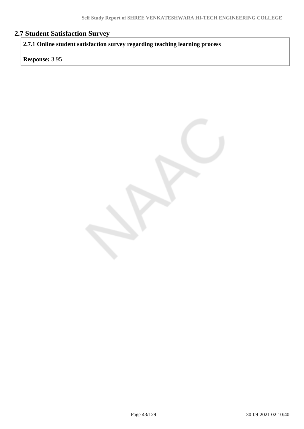# **2.7 Student Satisfaction Survey**

**2.7.1 Online student satisfaction survey regarding teaching learning process**

**Response:** 3.95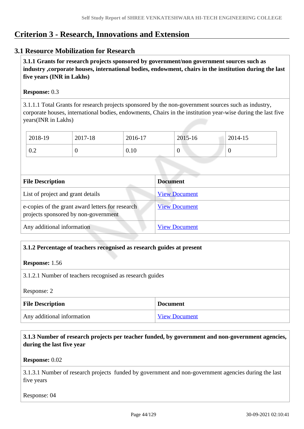# **Criterion 3 - Research, Innovations and Extension**

# **3.1 Resource Mobilization for Research**

 **3.1.1 Grants for research projects sponsored by government/non government sources such as industry ,corporate houses, international bodies, endowment, chairs in the institution during the last five years (INR in Lakhs)** 

## **Response:** 0.3

3.1.1.1 Total Grants for research projects sponsored by the non-government sources such as industry, corporate houses, international bodies, endowments, Chairs in the institution year-wise during the last five years(INR in Lakhs)

| 2018-19 | 2017-18 | 2016-17 | 2015-16 | 2014-15 |
|---------|---------|---------|---------|---------|
| 0.2     |         | 0.10    | ν       | v       |

| <b>File Description</b>                                                                  | <b>Document</b>      |
|------------------------------------------------------------------------------------------|----------------------|
| List of project and grant details                                                        | <b>View Document</b> |
| e-copies of the grant award letters for research<br>projects sponsored by non-government | <b>View Document</b> |
| Any additional information                                                               | <b>View Document</b> |

# **3.1.2 Percentage of teachers recognised as research guides at present**

**Response:** 1.56

3.1.2.1 Number of teachers recognised as research guides

Response: 2

| <b>File Description</b>    | <b>Document</b>      |
|----------------------------|----------------------|
| Any additional information | <b>View Document</b> |

# **3.1.3 Number of research projects per teacher funded, by government and non-government agencies, during the last five year**

#### **Response:** 0.02

3.1.3.1 Number of research projects funded by government and non-government agencies during the last five years

Response: 04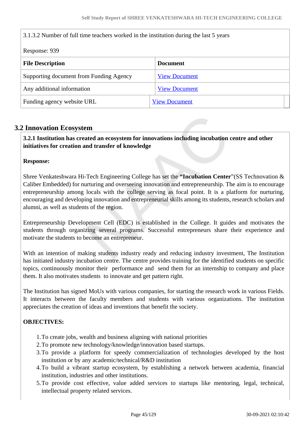| 3.1.3.2 Number of full time teachers worked in the institution during the last 5 years |                      |  |  |
|----------------------------------------------------------------------------------------|----------------------|--|--|
| Response: 939                                                                          |                      |  |  |
| <b>File Description</b><br><b>Document</b>                                             |                      |  |  |
| Supporting document from Funding Agency                                                | <b>View Document</b> |  |  |
| Any additional information                                                             | <b>View Document</b> |  |  |
| Funding agency website URL                                                             | <b>View Document</b> |  |  |

# **3.2 Innovation Ecosystem**

 **3.2.1 Institution has created an ecosystem for innovations including incubation centre and other initiatives for creation and transfer of knowledge**

#### **Response:**

Shree Venkateshwara Hi-Tech Engineering College has set the **"Incubation Center**"(SS Technovation & Caliber Embedded) for nurturing and overseeing innovation and entrepreneurship. The aim is to encourage entrepreneurship among locals with the college serving as focal point. It is a platform for nurturing, encouraging and developing innovation and entrepreneurial skills among its students, research scholars and alumni, as well as students of the region.

Entrepreneurship Development Cell (EDC) is established in the College. It guides and motivates the students through organizing several programs. Successful entrepreneurs share their experience and motivate the students to become an entrepreneur.

With an intention of making students industry ready and reducing industry investment, The Institution has initiated industry incubation centre. The centre provides training for the identified students on specific topics, continuously monitor their performance and send them for an internship to company and place them. It also motivates students to innovate and get pattern right.

The Institution has signed MoUs with various companies, for starting the research work in various Fields. It interacts between the faculty members and students with various organizations. The institution appreciates the creation of ideas and inventions that benefit the society.

#### **OBJECTIVES:**

- 1.To create jobs, wealth and business aligning with national priorities
- 2.To promote new technology/knowledge/innovation based startups.
- 3.To provide a platform for speedy commercialization of technologies developed by the host institution or by any academic/technical/R&D institution
- 4.To build a vibrant startup ecosystem, by establishing a network between academia, financial institution, industries and other institutions.
- 5.To provide cost effective, value added services to startups like mentoring, legal, technical, intellectual property related services.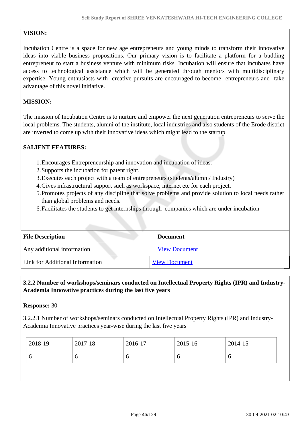# **VISION:**

Incubation Centre is a space for new age entrepreneurs and young minds to transform their innovative ideas into viable business propositions. Our primary vision is to facilitate a platform for a budding entrepreneur to start a business venture with minimum risks. Incubation will ensure that incubates have access to technological assistance which will be generated through mentors with multidisciplinary expertise. Young enthusiasts with creative pursuits are encouraged to become entrepreneurs and take advantage of this novel initiative.

# **MISSION:**

The mission of Incubation Centre is to nurture and empower the next generation entrepreneurs to serve the local problems. The students, alumni of the institute, local industries and also students of the Erode district are inverted to come up with their innovative ideas which might lead to the startup.

#### **SALIENT FEATURES:**

- 1.Encourages Entrepreneurship and innovation and incubation of ideas.
- 2.Supports the incubation for patent right.
- 3.Executes each project with a team of entrepreneurs (students/alumni/ Industry)
- 4.Gives infrastructural support such as workspace, internet etc for each project.
- 5.Promotes projects of any discipline that solve problems and provide solution to local needs rather than global problems and needs.
- 6.Facilitates the students to get internships through companies which are under incubation

| <b>File Description</b>                | <b>Document</b>      |
|----------------------------------------|----------------------|
| Any additional information             | <b>View Document</b> |
| <b>Link for Additional Information</b> | <b>View Document</b> |

# **3.2.2 Number of workshops/seminars conducted on Intellectual Property Rights (IPR) and Industry-Academia Innovative practices during the last five years**

**Response:** 30

3.2.2.1 Number of workshops/seminars conducted on Intellectual Property Rights (IPR) and Industry-Academia Innovative practices year-wise during the last five years

| 2018-19 | 2017-18 | 2016-17 | 2015-16 | 2014-15  |
|---------|---------|---------|---------|----------|
| О       |         | O       | O       | $\sigma$ |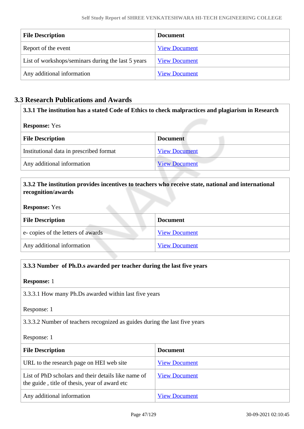| <b>File Description</b>                            | <b>Document</b>      |
|----------------------------------------------------|----------------------|
| Report of the event                                | <b>View Document</b> |
| List of workshops/seminars during the last 5 years | <b>View Document</b> |
| Any additional information                         | <b>View Document</b> |

# **3.3 Research Publications and Awards**

| 3.3.1 The institution has a stated Code of Ethics to check malpractices and plagiarism in Research |                      |  |  |  |
|----------------------------------------------------------------------------------------------------|----------------------|--|--|--|
| <b>Response:</b> Yes                                                                               |                      |  |  |  |
| <b>File Description</b>                                                                            | <b>Document</b>      |  |  |  |
| Institutional data in prescribed format                                                            | <b>View Document</b> |  |  |  |
| Any additional information                                                                         | <b>View Document</b> |  |  |  |

# **3.3.2 The institution provides incentives to teachers who receive state, national and international recognition/awards**

#### **Response:** Yes

| <b>File Description</b>           | <b>Document</b>      |
|-----------------------------------|----------------------|
| e-copies of the letters of awards | <b>View Document</b> |
| Any additional information        | <b>View Document</b> |

# **3.3.3 Number of Ph.D.s awarded per teacher during the last five years**

**Response:** 1

3.3.3.1 How many Ph.Ds awarded within last five years

Response: 1

3.3.3.2 Number of teachers recognized as guides during the last five years

Response: 1

| <b>File Description</b>                                                                              | <b>Document</b>      |
|------------------------------------------------------------------------------------------------------|----------------------|
| URL to the research page on HEI web site                                                             | <b>View Document</b> |
| List of PhD scholars and their details like name of<br>the guide, title of thesis, year of award etc | <b>View Document</b> |
| Any additional information                                                                           | <b>View Document</b> |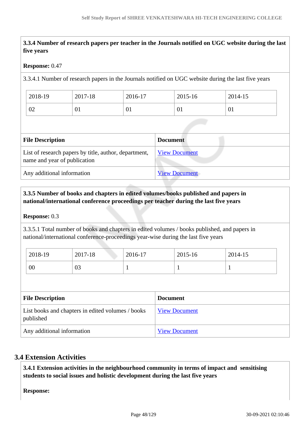**3.3.4 Number of research papers per teacher in the Journals notified on UGC website during the last five years**

#### **Response:** 0.47

3.3.4.1 Number of research papers in the Journals notified on UGC website during the last five years

| 2018-19 | 2017-18 | 2016-17 | 2015-16 | 2014-15 |
|---------|---------|---------|---------|---------|
| 02      | V1.     | 01      | 01      | 01      |

| <b>File Description</b>                                                               | <b>Document</b>      |
|---------------------------------------------------------------------------------------|----------------------|
| List of research papers by title, author, department,<br>name and year of publication | <b>View Document</b> |
| Any additional information                                                            | <b>View Document</b> |

# **3.3.5 Number of books and chapters in edited volumes/books published and papers in national/international conference proceedings per teacher during the last five years**

#### **Response:** 0.3

3.3.5.1 Total number of books and chapters in edited volumes / books published, and papers in national/international conference-proceedings year-wise during the last five years

| 2018-19 | 2017-18 | 2016-17 | 2015-16 | 2014-15 |
|---------|---------|---------|---------|---------|
| 00      | 03      |         |         |         |

| <b>File Description</b>                                        | <b>Document</b>      |
|----------------------------------------------------------------|----------------------|
| List books and chapters in edited volumes / books<br>published | <b>View Document</b> |
| Any additional information                                     | <b>View Document</b> |

### **3.4 Extension Activities**

 **3.4.1 Extension activities in the neighbourhood community in terms of impact and sensitising students to social issues and holistic development during the last five years**

**Response:**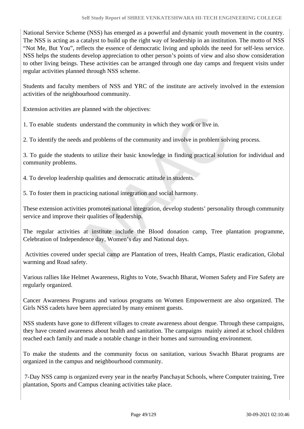National Service Scheme (NSS) has emerged as a powerful and dynamic youth movement in the country. The NSS is acting as a catalyst to build up the right way of leadership in an institution. The motto of NSS "Not Me, But You", reflects the essence of democratic living and upholds the need for self-less service. NSS helps the students develop appreciation to other person's points of view and also show consideration to other living beings. These activities can be arranged through one day camps and frequent visits under regular activities planned through NSS scheme.

Students and faculty members of NSS and YRC of the institute are actively involved in the extension activities of the neighbourhood community.

Extension activities are planned with the objectives:

1. To enable students understand the community in which they work or live in.

2. To identify the needs and problems of the community and involve in problem solving process.

3. To guide the students to utilize their basic knowledge in finding practical solution for individual and community problems.

4. To develop leadership qualities and democratic attitude in students.

5. To foster them in practicing national integration and social harmony.

These extension activities promotes national integration, develop students' personality through community service and improve their qualities of leadership.

The regular activities at institute include the Blood donation camp, Tree plantation programme, Celebration of Independence day, Women's day and National days.

 Activities covered under special camp are Plantation of trees, Health Camps, Plastic eradication, Global warming and Road safety.

Various rallies like Helmet Awareness, Rights to Vote, Swachh Bharat, Women Safety and Fire Safety are regularly organized.

Cancer Awareness Programs and various programs on Women Empowerment are also organized. The Girls NSS cadets have been appreciated by many eminent guests.

NSS students have gone to different villages to create awareness about dengue. Through these campaigns, they have created awareness about health and sanitation. The campaigns mainly aimed at school children reached each family and made a notable change in their homes and surrounding environment.

To make the students and the community focus on sanitation, various Swachh Bharat programs are organized in the campus and neighbourhood community.

 7-Day NSS camp is organized every year in the nearby Panchayat Schools, where Computer training, Tree plantation, Sports and Campus cleaning activities take place.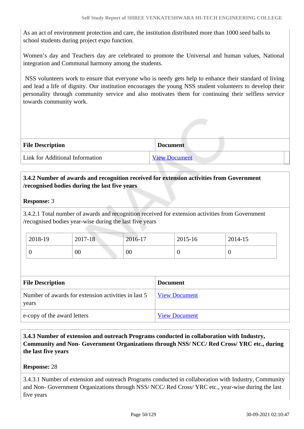As an act of environment protection and care, the institution distributed more than 1000 seed balls to school students during project expo function.

Women's day and Teachers day are celebrated to promote the Universal and human values, National integration and Communal harmony among the students.

 NSS volunteers work to ensure that everyone who is needy gets help to enhance their standard of living and lead a life of dignity. Our institution encourages the young NSS student volunteers to develop their personality through community service and also motivates them for continuing their selfless service towards community work.

| <b>File Description</b>         | <b>Document</b>      |
|---------------------------------|----------------------|
| Link for Additional Information | <b>View Document</b> |

# **3.4.2 Number of awards and recognition received for extension activities from Government /recognised bodies during the last five years**

# **Response:** 3

3.4.2.1 Total number of awards and recognition received for extension activities from Government /recognised bodies year-wise during the last five years

| 2018-19 | $2017 - 18$ | 2016-17 | 2015-16  | 2014-15 |
|---------|-------------|---------|----------|---------|
|         | 00          | 00      | $\theta$ | ີ       |

| <b>File Description</b>                                      | <b>Document</b>      |  |  |
|--------------------------------------------------------------|----------------------|--|--|
| Number of awards for extension activities in last 5<br>years | <b>View Document</b> |  |  |
| e-copy of the award letters                                  | <b>View Document</b> |  |  |

 **3.4.3 Number of extension and outreach Programs conducted in collaboration with Industry, Community and Non- Government Organizations through NSS/ NCC/ Red Cross/ YRC etc., during the last five years** 

#### **Response:** 28

3.4.3.1 Number of extension and outreach Programs conducted in collaboration with Industry, Community and Non- Government Organizations through NSS/ NCC/ Red Cross/ YRC etc., year-wise during the last five years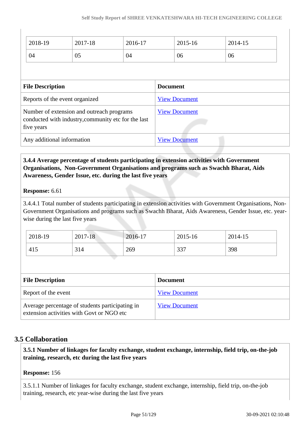| 2018-19                                                                                                        | 2017-18 | 2016-17              |                      | $2015 - 16$ | 2014-15 |  |
|----------------------------------------------------------------------------------------------------------------|---------|----------------------|----------------------|-------------|---------|--|
| 04                                                                                                             | 05      | 04                   |                      |             | 06      |  |
|                                                                                                                |         |                      |                      |             |         |  |
| <b>File Description</b>                                                                                        |         |                      | <b>Document</b>      |             |         |  |
| Reports of the event organized                                                                                 |         | <b>View Document</b> |                      |             |         |  |
| Number of extension and outreach programs<br>conducted with industry, community etc for the last<br>five years |         | <b>View Document</b> |                      |             |         |  |
| Any additional information                                                                                     |         |                      | <b>View Document</b> |             |         |  |

# **3.4.4 Average percentage of students participating in extension activities with Government Organisations, Non-Government Organisations and programs such as Swachh Bharat, Aids Awareness, Gender Issue, etc. during the last five years**

#### **Response:** 6.61

3.4.4.1 Total number of students participating in extension activities with Government Organisations, Non-Government Organisations and programs such as Swachh Bharat, Aids Awareness, Gender Issue, etc. yearwise during the last five years

| 2018-19 | 2017-18 | 2016-17 | 2015-16 | 2014-15 |
|---------|---------|---------|---------|---------|
| 415     | 314     | 269     | 337     | 398     |

| <b>File Description</b>                                                                      | <b>Document</b>      |
|----------------------------------------------------------------------------------------------|----------------------|
| Report of the event                                                                          | <b>View Document</b> |
| Average percentage of students participating in<br>extension activities with Govt or NGO etc | <b>View Document</b> |

# **3.5 Collaboration**

 **3.5.1 Number of linkages for faculty exchange, student exchange, internship, field trip, on-the-job training, research, etc during the last five years**

#### **Response:** 156

3.5.1.1 Number of linkages for faculty exchange, student exchange, internship, field trip, on-the-job training, research, etc year-wise during the last five years

 $\begin{array}{c} \hline \end{array}$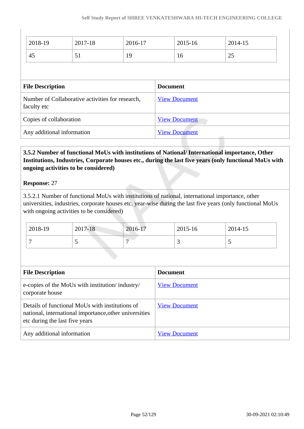| 2018-19                                                         | 2017-18 | 2016-17         |                                                  | 2015-16 | 2014-15 |  |
|-----------------------------------------------------------------|---------|-----------------|--------------------------------------------------|---------|---------|--|
| 45                                                              | 51      | 19              |                                                  | 16      | 25      |  |
|                                                                 |         |                 |                                                  |         |         |  |
| <b>File Description</b>                                         |         | <b>Document</b> |                                                  |         |         |  |
| Number of Collaborative activities for research,<br>faculty etc |         |                 | <b>View Document</b>                             |         |         |  |
| Copies of collaboration                                         |         |                 | <b>View Document</b>                             |         |         |  |
| Any additional information                                      |         |                 | <b>View Document</b><br><b>Contract Contract</b> |         |         |  |

# **3.5.2 Number of functional MoUs with institutions of National/ International importance, Other Institutions, Industries, Corporate houses etc., during the last five years (only functional MoUs with ongoing activities to be considered)**

# **Response:** 27

3.5.2.1 Number of functional MoUs with institutions of national, international importance, other universities, industries, corporate houses etc. year-wise during the last five years (only functional MoUs with ongoing activities to be considered)

| 2018-19 | 2017-18 | 2016-17 | 2015-16 | 2014-15 |
|---------|---------|---------|---------|---------|
|         | ັ       | -       |         | ັ       |

| <b>File Description</b>                                                                                                                     | <b>Document</b>      |
|---------------------------------------------------------------------------------------------------------------------------------------------|----------------------|
| e-copies of the MoUs with institution/industry/<br>corporate house                                                                          | <b>View Document</b> |
| Details of functional MoUs with institutions of<br>national, international importance, other universities<br>etc during the last five years | <b>View Document</b> |
| Any additional information                                                                                                                  | <b>View Document</b> |

 $\begin{array}{c} \hline \end{array}$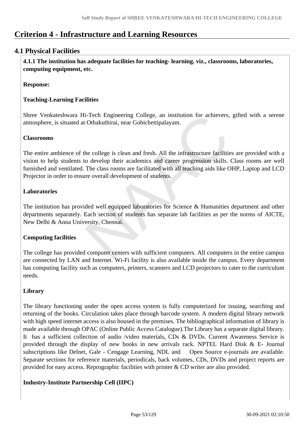# **Criterion 4 - Infrastructure and Learning Resources**

# **4.1 Physical Facilities**

 **4.1.1 The institution has adequate facilities for teaching- learning. viz., classrooms, laboratories, computing equipment, etc.**

**Response:** 

## **Teaching-Learning Facilities**

Shree Venkateshwara Hi-Tech Engineering College, an institution for achievers, gifted with a serene atmosphere, is situated at Othakuthirai, near Gobichettipalayam.

#### **Classrooms**

The entire ambience of the college is clean and fresh. All the infrastructure facilities are provided with a vision to help students to develop their academics and career progression skills. Class rooms are well furnished and ventilated. The class rooms are facilitated with all teaching aids like OHP, Laptop and LCD Projector in order to ensure overall development of students.

#### **Laboratories**

The institution has provided well equipped laboratories for Science & Humanities department and other departments separately. Each section of students has separate lab facilities as per the norms of AICTE, New Delhi & Anna University, Chennai.

#### **Computing facilities**

The college has provided computer centers with sufficient computers. All computers in the entire campus are connected by LAN and Internet. Wi-Fi facility is also available inside the campus. Every department has computing facility such as computers, printers, scanners and LCD projectors to cater to the curriculum needs.

# **Library**

The library functioning under the open access system is fully computerized for issuing, searching and returning of the books. Circulation takes place through barcode system. A modern digital library network with high speed internet access is also housed in the premises. The bibliographical information of library is made available through OPAC (Online Public Access Catalogue).The Library has a separate digital library. It has a sufficient collection of audio /video materials, CDs & DVDs. Current Awareness Service is provided through the display of new books in new arrivals rack. NPTEL Hard Disk  $\&$  E- Journal subscriptions like Delnet, Gale - Cengage Learning, NDL and Open Source e-journals are available. Separate sections for reference materials, periodicals, back volumes, CDs, DVDs and project reports are provided for easy access. Reprographic facilities with printer & CD writer are also provided.

# **Industry-Institute Partnership Cell (IIPC)**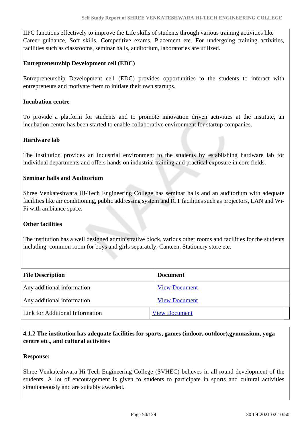IIPC functions effectively to improve the Life skills of students through various training activities like Career guidance, Soft skills, Competitive exams, Placement etc. For undergoing training activities, facilities such as classrooms, seminar halls, auditorium, laboratories are utilized.

# **Entrepreneurship Development cell (EDC)**

Entrepreneurship Development cell (EDC) provides opportunities to the students to interact with entrepreneurs and motivate them to initiate their own startups.

#### **Incubation centre**

To provide a platform for students and to promote innovation driven activities at the institute, an incubation centre has been started to enable collaborative environment for startup companies.

#### **Hardware lab**

The institution provides an industrial environment to the students by establishing hardware lab for individual departments and offers hands on industrial training and practical exposure in core fields.

#### **Seminar halls and Auditorium**

Shree Venkateshwara Hi-Tech Engineering College has seminar halls and an auditorium with adequate facilities like air conditioning, public addressing system and ICT facilities such as projectors, LAN and Wi-Fi with ambiance space.

#### **Other facilities**

The institution has a well designed administrative block, various other rooms and facilities for the students including common room for boys and girls separately, Canteen, Stationery store etc.

| <b>File Description</b>         | <b>Document</b>      |
|---------------------------------|----------------------|
| Any additional information      | <b>View Document</b> |
| Any additional information      | <b>View Document</b> |
| Link for Additional Information | <b>View Document</b> |

# **4.1.2 The institution has adequate facilities for sports, games (indoor, outdoor),gymnasium, yoga centre etc., and cultural activities**

#### **Response:**

Shree Venkateshwara Hi-Tech Engineering College (SVHEC) believes in all-round development of the students. A lot of encouragement is given to students to participate in sports and cultural activities simultaneously and are suitably awarded.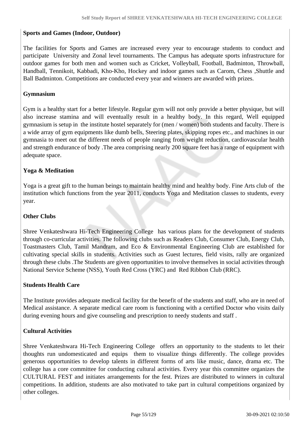### **Sports and Games (Indoor, Outdoor)**

The facilities for Sports and Games are increased every year to encourage students to conduct and participate University and Zonal level tournaments. The Campus has adequate sports infrastructure for outdoor games for both men and women such as Cricket, Volleyball, Football, Badminton, Throwball, Handball, Tennikoit, Kabbadi, Kho-Kho, Hockey and indoor games such as Carom, Chess ,Shuttle and Ball Badminton. Competitions are conducted every year and winners are awarded with prizes.

## **Gymnasium**

Gym is a healthy start for a better lifestyle. Regular gym will not only provide a better physique, but will also increase stamina and will eventually result in a healthy body. In this regard, Well equipped gymnasium is setup in the institute hostel separately for (men / women) both students and faculty. There is a wide array of gym equipments like dumb bells, Steering plates, skipping ropes etc., and machines in our gymnasia to meet out the different needs of people ranging from weight reduction, cardiovascular health and strength endurance of body .The area comprising nearly 200 square feet has a range of equipment with adequate space.

# **Yoga & Meditation**

Yoga is a great gift to the human beings to maintain healthy mind and healthy body. Fine Arts club of the institution which functions from the year 2011, conducts Yoga and Meditation classes to students, every year.

#### **Other Clubs**

Shree Venkateshwara Hi-Tech Engineering College has various plans for the development of students through co-curricular activities. The following clubs such as Readers Club, Consumer Club, Energy Club, Toastmasters Club, Tamil Mandram, and Eco & Environmental Engineering Club are established for cultivating special skills in students. Activities such as Guest lectures, field visits, rally are organized through these clubs .The Students are given opportunities to involve themselves in social activities through National Service Scheme (NSS), Youth Red Cross (YRC) and Red Ribbon Club (RRC).

#### **Students Health Care**

The Institute provides adequate medical facility for the benefit of the students and staff, who are in need of Medical assistance. A separate medical care room is functioning with a certified Doctor who visits daily during evening hours and give counseling and prescription to needy students and staff .

#### **Cultural Activities**

Shree Venkateshwara Hi-Tech Engineering College offers an opportunity to the students to let their thoughts run undomesticated and equips them to visualize things differently. The college provides generous opportunities to develop talents in different forms of arts like music, dance, drama etc. The college has a core committee for conducting cultural activities. Every year this committee organizes the CULTURAL FEST and initiates arrangements for the fest. Prizes are distributed to winners in cultural competitions. In addition, students are also motivated to take part in cultural competitions organized by other colleges.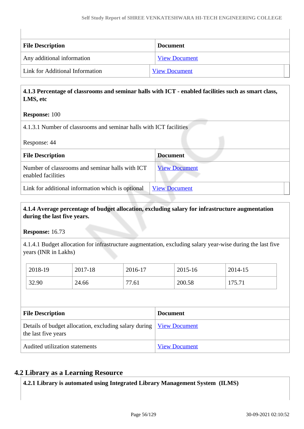| <b>File Description</b>         | <b>Document</b>      |
|---------------------------------|----------------------|
| Any additional information      | <b>View Document</b> |
| Link for Additional Information | <b>View Document</b> |

# **4.1.3 Percentage of classrooms and seminar halls with ICT - enabled facilities such as smart class, LMS, etc**

# **Response:** 100

| 4.1.3.1 Number of classrooms and seminar halls with ICT facilities    |                      |  |
|-----------------------------------------------------------------------|----------------------|--|
| Response: 44                                                          |                      |  |
| <b>File Description</b>                                               | <b>Document</b>      |  |
| Number of classrooms and seminar halls with ICT<br>enabled facilities | <b>View Document</b> |  |
| Link for additional information which is optional                     | <b>View Document</b> |  |

# **4.1.4 Average percentage of budget allocation, excluding salary for infrastructure augmentation during the last five years.**

**Response:** 16.73

4.1.4.1 Budget allocation for infrastructure augmentation, excluding salary year-wise during the last five years (INR in Lakhs)

| 2018-19 | 2017-18 | 2016-17 | 2015-16 | 2014-15      |
|---------|---------|---------|---------|--------------|
| 32.90   | 24.66   | 77.61   | 200.58  | 75<br>179.71 |

| <b>File Description</b>                                                                      | <b>Document</b>      |
|----------------------------------------------------------------------------------------------|----------------------|
| Details of budget allocation, excluding salary during   View Document<br>the last five years |                      |
| Audited utilization statements                                                               | <b>View Document</b> |

# **4.2 Library as a Learning Resource**

**4.2.1 Library is automated using Integrated Library Management System (ILMS)**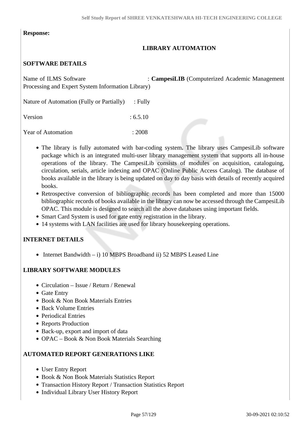#### **Response:**

# **LIBRARY AUTOMATION**

# **SOFTWARE DETAILS**

Name of ILMS Software : **CampesiLIB** (Computerized Academic Management Processing and Expert System Information Library)

Nature of Automation (Fully or Partially) : Fully

 $Version: 6.5.10$ 

Year of Automation : 2008

- The library is fully automated with bar-coding system**.** The library uses CampesiLib software package which is an integrated multi-user library management system that supports all in-house operations of the library. The CampesiLib consists of modules on acquisition, cataloguing, circulation, serials, article indexing and OPAC (Online Public Access Catalog). The database of books available in the library is being updated on day to day basis with details of recently acquired books.
- Retrospective conversion of bibliographic records has been completed and more than 15000 bibliographic records of books available in the library can now be accessed through the CampesiLib OPAC. This module is designed to search all the above databases using important fields.
- Smart Card System is used for gate entry registration in the library.
- 14 systems with LAN facilities are used for library housekeeping operations.

# **INTERNET DETAILS**

• Internet Bandwidth – i) 10 MBPS Broadband ii) 52 MBPS Leased Line

# **LIBRARY SOFTWARE MODULES**

- Circulation Issue / Return / Renewal
- Gate Entry
- Book & Non Book Materials Entries
- Back Volume Entries
- Periodical Entries
- Reports Production
- Back-up, export and import of data
- OPAC Book & Non Book Materials Searching

#### **AUTOMATED REPORT GENERATIONS LIKE**

- User Entry Report
- Book & Non Book Materials Statistics Report
- Transaction History Report / Transaction Statistics Report
- Individual Library User History Report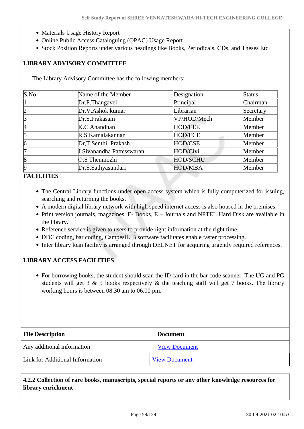- Materials Usage History Report
- Online Public Access Cataloguing (OPAC) Usage Report
- Stock Position Reports under various headings like Books, Periodicals, CDs, and Theses Etc.

# **LIBRARY ADVISORY COMMITTEE**

The Library Advisory Committee has the following members;

| $\mathbf{S}.\mathbf{No}$ | Name of the Member        | Designation    | Status    |
|--------------------------|---------------------------|----------------|-----------|
|                          | Dr.P.Thangavel            | Principal      | Chairman  |
|                          | Dr.V.Ashok kumar          | Librarian      | Secretary |
|                          | Dr.S.Prakasam             | VP/HOD/Mech    | Member    |
|                          | $K.C$ Anandhan            | HOD/EEE        | Member    |
|                          | R.S.Kamalakannan          | <b>HOD/ECE</b> | Member    |
|                          | Dr, T. Senthil Prakash    | HOD/CSE        | Member    |
|                          | J.Sivanandha Pattesswaran | HOD/Civil      | Member    |
|                          | O.S Thenmozhi             | HOD/SCHU       | Member    |
|                          | Dr.S.Sathyasundari        | <b>HOD/MBA</b> | Member    |

# **FACILITIES**

- The Central Library functions under open access system which is fully computerized for issuing, searching and returning the books.
- A modern digital library network with high speed internet access is also housed in the premises.
- Print version journals, magazines, E- Books, E Journals and NPTEL Hard Disk are available in the library.
- Reference service is given to users to provide right information at the right time.
- DDC coding, bar coding, CampesiLIB software facilitates enable faster processing.
- Inter library loan facility is arranged through DELNET for acquiring urgently required references.

# **LIBRARY ACCESS FACILITIES**

For borrowing books, the student should scan the ID card in the bar code scanner. The UG and PG students will get 3  $\&$  5 books respectively  $\&$  the teaching staff will get 7 books. The library working hours is between 08.30 am to 06.00 pm.

| <b>File Description</b>         | <b>Document</b>      |
|---------------------------------|----------------------|
| Any additional information      | <b>View Document</b> |
| Link for Additional Information | <b>View Document</b> |

# **4.2.2 Collection of rare books, manuscripts, special reports or any other knowledge resources for library enrichment**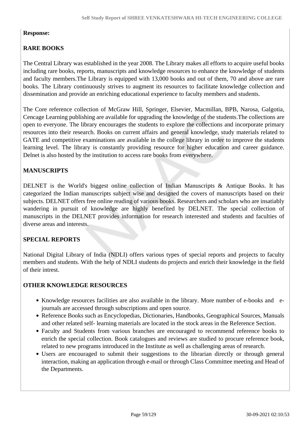#### **Response:**

# **RARE BOOKS**

The Central Library was established in the year 2008. The Library makes all efforts to acquire useful books including rare books, reports, manuscripts and knowledge resources to enhance the knowledge of students and faculty members.The Library is equipped with 13,000 books and out of them, 70 and above are rare books. The Library continuously strives to augment its resources to facilitate knowledge collection and dissemination and provide an enriching educational experience to faculty members and students.

The Core reference collection of McGraw Hill, Springer, Elsevier, Macmillan, BPB, Narosa, Galgotia, Cencage Learning publishing are available for upgrading the knowledge of the students.The collections are open to everyone. The library encourages the students to explore the collections and incorporate primary resources into their research. Books on current affairs and general knowledge, study materials related to GATE and competitive examinations are available in the college library in order to improve the students learning level. The library is constantly providing resource for higher education and career guidance. Delnet is also hosted by the institution to access rare books from everywhere.

# **MANUSCRIPTS**

DELNET is the World's biggest online collection of Indian Manuscripts & Antique Books. It has categorized the Indian manuscripts subject wise and designed the covers of manuscripts based on their subjects. DELNET offers free online reading of various books. Researchers and scholars who are insatiably wandering in pursuit of knowledge are highly benefited by DELNET. The special collection of manuscripts in the DELNET provides information for research interested and students and faculties of diverse areas and interests.

#### **SPECIAL REPORTS**

National Digital Library of India (NDLI) offers various types of special reports and projects to faculty members and students. With the help of NDLI students do projects and enrich their knowledge in the field of their intrest.

#### **OTHER KNOWLEDGE RESOURCES**

- Knowledge resources facilities are also available in the library. More number of e-books and ejournals are accessed through subscriptions and open source.
- Reference Books such as Encyclopedias, Dictionaries, Handbooks, Geographical Sources, Manuals and other related self- learning materials are located in the stock areas in the Reference Section.
- Faculty and Students from various branches are encouraged to recommend reference books to enrich the special collection. Book catalogues and reviews are studied to procure reference book, related to new programs introduced in the Institute as well as challenging areas of research.
- Users are encouraged to submit their suggestions to the librarian directly or through general interaction, making an application through e-mail or through Class Committee meeting and Head of the Departments.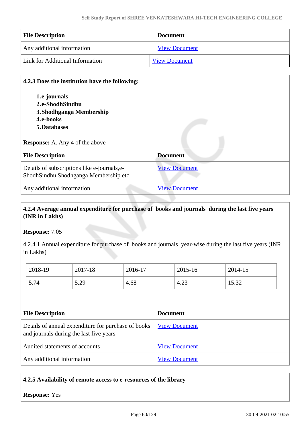| <b>File Description</b>         | <b>Document</b>      |  |
|---------------------------------|----------------------|--|
| Any additional information      | <b>View Document</b> |  |
| Link for Additional Information | <b>View Document</b> |  |

#### **4.2.3 Does the institution have the following:**

**1.e-journals 2.e-ShodhSindhu 3.Shodhganga Membership 4.e-books 5.Databases**

**Response:** A. Any 4 of the above

| <b>File Description</b>                                                               | <b>Document</b>      |
|---------------------------------------------------------------------------------------|----------------------|
| Details of subscriptions like e-journals, e-<br>ShodhSindhu,Shodhganga Membership etc | <b>View Document</b> |
| Any additional information                                                            | <b>View Document</b> |

## **4.2.4 Average annual expenditure for purchase of books and journals during the last five years (INR in Lakhs)**

**Response:** 7.05

4.2.4.1 Annual expenditure for purchase of books and journals year-wise during the last five years (INR in Lakhs)

| 2018-19 | 2017-18 | 2016-17 | 2015-16 | 2014-15       |
|---------|---------|---------|---------|---------------|
| 5.74    | 5.29    | 4.68    | 4.23    | .532<br>19.JZ |

| <b>File Description</b>                                                                        | <b>Document</b>      |
|------------------------------------------------------------------------------------------------|----------------------|
| Details of annual expenditure for purchase of books<br>and journals during the last five years | <b>View Document</b> |
| Audited statements of accounts                                                                 | <b>View Document</b> |
| Any additional information                                                                     | <b>View Document</b> |

#### **4.2.5 Availability of remote access to e-resources of the library**

**Response:** Yes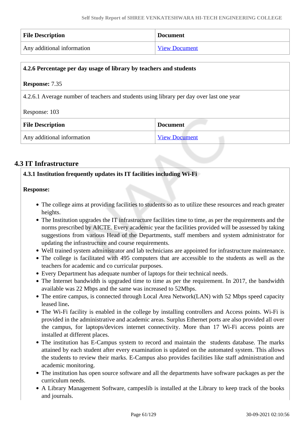| <b>File Description</b>    | Document             |
|----------------------------|----------------------|
| Any additional information | <b>View Document</b> |

| 4.2.6 Percentage per day usage of library by teachers and students                                                |                 |               |
|-------------------------------------------------------------------------------------------------------------------|-----------------|---------------|
| <b>Response: 7.35</b><br>4.2.6.1 Average number of teachers and students using library per day over last one year |                 |               |
|                                                                                                                   |                 | Response: 103 |
| <b>File Description</b>                                                                                           | <b>Document</b> |               |
| Any additional information                                                                                        |                 |               |

# **4.3 IT Infrastructure**

# **4.3.1 Institution frequently updates its IT facilities including Wi-Fi**

#### **Response:**

- The college aims at providing facilities to students so as to utilize these resources and reach greater heights.
- The Institution upgrades the IT infrastructure facilities time to time, as per the requirements and the norms prescribed by AICTE. Every academic year the facilities provided will be assessed by taking suggestions from various Head of the Departments, staff members and system administrator for updating the infrastructure and course requirements.
- Well trained system administrator and lab technicians are appointed for infrastructure maintenance.
- The college is facilitated with 495 computers that are accessible to the students as well as the teachers for academic and co curricular purposes.
- Every Department has adequate number of laptops for their technical needs.
- The Internet bandwidth is upgraded time to time as per the requirement. In 2017, the bandwidth available was 22 Mbps and the same was increased to 52Mbps.
- The entire campus, is connected through Local Area Network(LAN) with 52 Mbps speed capacity leased line**.**
- The Wi-Fi facility is enabled in the college by installing controllers and Access points. Wi-Fi is provided in the administrative and academic areas. Surplus Ethernet ports are also provided all over the campus, for laptops/devices internet connectivity. More than 17 Wi-Fi access points are installed at different places.
- The institution has E-Campus system to record and maintain the students database. The marks attained by each student after every examination is updated on the automated system. This allows the students to review their marks. E-Campus also provides facilities like staff administration and academic monitoring.
- The institution has open source software and all the departments have software packages as per the curriculum needs.
- A Library Management Software, campeslib is installed at the Library to keep track of the books and journals.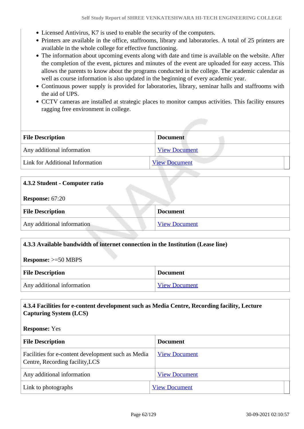- Licensed Antivirus, K7 is used to enable the security of the computers.
- Printers are available in the office, staffrooms, library and laboratories. A total of 25 printers are available in the whole college for effective functioning.
- The information about upcoming events along with date and time is available on the website. After the completion of the event, pictures and minutes of the event are uploaded for easy access. This allows the parents to know about the programs conducted in the college. The academic calendar as well as course information is also updated in the beginning of every academic year.
- Continuous power supply is provided for laboratories, library, seminar halls and staffrooms with the aid of UPS.
- CCTV cameras are installed at strategic places to monitor campus activities. This facility ensures ragging free environment in college.

| <b>File Description</b>         | <b>Document</b>      |
|---------------------------------|----------------------|
| Any additional information      | <b>View Document</b> |
| Link for Additional Information | <b>View Document</b> |

| 4.3.2 Student - Computer ratio |                      |  |
|--------------------------------|----------------------|--|
| <b>Response:</b> $67:20$       |                      |  |
| <b>File Description</b>        | <b>Document</b>      |  |
| Any additional information     | <b>View Document</b> |  |

| 4.3.3 Available bandwidth of internet connection in the Institution (Lease line) |                      |
|----------------------------------------------------------------------------------|----------------------|
| <b>Response:</b> $>=50$ MBPS                                                     |                      |
| <b>File Description</b>                                                          | <b>Document</b>      |
| Any additional information                                                       | <b>View Document</b> |

#### **4.3.4 Facilities for e-content development such as Media Centre, Recording facility, Lecture Capturing System (LCS)**

**Response:** Yes

| <b>File Description</b>                                                               | <b>Document</b>      |
|---------------------------------------------------------------------------------------|----------------------|
| Facilities for e-content development such as Media<br>Centre, Recording facility, LCS | <b>View Document</b> |
| Any additional information                                                            | <b>View Document</b> |
| Link to photographs                                                                   | <b>View Document</b> |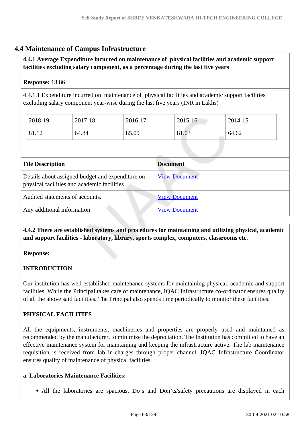# **4.4 Maintenance of Campus Infrastructure**

# **4.4.1 Average Expenditure incurred on maintenance of physical facilities and academic support facilities excluding salary component, as a percentage during the last five years**

# **Response:** 13.86

4.4.1.1 Expenditure incurred on maintenance of physical facilities and academic support facilities excluding salary component year-wise during the last five years (INR in Lakhs)

| 2018-19 | 2017-18 | 2016-17 | 2015-16 | 2014-15 |
|---------|---------|---------|---------|---------|
| 81.12   | 64.84   | 85.09   | 81.03   | 64.62   |

| <b>File Description</b>                                                                         | <b>Document</b>      |
|-------------------------------------------------------------------------------------------------|----------------------|
| Details about assigned budget and expenditure on<br>physical facilities and academic facilities | <b>View Document</b> |
| Audited statements of accounts.                                                                 | <b>View Document</b> |
| Any additional information                                                                      | <b>View Document</b> |

 **4.4.2 There are established systems and procedures for maintaining and utilizing physical, academic and support facilities - laboratory, library, sports complex, computers, classrooms etc.**

#### **Response:**

# **INTRODUCTION**

Our institution has well established maintenance systems for maintaining physical, academic and support facilities. While the Principal takes care of maintenance, IQAC Infrastructure co-ordinator ensures quality of all the above said facilities. The Principal also spends time periodically to monitor these facilities.

#### **PHYSICAL FACILITIES**

All the equipments, instruments, machineries and properties are properly used and maintained as recommended by the manufacturer, to minimize the depreciation. The Institution has committed to have an effective maintenance system for maintaining and keeping the infrastructure active. The lab maintenance requisition is received from lab in-charges through proper channel. IQAC Infrastructure Coordinator ensures quality of maintenance of physical facilities.

#### **a. Laboratories Maintenance Facilities:**

All the laboratories are spacious. Do's and Don'ts/safety precautions are displayed in each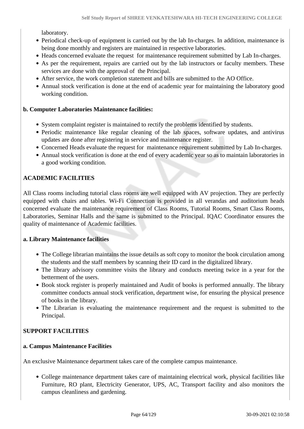laboratory.

- Periodical check-up of equipment is carried out by the lab In-charges. In addition, maintenance is being done monthly and registers are maintained in respective laboratories.
- Heads concerned evaluate the request for maintenance requirement submitted by Lab In-charges.
- As per the requirement, repairs are carried out by the lab instructors or faculty members. These services are done with the approval of the Principal.
- After service, the work completion statement and bills are submitted to the AO Office.
- Annual stock verification is done at the end of academic year for maintaining the laboratory good working condition.

# **b. Computer Laboratories Maintenance facilities:**

- System complaint register is maintained to rectify the problems identified by students.
- Periodic maintenance like regular cleaning of the lab spaces, software updates, and antivirus updates are done after registering in service and maintenance register.
- Concerned Heads evaluate the request for maintenance requirement submitted by Lab In-charges.
- Annual stock verification is done at the end of every academic year so as to maintain laboratories in a good working condition.

# **ACADEMIC FACILITIES**

All Class rooms including tutorial class rooms are well equipped with AV projection. They are perfectly equipped with chairs and tables. Wi-Fi Connection is provided in all verandas and auditorium heads concerned evaluate the maintenance requirement of Class Rooms, Tutorial Rooms, Smart Class Rooms, Laboratories, Seminar Halls and the same is submitted to the Principal. IQAC Coordinator ensures the quality of maintenance of Academic facilities.

#### **a. Library Maintenance facilities**

- The College librarian maintains the issue details as soft copy to monitor the book circulation among the students and the staff members by scanning their ID card in the digitalized library.
- The library advisory committee visits the library and conducts meeting twice in a year for the betterment of the users.
- Book stock register is properly maintained and Audit of books is performed annually. The library committee conducts annual stock verification, department wise, for ensuring the physical presence of books in the library.
- The Librarian is evaluating the maintenance requirement and the request is submitted to the Principal.

# **SUPPORT FACILITIES**

# **a. Campus Maintenance Facilities**

An exclusive Maintenance department takes care of the complete campus maintenance.

College maintenance department takes care of maintaining electrical work, physical facilities like Furniture, RO plant, Electricity Generator, UPS, AC, Transport facility and also monitors the campus cleanliness and gardening.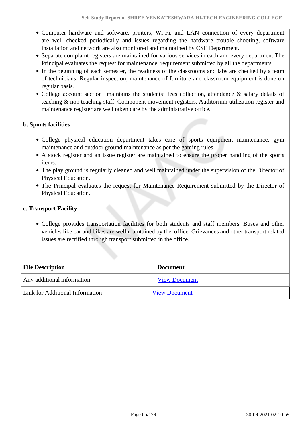- Computer hardware and software, printers, Wi-Fi, and LAN connection of every department are well checked periodically and issues regarding the hardware trouble shooting, software installation and network are also monitored and maintained by CSE Department.
- Separate complaint registers are maintained for various services in each and every department.The Principal evaluates the request for maintenance requirement submitted by all the departments.
- In the beginning of each semester, the readiness of the classrooms and labs are checked by a team of technicians. Regular inspection, maintenance of furniture and classroom equipment is done on regular basis.
- College account section maintains the students' fees collection, attendance & salary details of teaching & non teaching staff. Component movement registers, Auditorium utilization register and maintenance register are well taken care by the administrative office.

# **b. Sports facilities**

- College physical education department takes care of sports equipment maintenance, gym maintenance and outdoor ground maintenance as per the gaming rules.
- A stock register and an issue register are maintained to ensure the proper handling of the sports items.
- The play ground is regularly cleaned and well maintained under the supervision of the Director of Physical Education.
- The Principal evaluates the request for Maintenance Requirement submitted by the Director of Physical Education.

# **c. Transport Facility**

College provides transportation facilities for both students and staff members. Buses and other vehicles like car and bikes are well maintained by the office. Grievances and other transport related issues are rectified through transport submitted in the office.

| <b>File Description</b>         | <b>Document</b>      |
|---------------------------------|----------------------|
| Any additional information      | <b>View Document</b> |
| Link for Additional Information | <b>View Document</b> |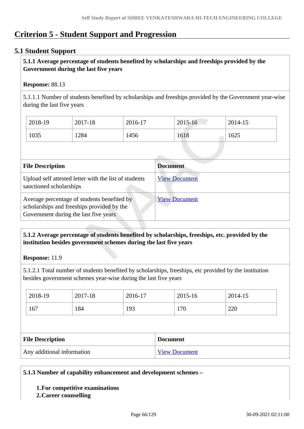# **Criterion 5 - Student Support and Progression**

# **5.1 Student Support**

# **5.1.1 Average percentage of students benefited by scholarships and freeships provided by the Government during the last five years**

## **Response:** 88.13

5.1.1.1 Number of students benefited by scholarships and freeships provided by the Government year-wise during the last five years

| 2018-19 | 2017-18 | 2016-17 | $2015 - 16$ | 2014-15 |
|---------|---------|---------|-------------|---------|
| 1035    | 1284    | 1456    | 1618        | 1625    |

| <b>File Description</b>                                                                                                            | <b>Document</b>      |
|------------------------------------------------------------------------------------------------------------------------------------|----------------------|
| Upload self attested letter with the list of students<br>sanctioned scholarships                                                   | <b>View Document</b> |
| Average percentage of students benefited by<br>scholarships and freeships provided by the<br>Government during the last five years | <b>View Document</b> |

# **5.1.2 Average percentage of students benefited by scholarships, freeships, etc. provided by the institution besides government schemes during the last five years**

**Response:** 11.9

5.1.2.1 Total number of students benefited by scholarships, freeships, etc provided by the institution besides government schemes year-wise during the last five years

| 2018-19                                            |  | 2017-18 | 2016-17         |  | 2015-16 | 2014-15 |  |
|----------------------------------------------------|--|---------|-----------------|--|---------|---------|--|
| 167                                                |  | 184     | 193             |  | 170     | 220     |  |
|                                                    |  |         |                 |  |         |         |  |
| <b>File Description</b>                            |  |         | <b>Document</b> |  |         |         |  |
| Any additional information<br><b>View Document</b> |  |         |                 |  |         |         |  |

#### **5.1.3 Number of capability enhancement and development schemes –**

#### **1.For competitive examinations**

**2.Career counselling**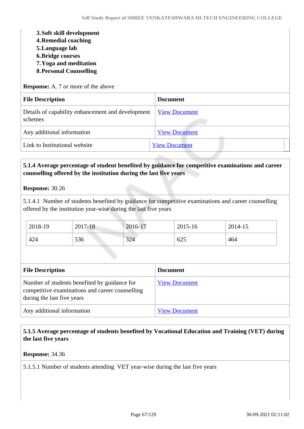| <b>Document</b>      |
|----------------------|
| <b>View Document</b> |
| <b>View Document</b> |
| <b>View Document</b> |
|                      |

# **5.1.4 Average percentage of student benefited by guidance for competitive examinations and career counselling offered by the institution during the last five years**

**Response:** 30.26

5.1.4.1 Number of students benefited by guidance for competitive examinations and career counselling offered by the institution year-wise during the last five years

| 2018-19 | 2017-18 | 2016-17 | 2015-16 | 2014-15 |
|---------|---------|---------|---------|---------|
| 424     | 536     | 324     | 625     | 464     |

| <b>File Description</b>                                                                                                       | <b>Document</b>      |
|-------------------------------------------------------------------------------------------------------------------------------|----------------------|
| Number of students benefited by guidance for<br>competitive examinations and career counselling<br>during the last five years | <b>View Document</b> |
| Any additional information                                                                                                    | <b>View Document</b> |

# **5.1.5 Average percentage of students benefited by Vocational Education and Training (VET) during the last five years**

**Response:** 34.36

5.1.5.1 Number of students attending VET year-wise during the last five years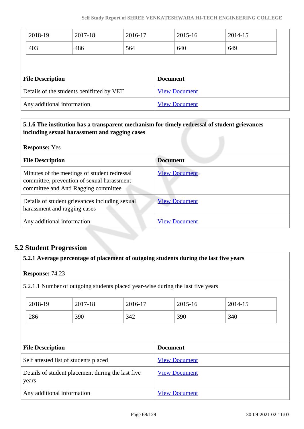| 2018-19                                   | 2017-18 | 2016-17              |                 | 2015-16 | 2014-15 |  |
|-------------------------------------------|---------|----------------------|-----------------|---------|---------|--|
| 403                                       | 486     | 564                  |                 | 640     | 649     |  |
|                                           |         |                      |                 |         |         |  |
| <b>File Description</b>                   |         |                      | <b>Document</b> |         |         |  |
| Details of the students benifitted by VET |         | <b>View Document</b> |                 |         |         |  |
|                                           |         |                      |                 |         |         |  |

# **5.1.6 The institution has a transparent mechanism for timely redressal of student grievances including sexual harassment and ragging cases**

| <b>Response:</b> Yes                                                                                                               |                      |  |
|------------------------------------------------------------------------------------------------------------------------------------|----------------------|--|
| <b>File Description</b>                                                                                                            | <b>Document</b>      |  |
| Minutes of the meetings of student redressal<br>committee, prevention of sexual harassment<br>committee and Anti Ragging committee | <b>View Document</b> |  |
| Details of student grievances including sexual<br>harassment and ragging cases                                                     | <b>View Document</b> |  |
| Any additional information                                                                                                         | <b>View Document</b> |  |

# **5.2 Student Progression**

#### **5.2.1 Average percentage of placement of outgoing students during the last five years**

#### **Response:** 74.23

5.2.1.1 Number of outgoing students placed year-wise during the last five years

| 2018-19 | 2017-18 | 2016-17 | 2015-16 | 2014-15 |
|---------|---------|---------|---------|---------|
| 286     | 390     | 342     | 390     | 340     |

| <b>File Description</b>                                    | <b>Document</b>      |
|------------------------------------------------------------|----------------------|
| Self attested list of students placed                      | <b>View Document</b> |
| Details of student placement during the last five<br>years | <b>View Document</b> |
| Any additional information                                 | <b>View Document</b> |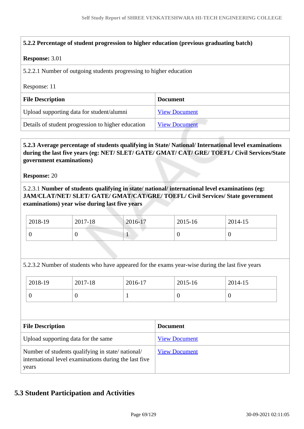# **5.2.2 Percentage of student progression to higher education (previous graduating batch)**

#### **Response:** 3.01

5.2.2.1 Number of outgoing students progressing to higher education

#### Response: 11

| <b>File Description</b>                            | <b>Document</b>      |
|----------------------------------------------------|----------------------|
| Upload supporting data for student/alumni          | <b>View Document</b> |
| Details of student progression to higher education | <b>View Document</b> |

# **5.2.3 Average percentage of students qualifying in State/ National/ International level examinations during the last five years (eg: NET/ SLET/ GATE/ GMAT/ CAT/ GRE/ TOEFL/ Civil Services/State government examinations)**

**Response:** 20

5.2.3.1 **Number of students qualifying in state/ national/ international level examinations (eg: JAM/CLAT/NET/ SLET/ GATE/ GMAT/CAT/GRE/ TOEFL/ Civil Services/ State government examinations) year wise during last five years**

| 2018-19 | 2017-18 | 2016-17 | 2015-16 | 2014-15 |
|---------|---------|---------|---------|---------|
|         |         |         |         |         |

5.2.3.2 Number of students who have appeared for the exams year-wise during the last five years

| 2018-19 | 2017-18 | 2016-17 | 2015-16 | 2014-15 |
|---------|---------|---------|---------|---------|
|         |         |         |         | ν       |

| <b>File Description</b>                                                                                            | <b>Document</b>      |
|--------------------------------------------------------------------------------------------------------------------|----------------------|
| Upload supporting data for the same                                                                                | <b>View Document</b> |
| Number of students qualifying in state/national/<br>international level examinations during the last five<br>years | <b>View Document</b> |

# **5.3 Student Participation and Activities**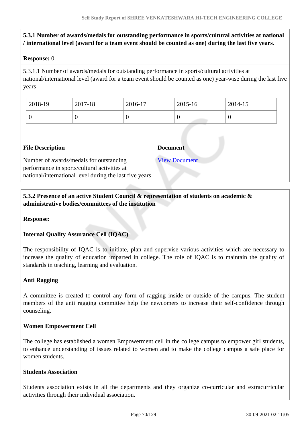# **5.3.1 Number of awards/medals for outstanding performance in sports/cultural activities at national / international level (award for a team event should be counted as one) during the last five years.**

# **Response:** 0

5.3.1.1 Number of awards/medals for outstanding performance in sports/cultural activities at national/international level (award for a team event should be counted as one) year-wise during the last five years

| 2018-19 | 2017-18 | 2016-17 | 2015-16 | 2014-15 |
|---------|---------|---------|---------|---------|
| ν       | ິ       | ν       | ν       | ν       |

| <b>File Description</b>                                                                                                                            | <b>Document</b>      |
|----------------------------------------------------------------------------------------------------------------------------------------------------|----------------------|
| Number of awards/medals for outstanding<br>performance in sports/cultural activities at<br>national/international level during the last five years | <b>View Document</b> |

# **5.3.2 Presence of an active Student Council & representation of students on academic & administrative bodies/committees of the institution**

**Response:** 

#### **Internal Quality Assurance Cell (IQAC)**

The responsibility of IQAC is to initiate, plan and supervise various activities which are necessary to increase the quality of education imparted in college. The role of IQAC is to maintain the quality of standards in teaching, learning and evaluation.

#### **Anti Ragging**

A committee is created to control any form of ragging inside or outside of the campus. The student members of the anti ragging committee help the newcomers to increase their self-confidence through counseling.

#### **Women Empowerment Cell**

The college has established a women Empowerment cell in the college campus to empower girl students, to enhance understanding of issues related to women and to make the college campus a safe place for women students.

#### **Students Association**

Students association exists in all the departments and they organize co-curricular and extracurricular activities through their individual association.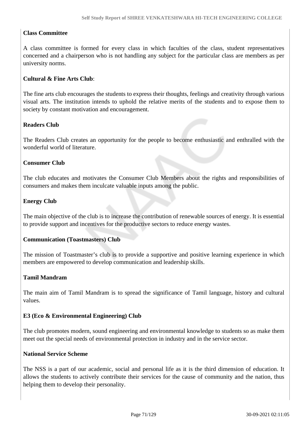# **Class Committee**

A class committee is formed for every class in which faculties of the class, student representatives concerned and a chairperson who is not handling any subject for the particular class are members as per university norms.

## **Cultural & Fine Arts Club**:

The fine arts club encourages the students to express their thoughts, feelings and creativity through various visual arts. The institution intends to uphold the relative merits of the students and to expose them to society by constant motivation and encouragement.

# **Readers Club**

The Readers Club creates an opportunity for the people to become enthusiastic and enthralled with the wonderful world of literature.

#### **Consumer Club**

The club educates and motivates the Consumer Club Members about the rights and responsibilities of consumers and makes them inculcate valuable inputs among the public.

# **Energy Club**

The main objective of the club is to increase the contribution of renewable sources of energy. It is essential to provide support and incentives for the productive sectors to reduce energy wastes.

#### **Communication (Toastmasters) Club**

The mission of Toastmaster's club is to provide a supportive and positive learning experience in which members are empowered to develop communication and leadership skills.

#### **Tamil Mandram**

The main aim of Tamil Mandram is to spread the significance of Tamil language, history and cultural values.

#### **E3 (Eco & Environmental Engineering) Club**

The club promotes modern, sound engineering and environmental knowledge to students so as make them meet out the special needs of environmental protection in industry and in the service sector.

#### **National Service Scheme**

The NSS is a part of our academic, social and personal life as it is the third dimension of education. It allows the students to actively contribute their services for the cause of community and the nation, thus helping them to develop their personality.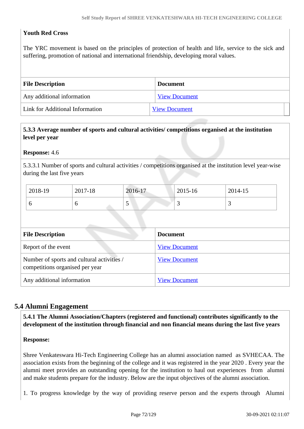# **Youth Red Cross**

The YRC movement is based on the principles of protection of health and life, service to the sick and suffering, promotion of national and international friendship, developing moral values.

| <b>File Description</b>         | <b>Document</b>      |
|---------------------------------|----------------------|
| Any additional information      | <b>View Document</b> |
| Link for Additional Information | <b>View Document</b> |

# **5.3.3 Average number of sports and cultural activities/ competitions organised at the institution level per year**

**Response:** 4.6

5.3.3.1 Number of sports and cultural activities / competitions organised at the institution level year-wise during the last five years

| 2018-19 | 2017-18 | 2016-17 | 2015-16 | 2014-15                  |
|---------|---------|---------|---------|--------------------------|
|         | v       | ັ       |         | $\overline{\phantom{0}}$ |

| <b>File Description</b>                                                       | <b>Document</b>      |
|-------------------------------------------------------------------------------|----------------------|
| Report of the event                                                           | <b>View Document</b> |
| Number of sports and cultural activities /<br>competitions organised per year | <b>View Document</b> |
| Any additional information                                                    | <b>View Document</b> |

# **5.4 Alumni Engagement**

 **5.4.1 The Alumni Association/Chapters (registered and functional) contributes significantly to the development of the institution through financial and non financial means during the last five years**

#### **Response:**

Shree Venkateswara Hi-Tech Engineering College has an alumni association named as SVHECAA. The association exists from the beginning of the college and it was registered in the year 2020 . Every year the alumni meet provides an outstanding opening for the institution to haul out experiences from alumni and make students prepare for the industry. Below are the input objectives of the alumni association.

1. To progress knowledge by the way of providing reserve person and the experts through Alumni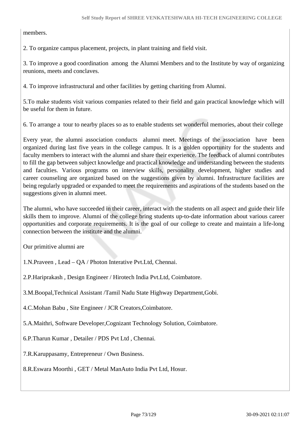members.

2. To organize campus placement, projects, in plant training and field visit.

3. To improve a good coordination among the Alumni Members and to the Institute by way of organizing reunions, meets and conclaves.

4. To improve infrastructural and other facilities by getting chariting from Alumni.

5.To make students visit various companies related to their field and gain practical knowledge which will be useful for them in future.

6. To arrange a tour to nearby places so as to enable students set wonderful memories, about their college

Every year, the alumni association conducts alumni meet. Meetings of the association have been organized during last five years in the college campus. It is a golden opportunity for the students and faculty members to interact with the alumni and share their experience. The feedback of alumni contributes to fill the gap between subject knowledge and practical knowledge and understanding between the students and faculties. Various programs on interview skills, personality development, higher studies and career counseling are organized based on the suggestions given by alumni. Infrastructure facilities are being regularly upgraded or expanded to meet the requirements and aspirations of the students based on the suggestions given in alumni meet.

The alumni, who have succeeded in their career, interact with the students on all aspect and guide their life skills them to improve. Alumni of the college bring students up-to-date information about various career opportunities and corporate requirements. It is the goal of our college to create and maintain a life-long connection between the institute and the alumni.

Our primitive alumni are

1.N.Praveen , Lead – QA / Photon Interative Pvt.Ltd, Chennai.

2.P.Hariprakash , Design Engineer / Hirotech India Pvt.Ltd, Coimbatore.

3.M.Boopal,Technical Assistant /Tamil Nadu State Highway Department,Gobi.

4.C.Mohan Babu , Site Engineer / JCR Creators,Coimbatore.

5.A.Maithri, Software Developer,Cognizant Technology Solution, Coimbatore.

6.P.Tharun Kumar , Detailer / PDS Pvt Ltd , Chennai.

7.R.Karuppasamy, Entrepreneur / Own Business.

8.R.Eswara Moorthi , GET / Metal ManAuto India Pvt Ltd, Hosur.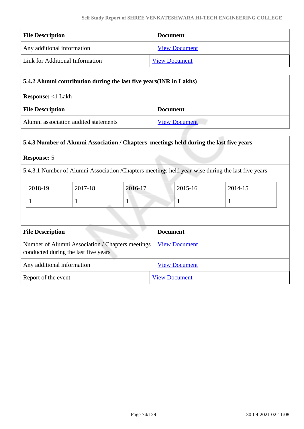| <b>File Description</b>         | <b>Document</b>      |  |
|---------------------------------|----------------------|--|
| Any additional information      | <b>View Document</b> |  |
| Link for Additional Information | <b>View Document</b> |  |

| 5.4.2 Alumni contribution during the last five years (INR in Lakhs) |                      |  |
|---------------------------------------------------------------------|----------------------|--|
| <b>Response:</b> <1 Lakh                                            |                      |  |
| <b>File Description</b>                                             | <b>Document</b>      |  |
| Alumni association audited statements                               | <b>View Document</b> |  |

### **5.4.3 Number of Alumni Association / Chapters meetings held during the last five years**

### **Response:** 5

5.4.3.1 Number of Alumni Association /Chapters meetings held year-wise during the last five years

| 2018-19 | 2017-18 | 2016-17 | 2015-16 | 2014-15 |
|---------|---------|---------|---------|---------|
|         |         |         |         |         |

| <b>File Description</b>                                                                  | <b>Document</b>      |
|------------------------------------------------------------------------------------------|----------------------|
| Number of Alumni Association / Chapters meetings<br>conducted during the last five years | <b>View Document</b> |
| Any additional information                                                               | <b>View Document</b> |
| Report of the event                                                                      | <b>View Document</b> |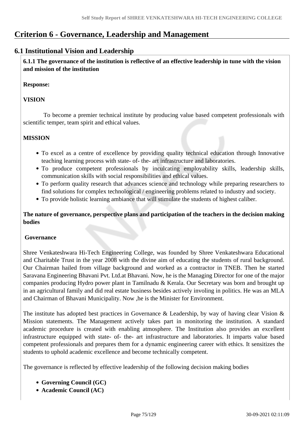# **Criterion 6 - Governance, Leadership and Management**

# **6.1 Institutional Vision and Leadership**

 **6.1.1 The governance of the institution is reflective of an effective leadership in tune with the vision and mission of the institution**

### **Response:**

# **VISION**

 To become a premier technical institute by producing value based competent professionals with scientific temper, team spirit and ethical values.

# **MISSION**

- To excel as a centre of excellence by providing quality technical education through Innovative teaching learning process with state- of- the- art infrastructure and laboratories.
- To produce competent professionals by inculcating employability skills, leadership skills, communication skills with social responsibilities and ethical values.
- To perform quality research that advances science and technology while preparing researchers to find solutions for complex technological / engineering problems related to industry and society.
- To provide holistic learning ambiance that will stimulate the students of highest caliber.

**The nature of governance, perspective plans and participation of the teachers in the decision making bodies**

### **Governance**

Shree Venkateshwara Hi-Tech Engineering College, was founded by Shree Venkateshwara Educational and Charitable Trust in the year 2008 with the divine aim of educating the students of rural background. Our Chairman hailed from village background and worked as a contractor in TNEB. Then he started Saravana Engineering Bhavani Pvt. Ltd.at Bhavani. Now, he is the Managing Director for one of the major companies producing Hydro power plant in Tamilnadu & Kerala. Our Secretary was born and brought up in an agricultural family and did real estate business besides actively involing in politics. He was an MLA and Chairman of Bhavani Municipality. Now ,he is the Minister for Environment.

The institute has adopted best practices in Governance & Leadership, by way of having clear Vision & Mission statements. The Management actively takes part in monitoring the institution. A standard academic procedure is created with enabling atmosphere. The Institution also provides an excellent infrastructure equipped with state- of- the- art infrastructure and laboratories. It imparts value based competent professionals and prepares them for a dynamic engineering career with ethics. It sensitizes the students to uphold academic excellence and become technically competent.

The governance is reflected by effective leadership of the following decision making bodies

- **Governing Council (GC)**
- **Academic Council (AC)**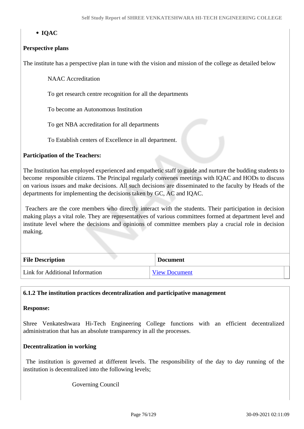# **IQAC**

### **Perspective plans**

The institute has a perspective plan in tune with the vision and mission of the college as detailed below

NAAC Accreditation

To get research centre recognition for all the departments

To become an Autonomous Institution

To get NBA accreditation for all departments

To Establish centers of Excellence in all department.

#### **Participation of the Teachers:**

The Institution has employed experienced and empathetic staff to guide and nurture the budding students to become responsible citizens. The Principal regularly convenes meetings with IQAC and HODs to discuss on various issues and make decisions. All such decisions are disseminated to the faculty by Heads of the departments for implementing the decisions taken by GC, AC and IQAC.

 Teachers are the core members who directly interact with the students. Their participation in decision making plays a vital role. They are representatives of various committees formed at department level and institute level where the decisions and opinions of committee members play a crucial role in decision making.

| <b>File Description</b>         | <b>Document</b>      |
|---------------------------------|----------------------|
| Link for Additional Information | <b>View Document</b> |

### **6.1.2 The institution practices decentralization and participative management**

**Response:** 

Shree Venkateshwara Hi-Tech Engineering College functions with an efficient decentralized administration that has an absolute transparency in all the processes.

#### **Decentralization in working**

 The institution is governed at different levels. The responsibility of the day to day running of the institution is decentralized into the following levels;

Governing Council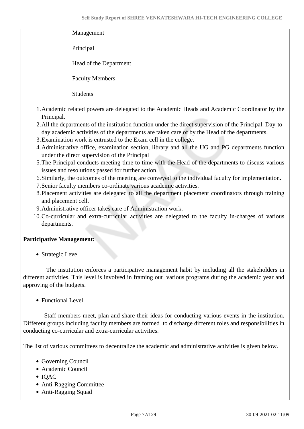Management

Principal

Head of the Department

Faculty Members

**Students** 

- 1.Academic related powers are delegated to the Academic Heads and Academic Coordinator by the Principal.
- 2.All the departments of the institution function under the direct supervision of the Principal. Day-today academic activities of the departments are taken care of by the Head of the departments.
- 3.Examination work is entrusted to the Exam cell in the college.
- 4.Administrative office, examination section, library and all the UG and PG departments function under the direct supervision of the Principal
- 5.The Principal conducts meeting time to time with the Head of the departments to discuss various issues and resolutions passed for further action.
- 6.Similarly, the outcomes of the meeting are conveyed to the individual faculty for implementation.
- 7.Senior faculty members co-ordinate various academic activities.
- 8.Placement activities are delegated to all the department placement coordinators through training and placement cell.
- 9.Administrative officer takes care of Administration work.
- 10.Co-curricular and extra-curricular activities are delegated to the faculty in-charges of various departments.

### **Participative Management:**

Strategic Level

 The institution enforces a participative management habit by including all the stakeholders in different activities. This level is involved in framing out various programs during the academic year and approving of the budgets.

Functional Level

 Staff members meet, plan and share their ideas for conducting various events in the institution. Different groups including faculty members are formed to discharge different roles and responsibilities in conducting co-curricular and extra-curricular activities.

The list of various committees to decentralize the academic and administrative activities is given below.

- Governing Council
- Academic Council
- IOAC
- Anti-Ragging Committee
- Anti-Ragging Squad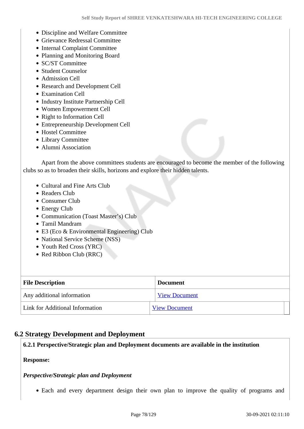- Discipline and Welfare Committee
- Grievance Redressal Committee
- Internal Complaint Committee
- Planning and Monitoring Board
- SC/ST Committee
- Student Counselor
- Admission Cell
- Research and Development Cell
- Examination Cell
- Industry Institute Partnership Cell
- Women Empowerment Cell
- Right to Information Cell
- Entrepreneurship Development Cell
- Hostel Committee
- Library Committee
- Alumni Association

 Apart from the above committees students are encouraged to become the member of the following clubs so as to broaden their skills, horizons and explore their hidden talents.

- Cultural and Fine Arts Club
- Readers Club
- Consumer Club
- Energy Club
- Communication (Toast Master's) Club
- Tamil Mandram
- E3 (Eco & Environmental Engineering) Club
- National Service Scheme (NSS)
- Youth Red Cross (YRC)
- Red Ribbon Club (RRC)

| <b>File Description</b>         | <b>Document</b>      |
|---------------------------------|----------------------|
| Any additional information      | <b>View Document</b> |
| Link for Additional Information | <b>View Document</b> |

### **6.2 Strategy Development and Deployment**

**6.2.1 Perspective/Strategic plan and Deployment documents are available in the institution**

#### **Response:**

#### *Perspective/Strategic plan and Deployment*

• Each and every department design their own plan to improve the quality of programs and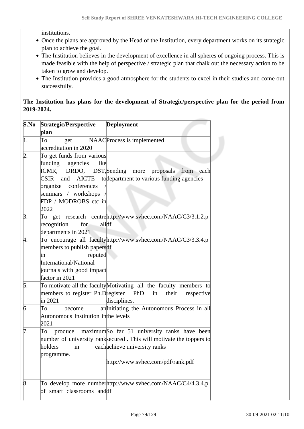institutions.

- Once the plans are approved by the Head of the Institution, every department works on its strategic plan to achieve the goal.
- The Institution believes in the development of excellence in all spheres of ongoing process. This is made feasible with the help of perspective / strategic plan that chalk out the necessary action to be taken to grow and develop.
- The Institution provides a good atmosphere for the students to excel in their studies and come out successfully.

### **The Institution has plans for the development of Strategic/perspective plan for the period from 2019-2024.**

| S.No | <b>Strategic/Perspective</b><br><b>Deployment</b>                                                                                                                                                                                                            |
|------|--------------------------------------------------------------------------------------------------------------------------------------------------------------------------------------------------------------------------------------------------------------|
|      | plan                                                                                                                                                                                                                                                         |
| 1.   | To<br>NAACProcess is implemented<br>get<br>accreditation in 2020                                                                                                                                                                                             |
| 12.  | To get funds from various<br>funding<br>agencies<br>like<br>ICMR,<br>DRDO, DST, Sending more proposals from each<br>CSIR and AICTE to department to various funding agencies<br>organize conferences<br>seminars / workshops<br>FDP / MODROBS etc in<br>2022 |
| β.   | To get research centrehttp://www.svhec.com/NAAC/C3/3.1.2.p<br>alldf<br>recognition<br>for<br>departments in 2021                                                                                                                                             |
| 4.   | To encourage all facultyhttp://www.svhec.com/NAAC/C3/3.3.4.p<br>members to publish papersdf<br>reputed<br>in<br>International/National<br>journals with good impact<br>factor in 2021                                                                        |
| 5.   | To motivate all the faculty Motivating all the faculty members to<br>members to register Ph.Dregister PhD<br>in<br>their<br>respective<br>in 2021<br>disciplines.                                                                                            |
| 6.   | an Initiating the Autonomous Process in all<br>become<br>To<br>Autonomous Institution inthe levels<br>2021                                                                                                                                                   |
| 17.  | maximumSo far 51 university ranks have been<br>To produce<br>number of university rank secured. This will motivate the toppers to<br>eachachieve university ranks<br>holders<br>in<br>programme.<br>http://www.svhec.com/pdf/rank.pdf                        |
| 8.   | To develop more numberhttp://www.svhec.com/NAAC/C4/4.3.4.p<br>of smart classrooms anddf                                                                                                                                                                      |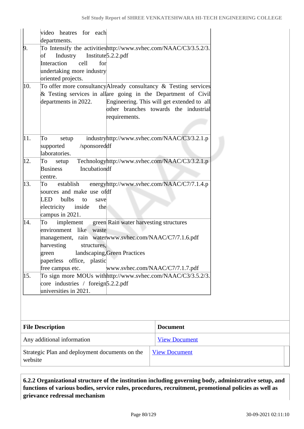|     | <b>File Description</b>                                  | <b>Document</b>                                                                                             |  |
|-----|----------------------------------------------------------|-------------------------------------------------------------------------------------------------------------|--|
|     |                                                          |                                                                                                             |  |
|     | universities in 2021.                                    |                                                                                                             |  |
| 15. | core industries / foreign 5.2.2.pdf                      | To sign more MOUs with http://www.svhec.com/NAAC/C3/3.5.2/3.                                                |  |
|     | paperless office, plastic<br>free campus etc.<br>an an S | www.svhec.com/NAAC/C7/7.1.7.pdf                                                                             |  |
|     | green landscaping, Green Practices                       |                                                                                                             |  |
|     | harvesting<br>structures,                                | management, rain waterwww.svhec.com/NAAC/C7/7.1.6.pdf                                                       |  |
|     | environment like<br>waste                                |                                                                                                             |  |
| 14. | campus in 2021.<br>implement<br>Tо                       | green Rain water harvesting structures                                                                      |  |
|     | electricity inside<br>the                                |                                                                                                             |  |
|     | sources and make use ofdf<br>LED bulbs<br>to<br>save     |                                                                                                             |  |
| 13. | establish<br>To                                          | energyhttp://www.svhec.com/NAAC/C7/7.1.4.p                                                                  |  |
|     | Incubationdf<br><b>Business</b><br>centre.               |                                                                                                             |  |
| 12. | To<br>setup                                              | Technologyhttp://www.svhec.com/NAAC/C3/3.2.1.p                                                              |  |
|     | /sponsoreddf<br>supported<br>laboratories.               |                                                                                                             |  |
| 11. | To<br>setup                                              | industryhttp://www.svhec.com/NAAC/C3/3.2.1.p                                                                |  |
|     |                                                          | requirements.                                                                                               |  |
|     |                                                          | other branches towards the industrial                                                                       |  |
|     | departments in 2022.                                     | & Testing services in allare going in the Department of Civil<br>Engineering. This will get extended to all |  |
| 10. |                                                          | To offer more consultancy Already consultancy & Testing services                                            |  |
|     | oriented projects.                                       |                                                                                                             |  |
|     | Interaction<br>cell<br>for<br>undertaking more industry  |                                                                                                             |  |
|     | Industry Institute 5.2.2.pdf<br>of                       |                                                                                                             |  |
| 19. |                                                          | To Intensify the activitieshttp://www.svhec.com/NAAC/C3/3.5.2/3.                                            |  |
|     | video heatres for each<br>departments.                   |                                                                                                             |  |

Strategic Plan and deployment documents on the website [View Document](http://www.svhec.com/naac.html)

 **6.2.2 Organizational structure of the institution including governing body, administrative setup, and functions of various bodies, service rules, procedures, recruitment, promotional policies as well as grievance redressal mechanism**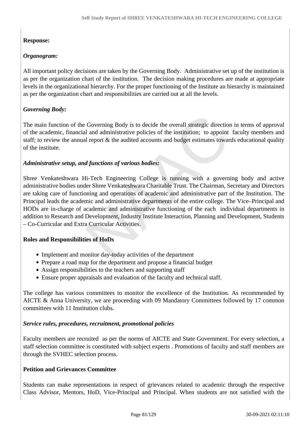# **Response:**

# *Organogram:*

All important policy decisions are taken by the Governing Body. Administrative set up of the institution is as per the organization chart of the institution. The decision making procedures are made at appropriate levels in the organizational hierarchy. For the proper functioning of the Institute an hierarchy is maintained as per the organization chart and responsibilities are carried out at all the levels.

# *Governing Body:*

The main function of the Governing Body is to decide the overall strategic direction in terms of approval of the academic, financial and administrative policies of the institution; to appoint faculty members and staff; to review the annual report & the audited accounts and budget estimates towards educational quality of the institute.

# *Administrative setup, and functions of various bodies:*

Shree Venkateshwara Hi-Tech Engineering College is running with a governing body and active administrative bodies under Shree Venkateshwara Charitable Trust. The Chairman, Secretary and Directors are taking care of functioning and operations of academic and administrative part of the Institution. The Principal leads the academic and administrative departments of the entire college. The Vice–Principal and HODs are in-charge of academic and administrative functioning of the each individual departments in addition to Research and Development, Industry Institute Interaction, Planning and Development, Students – Co-Curricular and Extra Curricular Activities.

### **Roles and Responsibilities of HoDs**

- Implement and monitor day-today activities of the department
- Prepare a road map for the department and propose a financial budget
- Assign responsibilities to the teachers and supporting staff
- Ensure proper appraisals and evaluation of the faculty and technical staff.

The college has various committees to monitor the excellence of the Institution. As recommended by AICTE & Anna University, we are proceeding with 09 Mandatory Committees followed by 17 common committees with 11 Institution clubs.

### *Service rules, procedures, recruitment, promotional policies*

Faculty members are recruited as per the norms of AICTE and State Government. For every selection, a staff selection committee is constituted with subject experts . Promotions of faculty and staff members are through the SVHEC selection process.

# **Petition and Grievances Committee**

Students can make representations in respect of grievances related to academic through the respective Class Advisor, Mentors, HoD, Vice-Principal and Principal. When students are not satisfied with the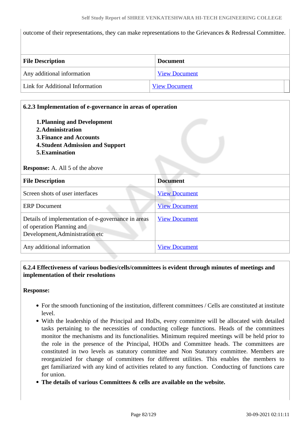#### **Self Study Report of SHREE VENKATESHWARA HI-TECH ENGINEERING COLLEGE**

outcome of their representations, they can make representations to the Grievances & Redressal Committee.

| <b>File Description</b>         | <b>Document</b>      |
|---------------------------------|----------------------|
| Any additional information      | <b>View Document</b> |
| Link for Additional Information | <b>View Document</b> |

| <b>1. Planning and Development</b><br>2. Administration<br><b>3. Finance and Accounts</b><br><b>4. Student Admission and Support</b><br>5. Examination<br><b>Response:</b> A. All 5 of the above |                      |
|--------------------------------------------------------------------------------------------------------------------------------------------------------------------------------------------------|----------------------|
| <b>File Description</b>                                                                                                                                                                          | <b>Document</b>      |
| Screen shots of user interfaces                                                                                                                                                                  | <b>View Document</b> |
| <b>ERP</b> Document                                                                                                                                                                              | <b>View Document</b> |
| Details of implementation of e-governance in areas<br>of operation Planning and<br>Development, Administration etc                                                                               | <b>View Document</b> |
| Any additional information                                                                                                                                                                       | <b>View Document</b> |

### **6.2.4 Effectiveness of various bodies/cells/committees is evident through minutes of meetings and implementation of their resolutions**

#### **Response:**

- For the smooth functioning of the institution, different committees / Cells are constituted at institute level.
- With the leadership of the Principal and HoDs, every committee will be allocated with detailed tasks pertaining to the necessities of conducting college functions. Heads of the committees monitor the mechanisms and its functionalities. Minimum required meetings will be held prior to the role in the presence of the Principal, HODs and Committee heads. The committees are constituted in two levels as statutory committee and Non Statutory committee. Members are reorganizied for change of committees for different utilities. This enables the members to get familiarized with any kind of activities related to any function. Conducting of functions care for union.
- **The details of various Committees & cells are available on the website.**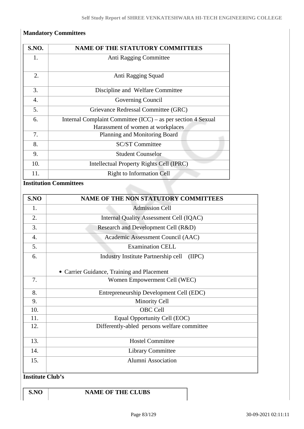# **Mandatory Committees**

| <b>S.NO.</b>     | <b>NAME OF THE STATUTORY COMMITTEES</b>                                                           |
|------------------|---------------------------------------------------------------------------------------------------|
| 1.               | Anti Ragging Committee                                                                            |
| 2.               | Anti Ragging Squad                                                                                |
| 3.               | Discipline and Welfare Committee                                                                  |
| $\overline{4}$ . | Governing Council                                                                                 |
| 5.               | Grievance Redressal Committee (GRC)                                                               |
| 6.               | Internal Complaint Committee (ICC) – as per section 4 Sexual<br>Harassment of women at workplaces |
| 7.               | Planning and Monitoring Board                                                                     |
| 8.               | <b>SC/ST Committee</b>                                                                            |
| 9.               | <b>Student Counselor</b>                                                                          |
| 10.              | Intellectual Property Rights Cell (IPRC)                                                          |
| 11.              | <b>Right to Information Cell</b>                                                                  |

# **Institution Committees**

| S.NO                    | NAME OF THE NON STATUTORY COMMITTEES          |
|-------------------------|-----------------------------------------------|
| 1.                      | <b>Admission Cell</b>                         |
| 2.                      | Internal Quality Assessment Cell (IQAC)       |
| 3.                      | Research and Development Cell (R&D)           |
| 4.                      | Academic Assessment Council (AAC)             |
| 5.                      | <b>Examination CELL</b>                       |
| 6.                      | Industry Institute Partnership cell<br>(IIPC) |
|                         | • Carrier Guidance, Training and Placement    |
| 7.                      | Women Empowerment Cell (WEC)                  |
| 8.                      | Entrepreneurship Development Cell (EDC)       |
| 9.                      | <b>Minority Cell</b>                          |
| 10.                     | <b>OBC Cell</b>                               |
| 11.                     | Equal Opportunity Cell (EOC)                  |
| 12.                     | Differently-abled persons welfare committee   |
| 13.                     | <b>Hostel Committee</b>                       |
| 14.                     | <b>Library Committee</b>                      |
| 15.                     | Alumni Association                            |
| <b>Institute Club's</b> |                                               |

**S.NO NAME OF THE CLUBS**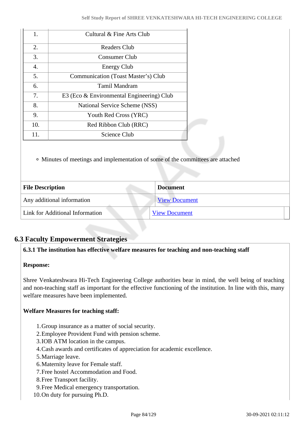| 1.                      | Cultural & Fine Arts Club                                                       |                      |
|-------------------------|---------------------------------------------------------------------------------|----------------------|
| 2.                      | <b>Readers Club</b>                                                             |                      |
| 3.                      | <b>Consumer Club</b>                                                            |                      |
| 4.                      | <b>Energy Club</b>                                                              |                      |
| 5.                      | Communication (Toast Master's) Club                                             |                      |
| 6.                      | Tamil Mandram                                                                   |                      |
| 7.                      | E3 (Eco & Environmental Engineering) Club                                       |                      |
| 8.                      | National Service Scheme (NSS)                                                   |                      |
| 9.                      | Youth Red Cross (YRC)                                                           |                      |
| 10.                     | Red Ribbon Club (RRC)                                                           |                      |
| 11.                     | Science Club                                                                    |                      |
|                         | • Minutes of meetings and implementation of some of the committees are attached |                      |
| <b>File Description</b> |                                                                                 | <b>Document</b>      |
|                         | Any additional information                                                      | <b>View Document</b> |
|                         | Link for Additional Information                                                 | <b>View Document</b> |

# **6.3 Faculty Empowerment Strategies**

# **6.3.1 The institution has effective welfare measures for teaching and non-teaching staff**

# **Response:**

Shree Venkateshwara Hi-Tech Engineering College authorities bear in mind, the well being of teaching and non-teaching staff as important for the effective functioning of the institution. In line with this, many welfare measures have been implemented.

# **Welfare Measures for teaching staff:**

- 1.Group insurance as a matter of social security.
- 2.Employee Provident Fund with pension scheme.
- 3.IOB ATM location in the campus.
- 4.Cash awards and certificates of appreciation for academic excellence.
- 5.Marriage leave.
- 6.Maternity leave for Female staff.
- 7.Free hostel Accommodation and Food.
- 8.Free Transport facility.
- 9.Free Medical emergency transportation.
- 10.On duty for pursuing Ph.D.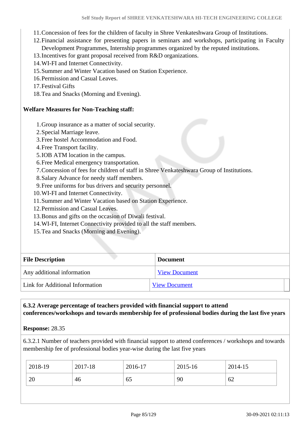- 11.Concession of fees for the children of faculty in Shree Venkateshwara Group of Institutions.
- 12.Financial assistance for presenting papers in seminars and workshops, participating in Faculty Development Programmes, Internship programmes organized by the reputed institutions.
- 13.Incentives for grant proposal received from R&D organizations.
- 14.WI-FI and Internet Connectivity.
- 15.Summer and Winter Vacation based on Station Experience.
- 16.Permission and Casual Leaves.
- 17.Festival Gifts
- 18.Tea and Snacks (Morning and Evening).

#### **Welfare Measures for Non-Teaching staff:**

- 1.Group insurance as a matter of social security.
- 2.Special Marriage leave.
- 3.Free hostel Accommodation and Food.
- 4.Free Transport facility.
- 5.IOB ATM location in the campus.
- 6.Free Medical emergency transportation.
- 7.Concession of fees for children of staff in Shree Venkateshwara Group of Institutions.
- 8.Salary Advance for needy staff members.
- 9.Free uniforms for bus drivers and security personnel.
- 10.WI-FI and Internet Connectivity.
- 11.Summer and Winter Vacation based on Station Experience.
- 12.Permission and Casual Leaves.
- 13.Bonus and gifts on the occasion of Diwali festival.
- 14.WI-FI, Internet Connectivity provided to all the staff members.
- 15.Tea and Snacks (Morning and Evening).

| <b>File Description</b>         | <b>Document</b>      |
|---------------------------------|----------------------|
| Any additional information      | <b>View Document</b> |
| Link for Additional Information | <b>View Document</b> |

### **6.3.2 Average percentage of teachers provided with financial support to attend conferences/workshops and towards membership fee of professional bodies during the last five years**

**Response:** 28.35

6.3.2.1 Number of teachers provided with financial support to attend conferences / workshops and towards membership fee of professional bodies year-wise during the last five years

| 2018-19 | 2017-18 | 2016-17 | 2015-16 | 2014-15 |
|---------|---------|---------|---------|---------|
| 20      | 46      | 65      | 90      | 62      |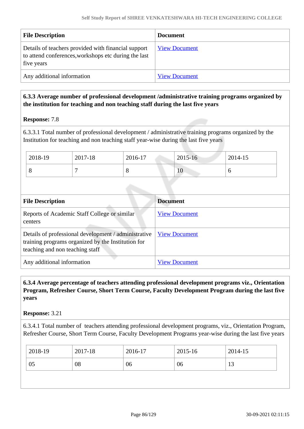| <b>File Description</b>                                                                                                   | <b>Document</b>      |
|---------------------------------------------------------------------------------------------------------------------------|----------------------|
| Details of teachers provided with financial support<br>to attend conferences, workshops etc during the last<br>five years | <b>View Document</b> |
| Any additional information                                                                                                | <b>View Document</b> |

### **6.3.3 Average number of professional development /administrative training programs organized by the institution for teaching and non teaching staff during the last five years**

### **Response:** 7.8

6.3.3.1 Total number of professional development / administrative training programs organized by the Institution for teaching and non teaching staff year-wise during the last five years

| 2018-19 | 2017-18 | 2016-17      | 2015-16                          | 2014-15 |
|---------|---------|--------------|----------------------------------|---------|
| O       |         | O<br>$\circ$ | 1 <sub>0</sub><br>$\overline{1}$ | v       |

| <b>File Description</b>                                                                                                                       | <b>Document</b>      |
|-----------------------------------------------------------------------------------------------------------------------------------------------|----------------------|
| Reports of Academic Staff College or similar<br>centers                                                                                       | <b>View Document</b> |
| Details of professional development / administrative<br>training programs organized by the Institution for<br>teaching and non teaching staff | <b>View Document</b> |
| Any additional information                                                                                                                    | <b>View Document</b> |

# **6.3.4 Average percentage of teachers attending professional development programs viz., Orientation Program, Refresher Course, Short Term Course, Faculty Development Program during the last five years**

### **Response:** 3.21

6.3.4.1 Total number of teachers attending professional development programs, viz., Orientation Program, Refresher Course, Short Term Course, Faculty Development Programs year-wise during the last five years

| 2018-19<br>2017-18 | 2016-17 | 2015-16 |    | 2014-15 |
|--------------------|---------|---------|----|---------|
| 08<br>05           | 06      | 06      | 13 |         |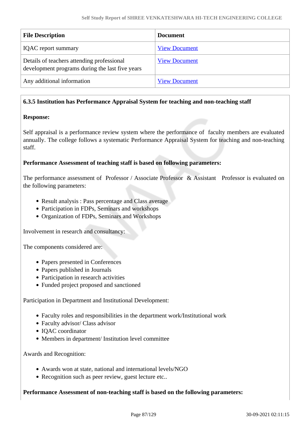| <b>File Description</b>                                                                       | <b>Document</b>      |
|-----------------------------------------------------------------------------------------------|----------------------|
| <b>IQAC</b> report summary                                                                    | <b>View Document</b> |
| Details of teachers attending professional<br>development programs during the last five years | <b>View Document</b> |
| Any additional information                                                                    | <b>View Document</b> |

### **6.3.5 Institution has Performance Appraisal System for teaching and non-teaching staff**

### **Response:**

Self appraisal is a performance review system where the performance of faculty members are evaluated annually. The college follows a systematic Performance Appraisal System for teaching and non-teaching staff.

#### **Performance Assessment of teaching staff is based on following parameters:**

The performance assessment of Professor / Associate Professor & Assistant Professor is evaluated on the following parameters:

- Result analysis : Pass percentage and Class average
- Participation in FDPs, Seminars and workshops
- Organization of FDPs, Seminars and Workshops

Involvement in research and consultancy:

The components considered are:

- Papers presented in Conferences
- Papers published in Journals
- Participation in research activities
- Funded project proposed and sanctioned

Participation in Department and Institutional Development:

- Faculty roles and responsibilities in the department work/Institutional work
- Faculty advisor/ Class advisor
- IQAC coordinator
- Members in department/ Institution level committee

Awards and Recognition:

- Awards won at state, national and international levels/NGO
- Recognition such as peer review, guest lecture etc..

**Performance Assessment of non-teaching staff is based on the following parameters:**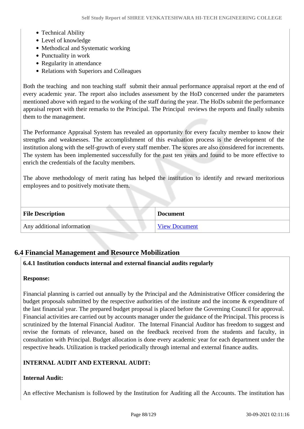- Technical Ability
- Level of knowledge
- Methodical and Systematic working
- Punctuality in work
- Regularity in attendance
- Relations with Superiors and Colleagues

Both the teaching and non teaching staff submit their annual performance appraisal report at the end of every academic year. The report also includes assessment by the HoD concerned under the parameters mentioned above with regard to the working of the staff during the year. The HoDs submit the performance appraisal report with their remarks to the Principal. The Principal reviews the reports and finally submits them to the management.

The Performance Appraisal System has revealed an opportunity for every faculty member to know their strengths and weaknesses. The accomplishment of this evaluation process is the development of the institution along with the self-growth of every staff member. The scores are also considered for increments. The system has been implemented successfully for the past ten years and found to be more effective to enrich the credentials of the faculty members.

The above methodology of merit rating has helped the institution to identify and reward meritorious employees and to positively motivate them.

| <b>File Description</b>    | <b>Document</b>      |
|----------------------------|----------------------|
| Any additional information | <b>View Document</b> |

# **6.4 Financial Management and Resource Mobilization**

# **6.4.1 Institution conducts internal and external financial audits regularly**

### **Response:**

Financial planning is carried out annually by the Principal and the Administrative Officer considering the budget proposals submitted by the respective authorities of the institute and the income & expenditure of the last financial year. The prepared budget proposal is placed before the Governing Council for approval. Financial activities are carried out by accounts manager under the guidance of the Principal. This process is scrutinized by the Internal Financial Auditor. The Internal Financial Auditor has freedom to suggest and revise the formats of relevance, based on the feedback received from the students and faculty, in consultation with Principal. Budget allocation is done every academic year for each department under the respective heads. Utilization is tracked periodically through internal and external finance audits.

# **INTERNAL AUDIT AND EXTERNAL AUDIT:**

# **Internal Audit:**

An effective Mechanism is followed by the Institution for Auditing all the Accounts. The institution has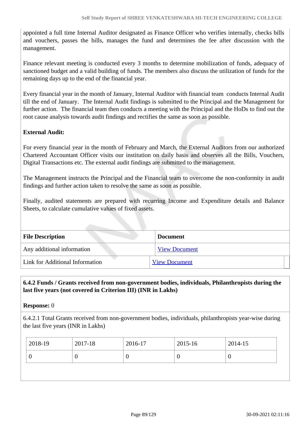appointed a full time Internal Auditor designated as Finance Officer who verifies internally, checks bills and vouchers, passes the bills, manages the fund and determines the fee after discussion with the management.

Finance relevant meeting is conducted every 3 months to determine mobilization of funds, adequacy of sanctioned budget and a valid building of funds. The members also discuss the utilization of funds for the remaining days up to the end of the financial year.

Every financial year in the month of January, Internal Auditor with financial team conducts Internal Audit till the end of January. The Internal Audit findings is submitted to the Principal and the Management for further action. The financial team then conducts a meeting with the Principal and the HoDs to find out the root cause analysis towards audit findings and rectifies the same as soon as possible.

# **External Audit:**

For every financial year in the month of February and March, the External Auditors from our authorized Chartered Accountant Officer visits our institution on daily basis and observes all the Bills, Vouchers, Digital Transactions etc. The external audit findings are submitted to the management.

The Management instructs the Principal and the Financial team to overcome the non-conformity in audit findings and further action taken to resolve the same as soon as possible.

Finally, audited statements are prepared with recurring Income and Expenditure details and Balance Sheets, to calculate cumulative values of fixed assets.

| <b>File Description</b>         | <b>Document</b>      |
|---------------------------------|----------------------|
| Any additional information      | <b>View Document</b> |
| Link for Additional Information | <b>View Document</b> |

# **6.4.2 Funds / Grants received from non-government bodies, individuals, Philanthropists during the last five years (not covered in Criterion III) (INR in Lakhs)**

### **Response:** 0

6.4.2.1 Total Grants received from non-government bodies, individuals, philanthropists year-wise during the last five years (INR in Lakhs)

| 2018-19<br>2017-18 | 2016-17 | 2015-16  | 2014-15 |
|--------------------|---------|----------|---------|
|                    | ν       | $\theta$ |         |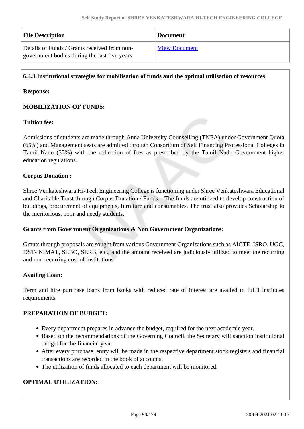| <b>File Description</b>                                                                      | <b>Document</b>      |
|----------------------------------------------------------------------------------------------|----------------------|
| Details of Funds / Grants received from non-<br>government bodies during the last five years | <b>View Document</b> |

#### **6.4.3 Institutional strategies for mobilisation of funds and the optimal utilisation of resources**

#### **Response:**

### **MOBILIZATION OF FUNDS:**

#### **Tuition fee:**

Admissions of students are made through Anna University Counselling (TNEA) under Government Quota (65%) and Management seats are admitted through Consortium of Self Financing Professional Colleges in Tamil Nadu (35%) with the collection of fees as prescribed by the Tamil Nadu Government higher education regulations.

#### **Corpus Donation :**

Shree Venkateshwara Hi-Tech Engineering College is functioning under Shree Venkateshwara Educational and Charitable Trust through Corpus Donation / Funds. The funds are utilized to develop construction of buildings, procurement of equipments, furniture and consumables. The trust also provides Scholarship to the meritorious, poor and needy students.

#### **Grants from Government Organizations & Non Government Organizations:**

Grants through proposals are sought from various Government Organizations such as AICTE, ISRO, UGC, DST- NIMAT, SEBO, SERB, etc., and the amount received are judiciously utilized to meet the recurring and non recurring cost of institutions.

### **Availing Loan:**

Term and hire purchase loans from banks with reduced rate of interest are availed to fulfil institutes requirements.

#### **PREPARATION OF BUDGET:**

- Every department prepares in advance the budget, required for the next academic year.
- Based on the recommendations of the Governing Council, the Secretary will sanction institutional budget for the financial year.
- After every purchase, entry will be made in the respective department stock registers and financial transactions are recorded in the book of accounts.
- The utilization of funds allocated to each department will be monitored.

### **OPTIMAL UTILIZATION:**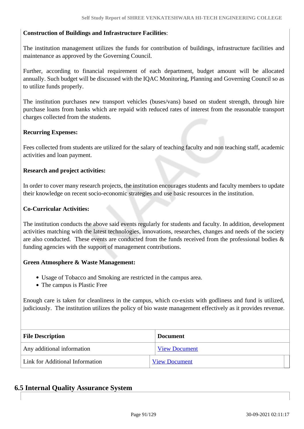### **Construction of Buildings and Infrastructure Facilities**:

The institution management utilizes the funds for contribution of buildings, infrastructure facilities and maintenance as approved by the Governing Council.

Further, according to financial requirement of each department, budget amount will be allocated annually. Such budget will be discussed with the IQAC Monitoring, Planning and Governing Council so as to utilize funds properly.

The institution purchases new transport vehicles (buses/vans) based on student strength, through hire purchase loans from banks which are repaid with reduced rates of interest from the reasonable transport charges collected from the students.

### **Recurring Expenses:**

Fees collected from students are utilized for the salary of teaching faculty and non teaching staff, academic activities and loan payment.

### **Research and project activities:**

In order to cover many research projects, the institution encourages students and faculty members to update their knowledge on recent socio-economic strategies and use basic resources in the institution.

### **Co-Curricular Activities:**

The institution conducts the above said events regularly for students and faculty. In addition, development activities matching with the latest technologies, innovations, researches, changes and needs of the society are also conducted. These events are conducted from the funds received from the professional bodies & funding agencies with the support of management contributions.

### **Green Atmosphere & Waste Management:**

- Usage of Tobacco and Smoking are restricted in the campus area.
- The campus is Plastic Free

Enough care is taken for cleanliness in the campus, which co-exists with godliness and fund is utilized, judiciously. The institution utilizes the policy of bio waste management effectively as it provides revenue.

| <b>File Description</b>         | <b>Document</b>      |
|---------------------------------|----------------------|
| Any additional information      | <b>View Document</b> |
| Link for Additional Information | <b>View Document</b> |

# **6.5 Internal Quality Assurance System**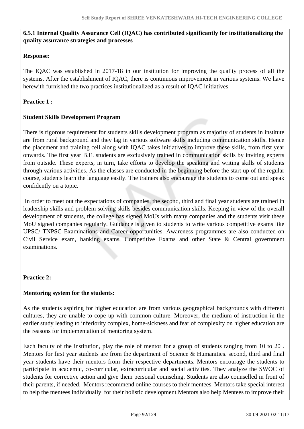# **6.5.1 Internal Quality Assurance Cell (IQAC) has contributed significantly for institutionalizing the quality assurance strategies and processes**

# **Response:**

The IQAC was established in 2017-18 in our institution for improving the quality process of all the systems. After the establishment of IQAC, there is continuous improvement in various systems. We have herewith furnished the two practices institutionalized as a result of IQAC initiatives.

# **Practice 1 :**

# **Student Skills Development Program**

There is rigorous requirement for students skills development program as majority of students in institute are from rural background and they lag in various software skills including communication skills. Hence the placement and training cell along with IQAC takes initiatives to improve these skills, from first year onwards. The first year B.E. students are exclusively trained in communication skills by inviting experts from outside. These experts, in turn, take efforts to develop the speaking and writing skills of students through various activities. As the classes are conducted in the beginning before the start up of the regular course, students learn the language easily. The trainers also encourage the students to come out and speak confidently on a topic.

 In order to meet out the expectations of companies, the second, third and final year students are trained in leadership skills and problem solving skills besides communication skills. Keeping in view of the overall development of students, the college has signed MoUs with many companies and the students visit these MoU signed companies regularly. Guidance is given to students to write various competitive exams like UPSC/ TNPSC Examinations and Career opportunities. Awareness programmes are also conducted on Civil Service exam, banking exams, Competitive Exams and other State & Central government examinations.

# **Practice 2:**

# **Mentoring system for the students:**

As the students aspiring for higher education are from various geographical backgrounds with different cultures, they are unable to cope up with common culture. Moreover, the medium of instruction in the earlier study leading to inferiority complex, home-sickness and fear of complexity on higher education are the reasons for implementation of mentoring system.

Each faculty of the institution, play the role of mentor for a group of students ranging from 10 to 20 . Mentors for first year students are from the department of Science & Humanities. second, third and final year students have their mentors from their respective departments. Mentors encourage the students to participate in academic, co-curricular, extracurricular and social activities. They analyze the SWOC of students for corrective action and give them personal counseling. Students are also counselled in front of their parents, if needed. Mentors recommend online courses to their mentees. Mentors take special interest to help the mentees individually for their holistic development.Mentors also help Mentees to improve their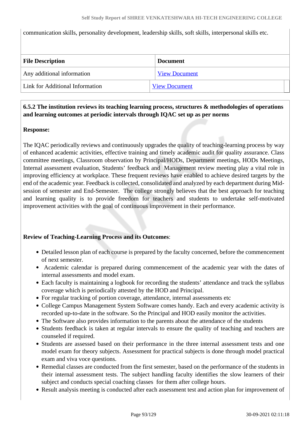communication skills, personality development, leadership skills, soft skills, interpersonal skills etc.

| <b>File Description</b>         | <b>Document</b>      |
|---------------------------------|----------------------|
| Any additional information      | <b>View Document</b> |
| Link for Additional Information | <b>View Document</b> |

# **6.5.2 The institution reviews its teaching learning process, structures & methodologies of operations and learning outcomes at periodic intervals through IQAC set up as per norms**

### **Response:**

The IQAC periodically reviews and continuously upgrades the quality of teaching-learning process by way of enhanced academic activities, effective training and timely academic audit for quality assurance. Class committee meetings, Classroom observation by Principal/HODs, Department meetings, HODs Meetings, Internal assessment evaluation, Students' feedback and Management review meeting play a vital role in improving efficiency at workplace. These frequent reviews have enabled to achieve desired targets by the end of the academic year. Feedback is collected, consolidated and analyzed by each department during Midsession of semester and End-Semester. The college strongly believes that the best approach for teaching and learning quality is to provide freedom for teachers and students to undertake self-motivated improvement activities with the goal of continuous improvement in their performance.

### **Review of Teaching-Learning Process and its Outcomes**:

- Detailed lesson plan of each course is prepared by the faculty concerned, before the commencement of next semester.
- Academic calendar is prepared during commencement of the academic year with the dates of internal assessments and model exam.
- Each faculty is maintaining a logbook for recording the students' attendance and track the syllabus coverage which is periodically attested by the HOD and Principal.
- For regular tracking of portion coverage, attendance, internal assessments etc
- College Campus Management System Software comes handy. Each and every academic activity is recorded up-to-date in the software. So the Principal and HOD easily monitor the activities.
- The Software also provides information to the parents about the attendance of the students
- Students feedback is taken at regular intervals to ensure the quality of teaching and teachers are counseled if required.
- Students are assessed based on their performance in the three internal assessment tests and one model exam for theory subjects. Assessment for practical subjects is done through model practical exam and viva voce questions.
- Remedial classes are conducted from the first semester, based on the performance of the students in their internal assessment tests. The subject handling faculty identifies the slow learners of their subject and conducts special coaching classes for them after college hours.
- Result analysis meeting is conducted after each assessment test and action plan for improvement of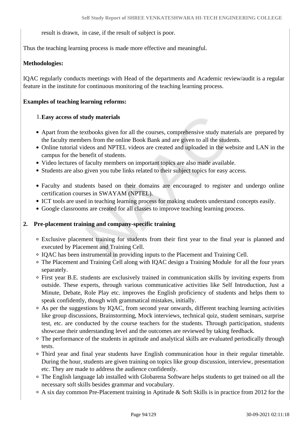result is drawn, in case, if the result of subject is poor.

Thus the teaching learning process is made more effective and meaningful.

# **Methodologies:**

IQAC regularly conducts meetings with Head of the departments and Academic review/audit is a regular feature in the institute for continuous monitoring of the teaching learning process.

### **Examples of teaching learning reforms:**

### 1.**Easy access of study materials**

- Apart from the textbooks given for all the courses, comprehensive study materials are prepared by the faculty members from the online Book Bank and are given to all the students.
- Online tutorial videos and NPTEL videos are created and uploaded in the website and LAN in the campus for the benefit of students.
- Video lectures of faculty members on important topics are also made available.
- Students are also given you tube links related to their subject topics for easy access.
- Faculty and students based on their domains are encouraged to register and undergo online certification courses in SWAYAM (NPTEL).
- ICT tools are used in teaching learning process for making students understand concepts easily.
- Google classrooms are created for all classes to improve teaching learning process.

### **2. Pre-placement training and company-specific training**

- Exclusive placement training for students from their first year to the final year is planned and executed by Placement and Training Cell.
- IQAC has been instrumental in providing inputs to the Placement and Training Cell.
- The Placement and Training Cell along with IQAC design a Training Module for all the four years separately.
- First year B.E. students are exclusively trained in communication skills by inviting experts from outside. These experts, through various communicative activities like Self Introduction, Just a Minute, Debate, Role Play etc. improves the English proficiency of students and helps them to speak confidently, though with grammatical mistakes, initially.
- As per the suggestions by IQAC, from second year onwards, different teaching learning activities like group discussions, Brainstorming, Mock interviews, technical quiz, student seminars, surprise test, etc. are conducted by the course teachers for the students. Through participation, students showcase their understanding level and the outcomes are reviewed by taking feedback.
- The performance of the students in aptitude and analytical skills are evaluated periodically through tests.
- Third year and final year students have English communication hour in their regular timetable. During the hour, students are given training on topics like group discussion, interview, presentation etc. They are made to address the audience confidently.
- The English language lab installed with Globarena Software helps students to get trained on all the necessary soft skills besides grammar and vocabulary.
- A six day common Pre-Placement training in Aptitude & Soft Skills is in practice from 2012 for the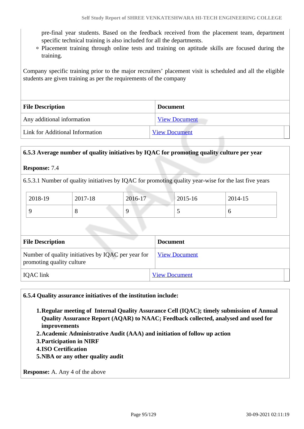pre-final year students. Based on the feedback received from the placement team, department specific technical training is also included for all the departments.

Placement training through online tests and training on aptitude skills are focused during the training.

Company specific training prior to the major recruiters' placement visit is scheduled and all the eligible students are given training as per the requirements of the company

| <b>File Description</b>         | <b>Document</b>      |  |
|---------------------------------|----------------------|--|
| Any additional information      | <b>View Document</b> |  |
| Link for Additional Information | <b>View Document</b> |  |

### **6.5.3 Average number of quality initiatives by IQAC for promoting quality culture per year**

#### **Response:** 7.4

6.5.3.1 Number of quality initiatives by IQAC for promoting quality year-wise for the last five years

| 2018-19 | 2017-18 | 2016-17 | 2015-16  | 2014-15 |
|---------|---------|---------|----------|---------|
|         | v       |         | <b>1</b> | ◡       |

| <b>File Description</b>                                                         | <b>Document</b>      |  |
|---------------------------------------------------------------------------------|----------------------|--|
| Number of quality initiatives by IQAC per year for<br>promoting quality culture | <b>View Document</b> |  |
| IQAC link                                                                       | <b>View Document</b> |  |

**6.5.4 Quality assurance initiatives of the institution include:**

- **1.Regular meeting of Internal Quality Assurance Cell (IQAC); timely submission of Annual Quality Assurance Report (AQAR) to NAAC; Feedback collected, analysed and used for improvements**
- **2.Academic Administrative Audit (AAA) and initiation of follow up action**
- **3.Participation in NIRF**
- **4.ISO Certification**
- **5.NBA or any other quality audit**

**Response:** A. Any 4 of the above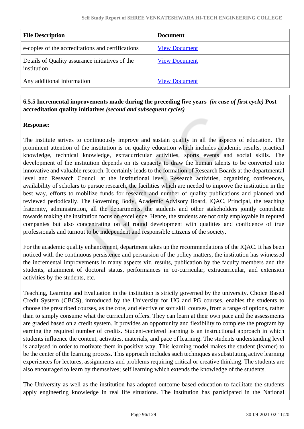| <b>File Description</b>                                        | Document             |
|----------------------------------------------------------------|----------------------|
| e-copies of the accreditations and certifications              | <b>View Document</b> |
| Details of Quality assurance initiatives of the<br>institution | <b>View Document</b> |
| Any additional information                                     | <b>View Document</b> |

 **6.5.5 Incremental improvements made during the preceding five years** *(in case of first cycle)* **Post accreditation quality initiatives** *(second and subsequent cycles)*

### **Response:**

The institute strives to continuously improve and sustain quality in all the aspects of education. The prominent attention of the institution is on quality education which includes academic results, practical knowledge, technical knowledge, extracurricular activities, sports events and social skills. The development of the institution depends on its capacity to draw the human talents to be converted into innovative and valuable research. It certainly leads to the formation of Research Boards at the departmental level and Research Council at the institutional level. Research activities, organizing conferences, availability of scholars to pursue research, the facilities which are needed to improve the institution in the best way, efforts to mobilize funds for research and number of quality publications and planned and reviewed periodically. The Governing Body, Academic Advisory Board, IQAC, Principal, the teaching fraternity, administration, all the departments, the students and other stakeholders jointly contribute towards making the institution focus on excellence. Hence, the students are not only employable in reputed companies but also concentrating on all round development with qualities and confidence of true professionals and turnout to be independent and responsible citizens of the society.

For the academic quality enhancement, department takes up the recommendations of the IQAC. It has been noticed with the continuous persistence and persuasion of the policy matters, the institution has witnessed the incremental improvements in many aspects viz. results, publication by the faculty members and the students, attainment of doctoral status, performances in co-curricular, extracurricular, and extension activities by the students, etc.

Teaching, Learning and Evaluation in the institution is strictly governed by the university. Choice Based Credit System (CBCS), introduced by the University for UG and PG courses, enables the students to choose the prescribed courses, as the core, and elective or soft skill courses, from a range of options, rather than to simply consume what the curriculum offers. They can learn at their own pace and the assessments are graded based on a credit system. It provides an opportunity and flexibility to complete the program by earning the required number of credits. Student-centered learning is an instructional approach in which students influence the content, activities, materials, and pace of learning. The students understanding level is analysed in order to motivate them in positive way. This learning model makes the student (learner) to be the center of the learning process. This approach includes such techniques as substituting active learning experiences for lectures, assignments and problems requiring critical or creative thinking. The students are also encouraged to learn by themselves; self learning which extends the knowledge of the students.

The University as well as the institution has adopted outcome based education to facilitate the students apply engineering knowledge in real life situations. The institution has participated in the National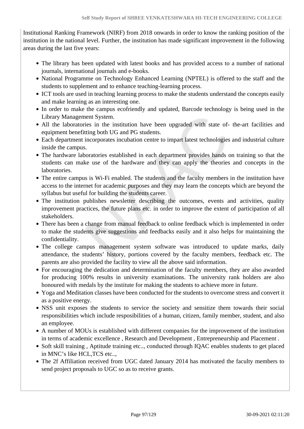Institutional Ranking Framework (NIRF) from 2018 onwards in order to know the ranking position of the institution in the national level. Further, the institution has made significant improvement in the following areas during the last five years:

- The library has been updated with latest books and has provided access to a number of national journals, international journals and e-books.
- National Programme on Technology Enhanced Learning (NPTEL) is offered to the staff and the students to supplement and to enhance teaching-learning process.
- ICT tools are used in teaching learning process to make the students understand the concepts easily and make learning as an interesting one.
- In order to make the campus ecofriendly and updated, Barcode technology is being used in the Library Management System.
- All the laboratories in the institution have been upgraded with state of- the-art facilities and equipment benefitting both UG and PG students.
- Each department incorporates incubation centre to impart latest technologies and industrial culture inside the campus.
- The hardware laboratories established in each department provides hands on training so that the students can make use of the hardware and they can apply the theories and concepts in the laboratories.
- The entire campus is Wi-Fi enabled. The students and the faculty members in the institution have access to the internet for academic purposes and they may learn the concepts which are beyond the syllabus but useful for building the students career.
- The institution publishes newsletter describing the outcomes, events and activities, quality improvement practices, the future plans etc. in order to improve the extent of participation of all stakeholders.
- There has been a change from manual feedback to online feedback which is implemented in order to make the students give suggestions and feedbacks easily and it also helps for maintaining the confidentiality.
- The college campus management system software was introduced to update marks, daily attendance, the students' history, portions covered by the faculty members, feedback etc. The parents are also provided the facility to view all the above said information.
- For encouraging the dedication and determination of the faculty members, they are also awarded for producing 100% results in university examinations. The university rank holders are also honoured with medals by the institute for making the students to achieve more in future.
- Yoga and Meditation classes have been conducted for the students to overcome stress and convert it as a positive energy.
- NSS unit exposes the students to service the society and sensitize them towards their social responsibilities which include resposibilities of a human, citizen, family member, student, and also an employee.
- A number of MOUs is established with different companies for the improvement of the institution in terms of academic excellence , Research and Development , Entrepreneurship and Placement .
- Soft skill training, Aptitude training etc.., conducted through IQAC enables students to get placed in MNC's like HCL,TCS etc..,
- The 2f Affiliation received from UGC dated January 2014 has motivated the faculty members to send project proposals to UGC so as to receive grants.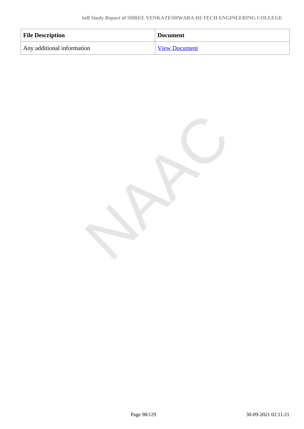| <b>File Description</b>    | <b>Document</b>      |
|----------------------------|----------------------|
| Any additional information | <b>View Document</b> |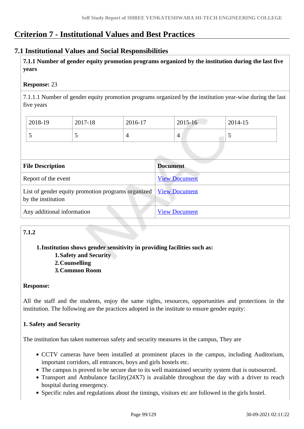# **Criterion 7 - Institutional Values and Best Practices**

# **7.1 Institutional Values and Social Responsibilities**

 **7.1.1 Number of gender equity promotion programs organized by the institution during the last five years** 

### **Response:** 23

7.1.1.1 Number of gender equity promotion programs organized by the institution year-wise during the last five years

| 2018-19 | 2017-18 | 2016-17 | 2015-16 | 2014-15 |
|---------|---------|---------|---------|---------|
|         | ັ       |         | 4       |         |

| <b>File Description</b>                                                  | <b>Document</b>      |
|--------------------------------------------------------------------------|----------------------|
| Report of the event                                                      | <b>View Document</b> |
| List of gender equity promotion programs organized<br>by the institution | <b>View Document</b> |
| Any additional information                                               | <b>View Document</b> |

# **7.1.2**

### **1.Institution shows gender sensitivity in providing facilities such as:**

- **1.Safety and Security**
- **2.Counselling**
- **3.Common Room**

### **Response:**

All the staff and the students, enjoy the same rights, resources, opportunities and protections in the institution. The following are the practices adopted in the institute to ensure gender equity:

# **1. Safety and Security**

The institution has taken numerous safety and security measures in the campus, They are

- CCTV cameras have been installed at prominent places in the campus, including Auditorium, important corridors, all entrances, boys and girls hostels etc.
- The campus is proved to be secure due to its well maintained security system that is outsourced.
- Transport and Ambulance facility(24X7) is available throughout the day with a driver to reach hospital during emergency.
- Specific rules and regulations about the timings, visitors etc are followed in the girls hostel.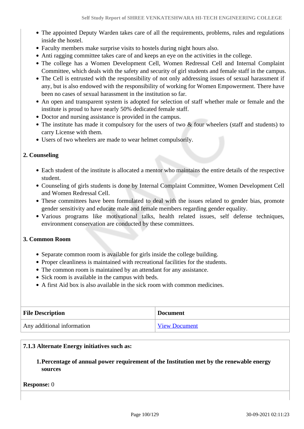- The appointed Deputy Warden takes care of all the requirements, problems, rules and regulations inside the hostel.
- Faculty members make surprise visits to hostels during night hours also.
- Anti ragging committee takes care of and keeps an eye on the activities in the college.
- The college has a Women Development Cell, Women Redressal Cell and Internal Complaint Committee, which deals with the safety and security of girl students and female staff in the campus.
- The Cell is entrusted with the responsibility of not only addressing issues of sexual harassment if any, but is also endowed with the responsibility of working for Women Empowerment. There have been no cases of sexual harassment in the institution so far.
- An open and transparent system is adopted for selection of staff whether male or female and the institute is proud to have nearly 50% dedicated female staff.
- Doctor and nursing assistance is provided in the campus.
- The institute has made it compulsory for the users of two  $\&$  four wheelers (staff and students) to carry License with them.
- Users of two wheelers are made to wear helmet compulsorily.

### **2. Counseling**

- Each student of the institute is allocated a mentor who maintains the entire details of the respective student.
- Counseling of girls students is done by Internal Complaint Committee, Women Development Cell and Women Redressal Cell.
- These committees have been formulated to deal with the issues related to gender bias, promote gender sensitivity and educate male and female members regarding gender equality.
- Various programs like motivational talks, health related issues, self defense techniques, environment conservation are conducted by these committees.

#### **3. Common Room**

- Separate common room is available for girls inside the college building.
- Proper cleanliness is maintained with recreational facilities for the students.
- The common room is maintained by an attendant for any assistance.
- Sick room is available in the campus with beds.
- A first Aid box is also available in the sick room with common medicines.

| <b>File Description</b>    | <b>Document</b>      |
|----------------------------|----------------------|
| Any additional information | <b>View Document</b> |

### **7.1.3 Alternate Energy initiatives such as:**

### **1.Percentage of annual power requirement of the Institution met by the renewable energy sources**

**Response:** 0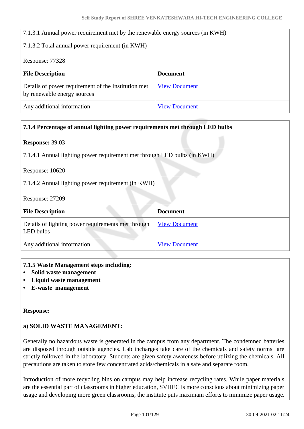### 7.1.3.1 Annual power requirement met by the renewable energy sources (in KWH)

|                                                                                    | $\frac{1}{1000}$ . This was possed for the money of the following to the $\frac{1}{1000}$ (in it $\frac{1}{1000}$ ) |  |
|------------------------------------------------------------------------------------|---------------------------------------------------------------------------------------------------------------------|--|
| 7.1.3.2 Total annual power requirement (in KWH)                                    |                                                                                                                     |  |
| Response: 77328                                                                    |                                                                                                                     |  |
| <b>File Description</b>                                                            | <b>Document</b>                                                                                                     |  |
| Details of power requirement of the Institution met<br>by renewable energy sources | <b>View Document</b>                                                                                                |  |
| Any additional information                                                         | <b>View Document</b>                                                                                                |  |

| 7.1.4 Percentage of annual lighting power requirements met through LED bulbs |                      |  |
|------------------------------------------------------------------------------|----------------------|--|
| <b>Response: 39.03</b>                                                       |                      |  |
| 7.1.4.1 Annual lighting power requirement met through LED bulbs (in KWH)     |                      |  |
| Response: 10620                                                              |                      |  |
| 7.1.4.2 Annual lighting power requirement (in KWH)                           |                      |  |
| Response: 27209                                                              |                      |  |
| <b>Document</b><br><b>File Description</b>                                   |                      |  |
| Details of lighting power requirements met through<br>LED bulbs              | <b>View Document</b> |  |
| Any additional information                                                   | <b>View Document</b> |  |

#### **7.1.5 Waste Management steps including:**

- **Solid waste management**
- **Liquid waste management**
- **E-waste management**

#### **Response:**

### **a) SOLID WASTE MANAGEMENT:**

Generally no hazardous waste is generated in the campus from any department. The condemned batteries are disposed through outside agencies. Lab incharges take care of the chemicals and safety norms are strictly followed in the laboratory. Students are given safety awareness before utilizing the chemicals. All precautions are taken to store few concentrated acids/chemicals in a safe and separate room.

Introduction of more recycling bins on campus may help increase recycling rates. While paper materials are the essential part of classrooms in higher education, SVHEC is more conscious about minimizing paper usage and developing more green classrooms, the institute puts maximam efforts to minimize paper usage.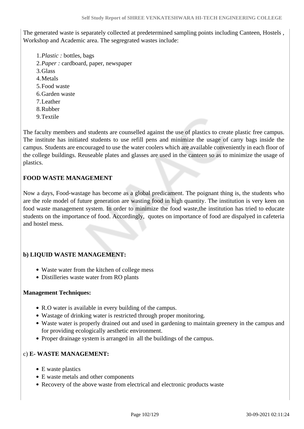The generated waste is separately collected at predetermined sampling points including Canteen, Hostels , Workshop and Academic area. The segregrated wastes include:

- 1.*Plastic :* bottles, bags 2.*Paper :* cardboard, paper, newspaper 3.Glass 4.Metals 5.Food waste 6.Garden waste 7.Leather 8.Rubber 9.Textile
- The faculty members and students are counselled against the use of plastics to create plastic free campus. The institute has initiated students to use refill pens and minimize the usage of carry bags inside the campus. Students are encouraged to use the water coolers which are available conveniently in each floor of the college buildings. Reuseable plates and glasses are used in the canteen so as to minimize the usage of

# **FOOD WASTE MANAGEMENT**

plastics.

Now a days, Food-wastage has become as a global predicament. The poignant thing is, the students who are the role model of future generation are wasting food in high quantity. The institution is very keen on food waste management system. In order to minimize the food waste,the institution has tried to educate students on the importance of food. Accordingly, quotes on importance of food are dispalyed in cafeteria and hostel mess.

# **b) LIQUID WASTE MANAGEMENT:**

- Waste water from the kitchen of college mess
- Distilleries waste water from RO plants

### **Management Techniques:**

- R.O water is available in every building of the campus.
- Wastage of drinking water is restricted through proper monitoring.
- Waste water is properly drained out and used in gardening to maintain greenery in the campus and for providing ecologically aesthetic environment.
- Proper drainage system is arranged in all the buildings of the campus.

### c) **E- WASTE MANAGEMENT:**

- E waste plastics
- E waste metals and other components
- Recovery of the above waste from electrical and electronic products waste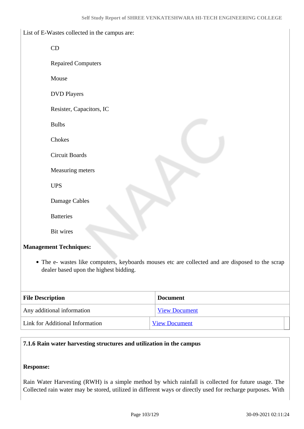| List of E-Wastes collected in the campus are: |  |  |
|-----------------------------------------------|--|--|
|-----------------------------------------------|--|--|

CD

Repaired Computers

Mouse

DVD Players

Resister, Capacitors, IC

Bulbs

Chokes

Circuit Boards

Measuring meters

UPS

Damage Cables

**Batteries** 

Bit wires

### **Management Techniques:**

The e- wastes like computers, keyboards mouses etc are collected and are disposed to the scrap dealer based upon the highest bidding.

| <b>File Description</b>         | <b>Document</b>      |
|---------------------------------|----------------------|
| Any additional information      | <b>View Document</b> |
| Link for Additional Information | <b>View Document</b> |

#### **7.1.6 Rain water harvesting structures and utilization in the campus**

# **Response:**

Rain Water Harvesting (RWH) is a simple method by which rainfall is collected for future usage. The Collected rain water may be stored, utilized in different ways or directly used for recharge purposes. With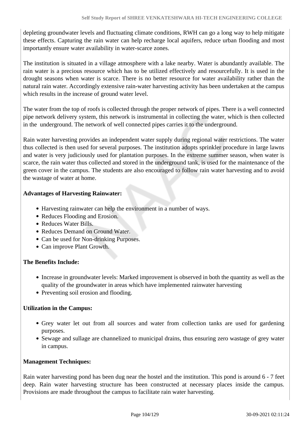depleting groundwater levels and fluctuating climate conditions, RWH can go a long way to help mitigate these effects. Capturing the rain water can help recharge local aquifers, reduce urban flooding and most importantly ensure water availability in water-scarce zones.

The institution is situated in a village atmosphere with a lake nearby. Water is abundantly available. The rain water is a precious resource which has to be utilized effectively and resourcefully. It is used in the drought seasons when water is scarce. There is no better resource for water availability rather than the natural rain water. Accordingly extensive rain-water harvesting activity has been undertaken at the campus which results in the increase of ground water level.

The water from the top of roofs is collected through the proper network of pipes. There is a well connected pipe network delivery system, this network is instrumental in collecting the water, which is then collected in the underground. The network of well connected pipes carries it to the underground.

Rain water harvesting provides an independent water supply during regional water restrictions. The water thus collected is then used for several purposes. The institution adopts sprinkler procedure in large lawns and water is very judiciously used for plantation purposes. In the extreme summer season, when water is scarce, the rain water thus collected and stored in the underground tank, is used for the maintenance of the green cover in the campus. The students are also encouraged to follow rain water harvesting and to avoid the wastage of water at home.

### **Advantages of Harvesting Rainwater:**

- Harvesting rainwater can help the environment in a number of ways.
- Reduces Flooding and Erosion.
- Reduces Water Bills.
- Reduces Demand on Ground Water.
- Can be used for Non-drinking Purposes.
- Can improve Plant Growth.

### **The Benefits Include:**

- Increase in groundwater levels: Marked improvement is observed in both the quantity as well as the quality of the groundwater in areas which have implemented rainwater harvesting
- Preventing soil erosion and flooding.

### **Utilization in the Campus:**

- Grey water let out from all sources and water from collection tanks are used for gardening purposes.
- Sewage and sullage are channelized to municipal drains, thus ensuring zero wastage of grey water in campus.

### **Management Techniques:**

Rain water harvesting pond has been dug near the hostel and the institution. This pond is around 6 - 7 feet deep. Rain water harvesting structure has been constructed at necessary places inside the campus. Provisions are made throughout the campus to facilitate rain water harvesting.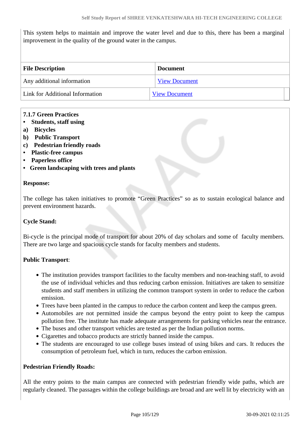This system helps to maintain and improve the water level and due to this, there has been a marginal improvement in the quality of the ground water in the campus.

| <b>File Description</b>         | <b>Document</b>      |
|---------------------------------|----------------------|
| Any additional information      | <b>View Document</b> |
| Link for Additional Information | <b>View Document</b> |

### **7.1.7 Green Practices**

### **• Students, staff using**

- **a) Bicycles**
- **b) Public Transport**
- **c) Pedestrian friendly roads**
- **Plastic-free campus**
- **Paperless office**
- **Green landscaping with trees and plants**

### **Response:**

The college has taken initiatives to promote "Green Practices" so as to sustain ecological balance and prevent environment hazards.

### **Cycle Stand:**

Bi-cycle is the principal mode of transport for about 20% of day scholars and some of faculty members. There are two large and spacious cycle stands for faculty members and students.

### **Public Transport**:

- The institution provides transport facilities to the faculty members and non-teaching staff, to avoid the use of individual vehicles and thus reducing carbon emission. Initiatives are taken to sensitize students and staff members in utilizing the common transport system in order to reduce the carbon emission.
- Trees have been planted in the campus to reduce the carbon content and keep the campus green.
- Automobiles are not permitted inside the campus beyond the entry point to keep the campus pollution free. The institute has made adequate arrangements for parking vehicles near the entrance.
- The buses and other transport vehicles are tested as per the Indian pollution norms.
- Cigarettes and tobacco products are strictly banned inside the campus.
- The students are encouraged to use college buses instead of using bikes and cars. It reduces the consumption of petroleum fuel, which in turn, reduces the carbon emission.

#### **Pedestrian Friendly Roads:**

All the entry points to the main campus are connected with pedestrian friendly wide paths, which are regularly cleaned. The passages within the college buildings are broad and are well lit by electricity with an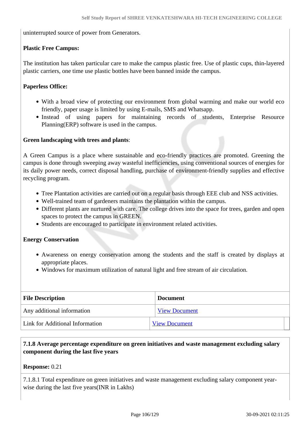uninterrupted source of power from Generators.

### **Plastic Free Campus:**

The institution has taken particular care to make the campus plastic free. Use of plastic cups, thin-layered plastic carriers, one time use plastic bottles have been banned inside the campus.

### **Paperless Office:**

- With a broad view of protecting our environment from global warming and make our world eco friendly, paper usage is limited by using E-mails, SMS and Whatsapp.
- Instead of using papers for maintaining records of students, Enterprise Resource Planning(ERP) software is used in the campus.

#### **Green landscaping with trees and plants**:

A Green Campus is a place where sustainable and eco-friendly practices are promoted. Greening the campus is done through sweeping away wasteful inefficiencies, using conventional sources of energies for its daily power needs, correct disposal handling, purchase of environment-friendly supplies and effective recycling program.

- Tree Plantation activities are carried out on a regular basis through EEE club and NSS activities.
- Well-trained team of gardeners maintains the plantation within the campus.
- Different plants are nurtured with care. The college drives into the space for trees, garden and open spaces to protect the campus in GREEN.
- Students are encouraged to participate in environment related activities.

#### **Energy Conservation**

- Awareness on energy conservation among the students and the staff is created by displays at appropriate places.
- Windows for maximum utilization of natural light and free stream of air circulation.

| <b>File Description</b>         | <b>Document</b>      |
|---------------------------------|----------------------|
| Any additional information      | <b>View Document</b> |
| Link for Additional Information | <b>View Document</b> |

### **7.1.8 Average percentage expenditure on green initiatives and waste management excluding salary component during the last five years**

#### **Response:** 0.21

7.1.8.1 Total expenditure on green initiatives and waste management excluding salary component yearwise during the last five years(INR in Lakhs)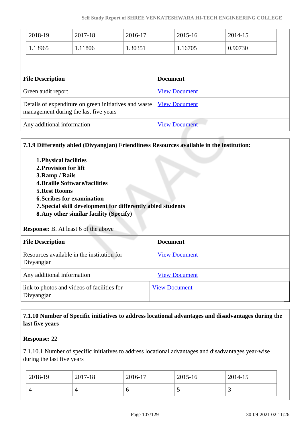|                                                                                                | 2018-19<br>1.13965 | 2017-18<br>1.11806   | 2016-17<br>1.30351   |  | 2015-16<br>1.16705 | 2014-15<br>0.90730 |  |
|------------------------------------------------------------------------------------------------|--------------------|----------------------|----------------------|--|--------------------|--------------------|--|
| <b>File Description</b><br>Green audit report                                                  |                    | <b>Document</b>      | <b>View Document</b> |  |                    |                    |  |
| Details of expenditure on green initiatives and waste<br>management during the last five years |                    | <b>View Document</b> |                      |  |                    |                    |  |
| Any additional information                                                                     |                    |                      | <b>View Document</b> |  |                    |                    |  |

**7.1.9 Differently abled (Divyangjan) Friendliness Resources available in the institution:**

**1.Physical facilities 2.Provision for lift 3.Ramp / Rails 4.Braille Software/facilities 5.Rest Rooms 6.Scribes for examination 7.Special skill development for differently abled students 8.Any other similar facility (Specify) Response:** B. At least 6 of the above **File Description Document** Resources available in the institution for Divyangjan [View Document](https://assessmentonline.naac.gov.in/storage/app/hei/SSR/106376/7.1.9_1582113918_4233.xlsx) Any additional information [View Document](https://assessmentonline.naac.gov.in/storage/app/hei/SSR/106376/7.1.9_1582025233_4233.pdf)

link to photos and videos of facilities for Divyangjan [View Document](http://www.svhec.com/NAAC/C7/7.1.9.pdf)

# **7.1.10 Number of Specific initiatives to address locational advantages and disadvantages during the last five years**

# **Response:** 22

7.1.10.1 Number of specific initiatives to address locational advantages and disadvantages year-wise during the last five years

| 2018-19 | 2017-18 | 2016-17 | 2015-16 | 2014-15  |
|---------|---------|---------|---------|----------|
|         |         | O       |         | <u>ب</u> |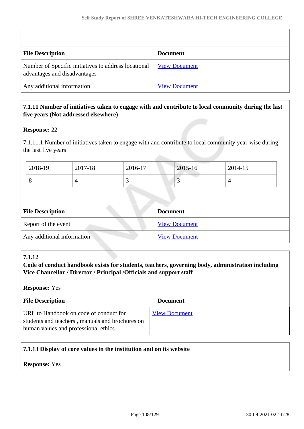| <b>File Description</b>                                                              | <b>Document</b>      |
|--------------------------------------------------------------------------------------|----------------------|
| Number of Specific initiatives to address locational<br>advantages and disadvantages | <b>View Document</b> |
| Any additional information                                                           | <b>View Document</b> |

### **7.1.11 Number of initiatives taken to engage with and contribute to local community during the last five years (Not addressed elsewhere)**

### **Response:** 22

7.1.11.1 Number of initiatives taken to engage with and contribute to local community year-wise during the last five years

| 2018-19 | 2017-18 | 2016-17 | 2015-16 | 2014-15 |
|---------|---------|---------|---------|---------|
|         |         | ັ       |         |         |

| <b>File Description</b>    | <b>Document</b>      |
|----------------------------|----------------------|
| Report of the event        | <b>View Document</b> |
| Any additional information | <b>View Document</b> |

### **7.1.12**

**Code of conduct handbook exists for students, teachers, governing body, administration including Vice Chancellor / Director / Principal /Officials and support staff**

**Response:** Yes

| <b>File Description</b>                                                                                                           | <b>Document</b>      |
|-----------------------------------------------------------------------------------------------------------------------------------|----------------------|
| URL to Handbook on code of conduct for<br>students and teachers, manuals and brochures on<br>human values and professional ethics | <b>View Document</b> |

# **7.1.13 Display of core values in the institution and on its website**

**Response:** Yes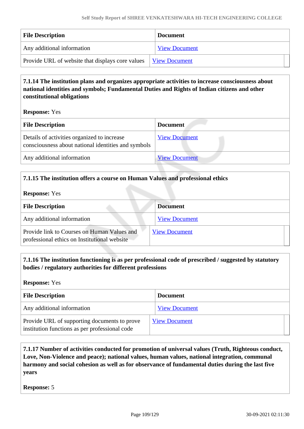| <b>File Description</b>                          | <b>Document</b>      |
|--------------------------------------------------|----------------------|
| Any additional information                       | <b>View Document</b> |
| Provide URL of website that displays core values | <b>View Document</b> |

# **7.1.14 The institution plans and organizes appropriate activities to increase consciousness about national identities and symbols; Fundamental Duties and Rights of Indian citizens and other constitutional obligations**

**Response:** Yes

| <b>File Description</b>                                                                            | <b>Document</b>      |
|----------------------------------------------------------------------------------------------------|----------------------|
| Details of activities organized to increase<br>consciousness about national identities and symbols | <b>View Document</b> |
| Any additional information                                                                         | <b>View Document</b> |
|                                                                                                    |                      |

#### **7.1.15 The institution offers a course on Human Values and professional ethics**

**Response:** Yes

| <b>File Description</b>                                                                     | <b>Document</b>      |
|---------------------------------------------------------------------------------------------|----------------------|
| Any additional information                                                                  | <b>View Document</b> |
| Provide link to Courses on Human Values and<br>professional ethics on Institutional website | <b>View Document</b> |

#### **7.1.16 The institution functioning is as per professional code of prescribed / suggested by statutory bodies / regulatory authorities for different professions**

**Response:** Yes

| <b>File Description</b>                                                                        | <b>Document</b>      |
|------------------------------------------------------------------------------------------------|----------------------|
| Any additional information                                                                     | <b>View Document</b> |
| Provide URL of supporting documents to prove<br>institution functions as per professional code | <b>View Document</b> |

# **7.1.17 Number of activities conducted for promotion of universal values (Truth, Righteous conduct, Love, Non-Violence and peace); national values, human values, national integration, communal harmony and social cohesion as well as for observance of fundamental duties during the last five years**

**Response:** 5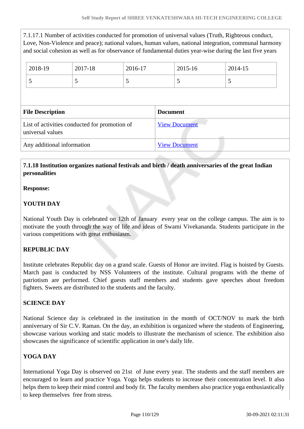|                                                                   |                               |   |                      |                 |                      | 7.1.17.1 Number of activities conducted for promotion of universal values (Truth, Righteous conduct,<br>Love, Non-Violence and peace); national values, human values, national integration, communal harmony<br>and social cohesion as well as for observance of fundamental duties year-wise during the last five years |  |
|-------------------------------------------------------------------|-------------------------------|---|----------------------|-----------------|----------------------|--------------------------------------------------------------------------------------------------------------------------------------------------------------------------------------------------------------------------------------------------------------------------------------------------------------------------|--|
|                                                                   | 2018-19<br>2017-18<br>2016-17 |   |                      |                 | 2015-16              | 2014-15                                                                                                                                                                                                                                                                                                                  |  |
|                                                                   | 5                             | 5 | 5                    |                 | 5                    | 5                                                                                                                                                                                                                                                                                                                        |  |
|                                                                   |                               |   |                      |                 |                      |                                                                                                                                                                                                                                                                                                                          |  |
|                                                                   | <b>File Description</b>       |   |                      | <b>Document</b> |                      |                                                                                                                                                                                                                                                                                                                          |  |
| List of activities conducted for promotion of<br>universal values |                               |   | <b>View Document</b> |                 |                      |                                                                                                                                                                                                                                                                                                                          |  |
|                                                                   | Any additional information    |   |                      |                 | <b>View Document</b> |                                                                                                                                                                                                                                                                                                                          |  |
|                                                                   |                               |   |                      |                 |                      |                                                                                                                                                                                                                                                                                                                          |  |

# **7.1.18 Institution organizes national festivals and birth / death anniversaries of the great Indian personalities**

#### **Response:**

# **YOUTH DAY**

National Youth Day is celebrated on 12th of January every year on the college campus. The aim is to motivate the youth through the way of life and ideas of Swami Vivekananda. Students participate in the various competitions with great enthusiasm.

# **REPUBLIC DAY**

Institute celebrates Republic day on a grand scale. Guests of Honor are invited. Flag is hoisted by Guests. March past is conducted by NSS Volunteers of the institute. Cultural programs with the theme of patriotism are performed. Chief guests staff members and students gave speeches about freedom fighters. Sweets are distributed to the students and the faculty.

# **SCIENCE DAY**

National Science day is celebrated in the institution in the month of OCT/NOV to mark the birth anniversary of Sir C.V. Raman. On the day, an exhibition is organized where the students of Engineering, showcase various working and static models to illustrate the mechanism of science. The exhibition also showcases the significance of scientific application in one's daily life.

# **YOGA DAY**

International Yoga Day is observed on 21st of June every year. The students and the staff members are encouraged to learn and practice Yoga. Yoga helps students to increase their concentration level. It also helps them to keep their mind control and body fit. The faculty members also practice yoga enthusiastically to keep themselves free from stress.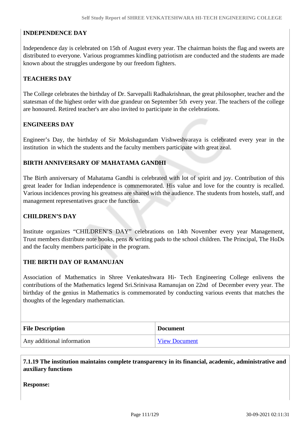# **INDEPENDENCE DAY**

Independence day is celebrated on 15th of August every year. The chairman hoists the flag and sweets are distributed to everyone. Various programmes kindling patriotism are conducted and the students are made known about the struggles undergone by our freedom fighters.

#### **TEACHERS DAY**

The College celebrates the birthday of Dr. Sarvepalli Radhakrishnan, the great philosopher, teacher and the statesman of the highest order with due grandeur on September 5th every year. The teachers of the college are honoured. Retired teacher's are also invited to participate in the celebrations.

#### **ENGINEERS DAY**

Engineer's Day, the birthday of Sir Mokshagundam Vishweshvaraya is celebrated every year in the institution in which the students and the faculty members participate with great zeal.

#### **BIRTH ANNIVERSARY OF MAHATAMA GANDHI**

The Birth anniversary of Mahatama Gandhi is celebrated with lot of spirit and joy. Contribution of this great leader for Indian independence is commemorated. His value and love for the country is recalled. Various incidences proving his greatness are shared with the audience. The students from hostels, staff, and management representatives grace the function.

#### **CHILDREN'S DAY**

Institute organizes "CHILDREN'S DAY" celebrations on 14th November every year Management, Trust members distribute note books, pens & writing pads to the school children. The Principal, The HoDs and the faculty members participate in the program.

#### **THE BIRTH DAY OF RAMANUJAN**

Association of Mathematics in Shree Venkateshwara Hi- Tech Engineering College enlivens the contributions of the Mathematics legend Sri.Srinivasa Ramanujan on 22nd of December every year. The birthday of the genius in Mathematics is commemorated by conducting various events that matches the thoughts of the legendary mathematician.

| <b>File Description</b>    | <b>Document</b>      |  |  |
|----------------------------|----------------------|--|--|
| Any additional information | <b>View Document</b> |  |  |

 **7.1.19 The institution maintains complete transparency in its financial, academic, administrative and auxiliary functions**

**Response:**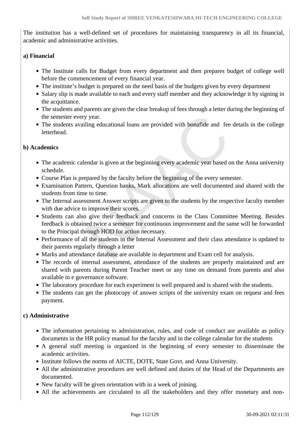The institution has a well-defined set of procedures for maintaining transparency in all its financial, academic and administrative activities.

#### **a) Financial**

- The Institute calls for Budget from every department and then prepares budget of college well before the commencement of every financial year.
- The institute's budget is prepared on the need basis of the budgets given by every department
- Salary slip is made available to each and every staff member and they acknowledge it by signing in the acquittance.
- The students and parents are given the clear breakup of fees through a letter during the beginning of the semester every year.
- The students availing educational loans are provided with bonafide and fee details in the college letterhead.

#### **b) Academics**

- The academic calendar is given at the beginning every academic year based on the Anna university schedule.
- Course Plan is prepared by the faculty before the beginning of the every semester.
- Examination Pattern, Question banks, Mark allocations are well documented and shared with the students from time to time.
- The Internal assessment Answer scripts are given to the students by the respective faculty member with due advice to improve their scores.
- Students can also give their feedback and concerns in the Class Committee Meeting. Besides feedback is obtained twice a semester for continuous improvement and the same will be forwarded to the Principal through HOD for action necessary.
- Performance of all the students in the Internal Assessment and their class attendance is updated to their parents regularly through a letter
- Marks and attendance database are available in department and Exam cell for analysis.
- The records of internal assessment, attendance of the students are properly maintained and are shared with parents during Parent Teacher meet or any time on demand from parents and also available in e governance software.
- The laboratory procedure for each experiment is well prepared and is shared with the students.
- The students can get the photocopy of answer scripts of the university exam on request and fees payment.

#### **c) Administrative**

- The information pertaining to administration, rules, and code of conduct are available as policy documents in the HR policy manual for the faculty and in the college calendar for the students
- A general staff meeting is organized in the beginning of every semester to disseminate the academic activities.
- Institute follows the norms of AICTE, DOTE, State Govt. and Anna University.
- All the administrative procedures are well defined and duties of the Head of the Departments are documented.
- New faculty will be given orientation with in a week of joining.
- All the achievements are circulated to all the stakeholders and they offer monetary and non-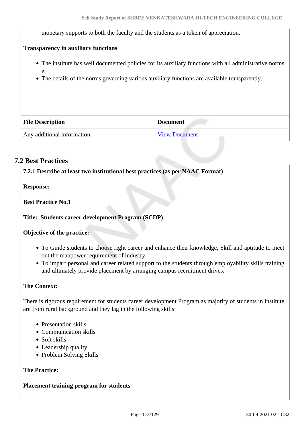monetary supports to both the faculty and the students as a token of appreciation.

#### **Transparency in auxiliary functions**

- The institute has well documented policies for its auxiliary functions with all administrative norms
	- e.
- The details of the norms governing various auxiliary functions are available transparently.

| <b>File Description</b>    | <b>Document</b>      |
|----------------------------|----------------------|
| Any additional information | <b>View Document</b> |

#### **7.2 Best Practices**

**7.2.1 Describe at least two institutional best practices (as per NAAC Format)**

**Response:** 

**Best Practice No.1**

#### **Title: Students career development Program (SCDP)**

#### **Objective of the practice:**

- To Guide students to choose right career and enhance their knowledge, Skill and aptitude to meet out the manpower requirement of industry.
- To impart personal and career related support to the students through employability skills training and ultimately provide placement by arranging campus recruitment drives.

#### **The Context:**

There is rigorous requirement for students career development Program as majority of students in institute are from rural background and they lag in the following skills:

- Presentation skills
- Communication skills
- Soft skills
- Leadership quality
- Problem Solving Skills

#### **The Practice:**

#### **Placement training program for students**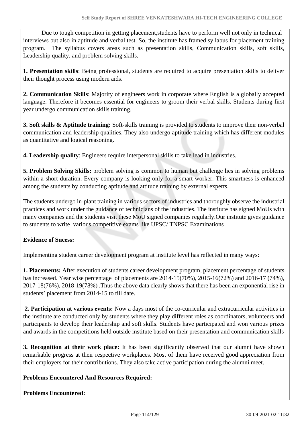Due to tough competition in getting placement,students have to perform well not only in technical interviews but also in aptitude and verbal test. So, the institute has framed syllabus for placement training program. The syllabus covers areas such as presentation skills, Communication skills, soft skills, Leadership quality, and problem solving skills.

**1. Presentation skills**: Being professional, students are required to acquire presentation skills to deliver their thought process using modern aids.

**2. Communication Skills**: Majority of engineers work in corporate where English is a globally accepted language. Therefore it becomes essential for engineers to groom their verbal skills. Students during first year undergo communication skills training.

**3. Soft skills & Aptitude training:** Soft-skills training is provided to students to improve their non-verbal communication and leadership qualities. They also undergo aptitude training which has different modules as quantitative and logical reasoning.

**4. Leadership quality**: Engineers require interpersonal skills to take lead in industries.

**5. Problem Solving Skills:** problem solving is common to human but challenge lies in solving problems within a short duration. Every company is looking only for a smart worker. This smartness is enhanced among the students by conducting aptitude and attitude training by external experts.

The students undergo in-plant training in various sectors of industries and thoroughly observe the industrial practices and work under the guidance of technicians of the industries. The institute has signed MoUs with many companies and the students visit these MoU signed companies regularly.Our institute gives guidance to students to write various competitive exams like UPSC/ TNPSC Examinations .

# **Evidence of Sucess:**

Implementing student career development program at institute level has reflected in many ways:

**1. Placements:** After execution of students career development program, placement percentage of students has increased. Year wise percentage of placements are  $2014-15(70\%)$ ,  $2015-16(72\%)$  and  $2016-17(74\%)$ , 2017-18(76%), 2018-19(78%) .Thus the above data clearly shows that there has been an exponential rise in students' placement from 2014-15 to till date.

**2. Participation at various events:** Now a days most of the co-curricular and extracurricular activities in the institute are conducted only by students where they play different roles as coordinators, volunteers and participants to develop their leadership and soft skills. Students have participated and won various prizes and awards in the competitions held outside institute based on their presentation and communication skills

**3. Recognition at their work place:** It has been significantly observed that our alumni have shown remarkable progress at their respective workplaces. Most of them have received good appreciation from their employers for their contributions. They also take active participation during the alumni meet.

#### **Problems Encountered And Resources Required:**

**Problems Encountered:**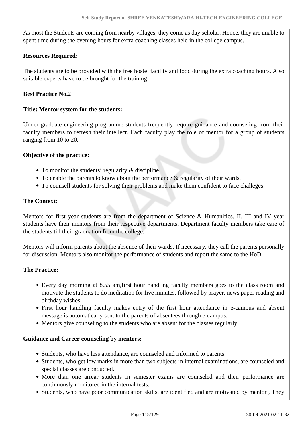As most the Students are coming from nearby villages, they come as day scholar. Hence, they are unable to spent time during the evening hours for extra coaching classes held in the college campus.

# **Resources Required:**

The students are to be provided with the free hostel facility and food during the extra coaching hours. Also suitable experts have to be brought for the training.

#### **Best Practice No.2**

#### **Title: Mentor system for the students:**

Under graduate engineering programme students frequently require guidance and counseling from their faculty members to refresh their intellect. Each faculty play the role of mentor for a group of students ranging from 10 to 20.

#### **Objective of the practice:**

- To monitor the students' regularity & discipline.
- To enable the parents to know about the performance & regularity of their wards.
- To counsell students for solving their problems and make them confident to face challeges.

#### **The Context:**

Mentors for first year students are from the department of Science & Humanities, II, III and IV year students have their mentors from their respective departments. Department faculty members take care of the students till their graduation from the college.

Mentors will inform parents about the absence of their wards. If necessary, they call the parents personally for discussion. Mentors also monitor the performance of students and report the same to the HoD.

#### **The Practice:**

- Every day morning at 8.55 am,first hour handling faculty members goes to the class room and motivate the students to do meditation for five minutes, followed by prayer, news paper reading and birthday wishes.
- First hour handling faculty makes entry of the first hour attendance in e-campus and absent message is automatically sent to the parents of absentees through e-campus.
- Mentors give counseling to the students who are absent for the classes regularly.

#### **Guidance and Career counseling by mentors:**

- Students, who have less attendance, are counseled and informed to parents.
- Students, who get low marks in more than two subjects in internal examinations, are counseled and special classes are conducted.
- More than one arrear students in semester exams are counseled and their performance are continuously monitored in the internal tests.
- Students, who have poor communication skills, are identified and are motivated by mentor, They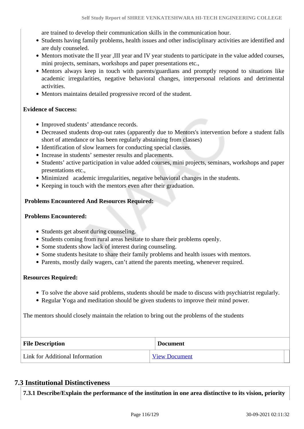are trained to develop their communication skills in the communication hour.

- Students having family problems, health issues and other indisciplinary activities are identified and are duly counseled.
- Mentors motivate the II year ,III year and IV year students to participate in the value added courses, mini projects, seminars, workshops and paper presentations etc.,
- Mentors always keep in touch with parents/guardians and promptly respond to situations like academic irregularities, negative behavioral changes, interpersonal relations and detrimental activities.
- Mentors maintains detailed progressive record of the student.

#### **Evidence of Success:**

- Improved students' attendance records.
- Decreased students drop-out rates (apparently due to Mentors's intervention before a student falls short of attendance or has been regularly abstaining from classes)
- Identification of slow learners for conducting special classes.
- Increase in students' semester results and placements.
- Students' active participation in value added courses, mini projects, seminars, workshops and paper presentations etc.,
- Minimized academic irregularities, negative behavioral changes in the students.
- Keeping in touch with the mentors even after their graduation.

#### **Problems Encountered And Resources Required:**

#### **Problems Encountered:**

- Students get absent during counseling.
- Students coming from rural areas hesitate to share their problems openly.
- Some students show lack of interest during counseling.
- Some students hesitate to share their family problems and health issues with mentors.
- Parents, mostly daily wagers, can't attend the parents meeting, whenever required.

#### **Resources Required:**

- To solve the above said problems, students should be made to discuss with psychiatrist regularly.
- Regular Yoga and meditation should be given students to improve their mind power.

The mentors should closely maintain the relation to bring out the problems of the students

| <b>File Description</b>         | <b>Document</b>      |  |  |
|---------------------------------|----------------------|--|--|
| Link for Additional Information | <b>View Document</b> |  |  |

# **7.3 Institutional Distinctiveness**

**7.3.1 Describe/Explain the performance of the institution in one area distinctive to its vision, priority**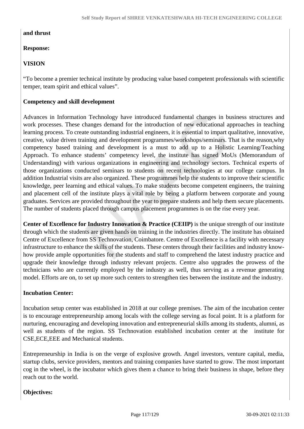# **and thrust**

#### **Response:**

# **VISION**

"To become a premier technical institute by producing value based competent professionals with scientific temper, team spirit and ethical values".

# **Competency and skill development**

Advances in Information Technology have introduced fundamental changes in business structures and work processes. These changes demand for the introduction of new educational approaches in teaching learning process. To create outstanding industrial engineers, it is essential to impart qualitative, innovative, creative, value driven training and development programmes/workshops/seminars. That is the reason,why competency based training and development is a must to add up to a Holistic Learning/Teaching Approach. To enhance students' competency level, the institute has signed MoUs (Memorandum of Understanding) with various organizations in engineering and technology sectors. Technical experts of those organizations conducted seminars to students on recent technologies at our college campus. In addition Industrial visits are also organized. These programmes help the students to improve their scientific knowledge, peer learning and ethical values. To make students become competent engineers, the training and placement cell of the institute plays a vital role by being a platform between corporate and young graduates. Services are provided throughout the year to prepare students and help them secure placements. The number of students placed through campus placement programmes is on the rise every year.

**Center of Excellence for Industry Innovation & Practice (CEIIP)** is the unique strength of our institute through which the students are given hands on training in the industries directly. The institute has obtained Centre of Excellence from SS Technovation, Coimbatore. Centre of Excellence is a facility with necessary infrastructure to enhance the skills of the students. These centers through their facilities and industry knowhow provide ample opportunities for the students and staff to comprehend the latest industry practice and upgrade their knowledge through industry relevant projects. Centre also upgrades the prowess of the technicians who are currently employed by the industry as well, thus serving as a revenue generating model. Efforts are on, to set up more such centers to strengthen ties between the institute and the industry.

# **Incubation Center:**

Incubation setup center was established in 2018 at our college premises. The aim of the incubation center is to encourage entrepreneurship among locals with the college serving as focal point. It is a platform for nurturing, encouraging and developing innovation and entrepreneurial skills among its students, alumni, as well as students of the region. SS Technovation established incubation center at the institute for CSE,ECE,EEE and Mechanical students.

Entrepreneurship in India is on the verge of explosive growth. Angel investors, venture capital, media, startup clubs, service providers, mentors and training companies have started to grow. The most important cog in the wheel, is the incubator which gives them a chance to bring their business in shape, before they reach out to the world.

# **Objectives:**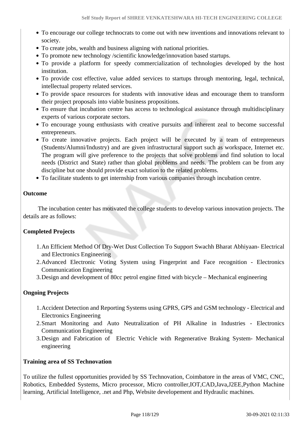- To encourage our college technocrats to come out with new inventions and innovations relevant to society.
- To create jobs, wealth and business aligning with national priorities.
- To promote new technology /scientific knowledge/innovation based startups.
- To provide a platform for speedy commercialization of technologies developed by the host institution.
- To provide cost effective, value added services to startups through mentoring, legal, technical, intellectual property related services.
- To provide space resources for students with innovative ideas and encourage them to transform their project proposals into viable business propositions.
- To ensure that incubation centre has access to technological assistance through multidisciplinary experts of various corporate sectors.
- To encourage young enthusiasts with creative pursuits and inherent zeal to become successful entrepreneurs.
- To create innovative projects. Each project will be executed by a team of entrepreneurs (Students/Alumni/Industry) and are given infrastructural support such as workspace, Internet etc. The program will give preference to the projects that solve problems and find solution to local needs (District and State) rather than global problems and needs. The problem can be from any discipline but one should provide exact solution to the related problems.
- To facilitate students to get internship from various companies through incubation centre.

#### **Outcome**

 The incubation center has motivated the college students to develop various innovation projects. The details are as follows:

# **Completed Projects**

- 1.An Efficient Method Of Dry-Wet Dust Collection To Support Swachh Bharat Abhiyaan- Electrical and Electronics Engineering
- 2.Advanced Electronic Voting System using Fingerprint and Face recognition Electronics Communication Engineering
- 3.Design and development of 80cc petrol engine fitted with bicycle Mechanical engineering

# **Ongoing Projects**

- 1.Accident Detection and Reporting Systems using GPRS, GPS and GSM technology Electrical and Electronics Engineering
- 2.Smart Monitoring and Auto Neutralization of PH Alkaline in Industries Electronics Communication Engineering
- 3.Design and Fabrication of Electric Vehicle with Regenerative Braking System- Mechanical engineering

#### **Training area of SS Technovation**

To utilize the fullest opportunities provided by SS Technovation, Coimbatore in the areas of VMC, CNC, Robotics, Embedded Systems, Micro processor, Micro controller,IOT,CAD,Java,J2EE,Python Machine learning, Artificial Intelligence, .net and Php, Website developement and Hydraulic machines.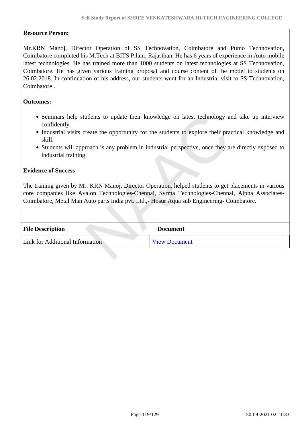#### **Resource Person:**

Mr.KRN Manoj, Director Operation of SS Technovation, Coimbatore and Pumo Technovation, Coimbatore completed his M.Tech at BITS Pilani, Rajasthan. He has 6 years of experience in Auto mobile latest technologies. He has trained more than 1000 students on latest technologies at SS Technovation, Coimbatore. He has given various training proposal and course content of the model to students on 26.02.2018. In continuation of his address, our students went for an Industrial visit to SS Technovation, Coimbatore .

#### **Outcomes:**

- Seminars help students to update their knowledge on latest technology and take up interview confidently.
- Industrial visits create the opportunity for the students to explore their practical knowledge and skill.
- Students will approach is any problem in industrial perspective, once they are directly exposed to industrial training.

#### **Evidence of Success**

The training given by Mr. KRN Manoj, Director Operation, helped students to get placements in various core companies like Avalon Technologies-Chennai, Syrma Technologies-Chennai, Alpha Associates-Coimbatore, Metal Man Auto parts India pvt. Ltd.,- Hosur Aqua sub Engineering- Coimbatore.

| <b>File Description</b>         | <b>Document</b> |
|---------------------------------|-----------------|
| Link for Additional Information | View Document   |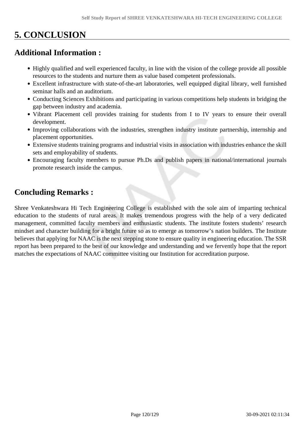# **5. CONCLUSION**

# **Additional Information :**

- Highly qualified and well experienced faculty, in line with the vision of the college provide all possible resources to the students and nurture them as value based competent professionals.
- Excellent infrastructure with state-of-the-art laboratories, well equipped digital library, well furnished seminar halls and an auditorium.
- Conducting Sciences Exhibitions and participating in various competitions help students in bridging the gap between industry and academia.
- Vibrant Placement cell provides training for students from I to IV years to ensure their overall development.
- Improving collaborations with the industries, strengthen industry institute partnership, internship and placement opportunities.
- Extensive students training programs and industrial visits in association with industries enhance the skill sets and employability of students.
- Encouraging faculty members to pursue Ph.Ds and publish papers in national/international journals promote research inside the campus.

# **Concluding Remarks :**

Shree Venkateshwara Hi Tech Engineering College is established with the sole aim of imparting technical education to the students of rural areas. It makes tremendous progress with the help of a very dedicated management, committed faculty members and enthusiastic students. The institute fosters students' research mindset and character building for a bright future so as to emerge as tomorrow's nation builders. The Institute believes that applying for NAAC is the next stepping stone to ensure quality in engineering education. The SSR report has been prepared to the best of our knowledge and understanding and we fervently hope that the report matches the expectations of NAAC committee visiting our Institution for accreditation purpose.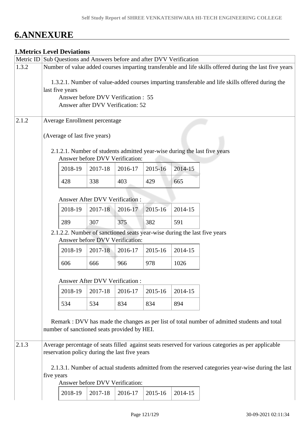# **6.ANNEXURE**

|       |                                                                                                                     | <b>1. Metrics Level Deviations</b> |                                               |         |         |         |                                                                                                    |  |  |
|-------|---------------------------------------------------------------------------------------------------------------------|------------------------------------|-----------------------------------------------|---------|---------|---------|----------------------------------------------------------------------------------------------------|--|--|
|       | Metric ID Sub Questions and Answers before and after DVV Verification                                               |                                    |                                               |         |         |         |                                                                                                    |  |  |
| 1.3.2 | Number of value added courses imparting transferable and life skills offered during the last five years             |                                    |                                               |         |         |         |                                                                                                    |  |  |
|       | 1.3.2.1. Number of value-added courses imparting transferable and life skills offered during the<br>last five years |                                    |                                               |         |         |         |                                                                                                    |  |  |
|       | Answer before DVV Verification : 55                                                                                 |                                    |                                               |         |         |         |                                                                                                    |  |  |
|       |                                                                                                                     |                                    | Answer after DVV Verification: 52             |         |         |         |                                                                                                    |  |  |
| 2.1.2 | Average Enrollment percentage                                                                                       |                                    |                                               |         |         |         |                                                                                                    |  |  |
|       |                                                                                                                     | (Average of last five years)       |                                               |         |         |         |                                                                                                    |  |  |
|       |                                                                                                                     |                                    | Answer before DVV Verification:               |         |         |         | 2.1.2.1. Number of students admitted year-wise during the last five years                          |  |  |
|       |                                                                                                                     | 2018-19                            | 2017-18                                       | 2016-17 | 2015-16 | 2014-15 |                                                                                                    |  |  |
|       |                                                                                                                     | 428                                | 338                                           | 403     | 429     | 665     |                                                                                                    |  |  |
|       |                                                                                                                     |                                    | Answer After DVV Verification :               |         |         |         |                                                                                                    |  |  |
|       |                                                                                                                     | 2018-19                            | 2017-18                                       | 2016-17 | 2015-16 | 2014-15 |                                                                                                    |  |  |
|       |                                                                                                                     | 289                                | 307                                           | 375     | 382     | 591     |                                                                                                    |  |  |
|       | 2.1.2.2. Number of sanctioned seats year-wise during the last five years<br>Answer before DVV Verification:         |                                    |                                               |         |         |         |                                                                                                    |  |  |
|       |                                                                                                                     | 2018-19                            | 2017-18                                       | 2016-17 | 2015-16 | 2014-15 |                                                                                                    |  |  |
|       |                                                                                                                     | 606                                | 666                                           | 966     | 978     | 1026    |                                                                                                    |  |  |
|       | Answer After DVV Verification:                                                                                      |                                    |                                               |         |         |         |                                                                                                    |  |  |
|       |                                                                                                                     | 2018-19                            | 2017-18                                       | 2016-17 | 2015-16 | 2014-15 |                                                                                                    |  |  |
|       | 534<br>534<br>834<br>834<br>894                                                                                     |                                    |                                               |         |         |         |                                                                                                    |  |  |
|       |                                                                                                                     |                                    | number of sanctioned seats provided by HEI.   |         |         |         | Remark : DVV has made the changes as per list of total number of admitted students and total       |  |  |
|       |                                                                                                                     |                                    |                                               |         |         |         |                                                                                                    |  |  |
| 2.1.3 |                                                                                                                     |                                    | reservation policy during the last five years |         |         |         | Average percentage of seats filled against seats reserved for various categories as per applicable |  |  |
|       | five years                                                                                                          |                                    |                                               |         |         |         | 2.1.3.1. Number of actual students admitted from the reserved categories year-wise during the last |  |  |
|       |                                                                                                                     |                                    | Answer before DVV Verification:               |         |         |         |                                                                                                    |  |  |
|       |                                                                                                                     | 2018-19                            | 2017-18                                       | 2016-17 | 2015-16 | 2014-15 |                                                                                                    |  |  |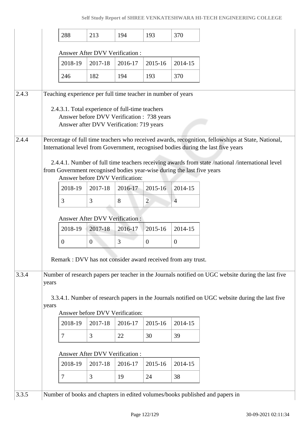|       |       | 288                                                          | 213                                                                                    | 194     | 193            | 370                                                                    |                                                                                                                                                                                         |  |
|-------|-------|--------------------------------------------------------------|----------------------------------------------------------------------------------------|---------|----------------|------------------------------------------------------------------------|-----------------------------------------------------------------------------------------------------------------------------------------------------------------------------------------|--|
|       |       |                                                              | Answer After DVV Verification :                                                        |         |                |                                                                        |                                                                                                                                                                                         |  |
|       |       | 2018-19                                                      | 2017-18                                                                                | 2016-17 | 2015-16        | 2014-15                                                                |                                                                                                                                                                                         |  |
|       |       | 246                                                          | 182                                                                                    | 194     | 193            | 370                                                                    |                                                                                                                                                                                         |  |
| 2.4.3 |       | Teaching experience per full time teacher in number of years |                                                                                        |         |                |                                                                        |                                                                                                                                                                                         |  |
|       |       | 2.4.3.1. Total experience of full-time teachers              | Answer before DVV Verification : 738 years<br>Answer after DVV Verification: 719 years |         |                |                                                                        |                                                                                                                                                                                         |  |
| 2.4.4 |       |                                                              |                                                                                        |         |                |                                                                        | Percentage of full time teachers who received awards, recognition, fellowships at State, National,<br>International level from Government, recognised bodies during the last five years |  |
|       |       |                                                              | Answer before DVV Verification:                                                        |         |                | from Government recognised bodies year-wise during the last five years | 2.4.4.1. Number of full time teachers receiving awards from state /national /international level                                                                                        |  |
|       |       | 2018-19                                                      | 2017-18                                                                                | 2016-17 | 2015-16        | 2014-15                                                                |                                                                                                                                                                                         |  |
|       |       | 3                                                            | 3                                                                                      | 8       | $\overline{2}$ | $\overline{4}$                                                         |                                                                                                                                                                                         |  |
|       |       |                                                              | <b>Answer After DVV Verification:</b>                                                  |         |                |                                                                        |                                                                                                                                                                                         |  |
|       |       | 2018-19                                                      | 2017-18                                                                                | 2016-17 | 2015-16        | 2014-15                                                                |                                                                                                                                                                                         |  |
|       |       | $\overline{0}$                                               | $\mathbf{0}$                                                                           | 3       | $\overline{0}$ | $\theta$                                                               |                                                                                                                                                                                         |  |
|       |       |                                                              |                                                                                        |         |                | Remark : DVV has not consider award received from any trust.           |                                                                                                                                                                                         |  |
| 3.3.4 | years |                                                              |                                                                                        |         |                |                                                                        | Number of research papers per teacher in the Journals notified on UGC website during the last five                                                                                      |  |
|       | years |                                                              |                                                                                        |         |                |                                                                        | 3.3.4.1. Number of research papers in the Journals notified on UGC website during the last five                                                                                         |  |
|       |       | 2018-19                                                      | Answer before DVV Verification:<br>2017-18                                             | 2016-17 | 2015-16        | 2014-15                                                                |                                                                                                                                                                                         |  |
|       |       | 7                                                            | 3                                                                                      | 22      | 30             | 39                                                                     |                                                                                                                                                                                         |  |
|       |       |                                                              |                                                                                        |         |                |                                                                        |                                                                                                                                                                                         |  |
|       |       | 2018-19                                                      | Answer After DVV Verification :<br>2017-18                                             | 2016-17 | 2015-16        | 2014-15                                                                |                                                                                                                                                                                         |  |
|       |       | 7                                                            | 3                                                                                      | 19      | 24             | 38                                                                     |                                                                                                                                                                                         |  |
|       |       |                                                              |                                                                                        |         |                |                                                                        |                                                                                                                                                                                         |  |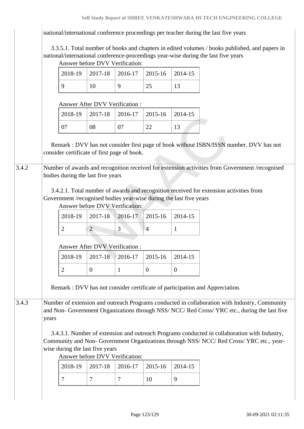national/international conference proceedings per teacher during the last five years

 3.3.5.1. Total number of books and chapters in edited volumes / books published, and papers in national/international conference-proceedings year-wise during the last five years

|       |       |                                                                                                                                                                                                |                                                  | Answer before DVV Verification: |                  |                |                                                                                                                                                                                          |  |  |  |
|-------|-------|------------------------------------------------------------------------------------------------------------------------------------------------------------------------------------------------|--------------------------------------------------|---------------------------------|------------------|----------------|------------------------------------------------------------------------------------------------------------------------------------------------------------------------------------------|--|--|--|
|       |       | 2018-19                                                                                                                                                                                        | 2017-18                                          | 2016-17                         | 2015-16          | 2014-15        |                                                                                                                                                                                          |  |  |  |
|       |       | 9                                                                                                                                                                                              | 10                                               | 9                               | 25               | 13             |                                                                                                                                                                                          |  |  |  |
|       |       |                                                                                                                                                                                                |                                                  |                                 |                  |                |                                                                                                                                                                                          |  |  |  |
|       |       | 2018-19                                                                                                                                                                                        | <b>Answer After DVV Verification:</b><br>2017-18 | 2016-17                         | 2015-16          | 2014-15        |                                                                                                                                                                                          |  |  |  |
|       |       |                                                                                                                                                                                                |                                                  |                                 |                  |                |                                                                                                                                                                                          |  |  |  |
|       |       | 07                                                                                                                                                                                             | 08                                               | 07                              | 22               | 13             |                                                                                                                                                                                          |  |  |  |
|       |       | consider certificate of first page of book.                                                                                                                                                    |                                                  |                                 |                  |                | Remark : DVV has not consider first page of book without ISBN/ISSN number. DVV has not                                                                                                   |  |  |  |
| 3.4.2 |       |                                                                                                                                                                                                |                                                  |                                 |                  |                | Number of awards and recognition received for extension activities from Government /recognised                                                                                           |  |  |  |
|       |       | bodies during the last five years                                                                                                                                                              |                                                  |                                 |                  |                |                                                                                                                                                                                          |  |  |  |
|       |       | Government /recognised bodies year-wise during the last five years                                                                                                                             |                                                  |                                 |                  |                | 3.4.2.1. Total number of awards and recognition received for extension activities from                                                                                                   |  |  |  |
|       |       |                                                                                                                                                                                                |                                                  | Answer before DVV Verification: |                  |                |                                                                                                                                                                                          |  |  |  |
|       |       | 2018-19                                                                                                                                                                                        | 2017-18                                          | 2016-17                         | 2015-16          | 2014-15        |                                                                                                                                                                                          |  |  |  |
|       |       | $\overline{2}$                                                                                                                                                                                 | $\overline{2}$                                   | 3                               | $\overline{4}$   | 1              |                                                                                                                                                                                          |  |  |  |
|       |       | Answer After DVV Verification :                                                                                                                                                                |                                                  |                                 |                  |                |                                                                                                                                                                                          |  |  |  |
|       |       | 2018-19                                                                                                                                                                                        | 2017-18                                          | 2016-17                         | 2015-16          | 2014-15        |                                                                                                                                                                                          |  |  |  |
|       |       | $\overline{2}$                                                                                                                                                                                 | $\boldsymbol{0}$                                 | $\mathbf{1}$                    | $\boldsymbol{0}$ | $\overline{0}$ |                                                                                                                                                                                          |  |  |  |
|       |       |                                                                                                                                                                                                |                                                  |                                 |                  |                | Remark : DVV has not consider certificate of participation and Appreciation.                                                                                                             |  |  |  |
| 3.4.3 | years | Number of extension and outreach Programs conducted in collaboration with Industry, Community<br>and Non- Government Organizations through NSS/ NCC/ Red Cross/ YRC etc., during the last five |                                                  |                                 |                  |                |                                                                                                                                                                                          |  |  |  |
|       |       | wise during the last five years                                                                                                                                                                |                                                  | Answer before DVV Verification: |                  |                | 3.4.3.1. Number of extension and outreach Programs conducted in collaboration with Industry,<br>Community and Non- Government Organizations through NSS/ NCC/ Red Cross/ YRC etc., year- |  |  |  |
|       |       | 2018-19                                                                                                                                                                                        | 2017-18                                          | 2016-17                         | 2015-16          | 2014-15        |                                                                                                                                                                                          |  |  |  |
|       |       | 7                                                                                                                                                                                              | $\overline{7}$                                   | 7                               | 10               | 9              |                                                                                                                                                                                          |  |  |  |
|       |       |                                                                                                                                                                                                |                                                  |                                 |                  |                |                                                                                                                                                                                          |  |  |  |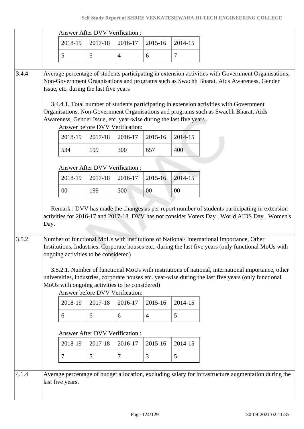|       | <b>Answer After DVV Verification:</b>                                                                                                                                                                                                                                                                                                                                                                                                                                                                                                |                                                                                                   |                                            |                |                |         |                                                                                                                                                                                                                                                                                                   |  |  |  |
|-------|--------------------------------------------------------------------------------------------------------------------------------------------------------------------------------------------------------------------------------------------------------------------------------------------------------------------------------------------------------------------------------------------------------------------------------------------------------------------------------------------------------------------------------------|---------------------------------------------------------------------------------------------------|--------------------------------------------|----------------|----------------|---------|---------------------------------------------------------------------------------------------------------------------------------------------------------------------------------------------------------------------------------------------------------------------------------------------------|--|--|--|
|       |                                                                                                                                                                                                                                                                                                                                                                                                                                                                                                                                      | 2018-19                                                                                           | 2017-18                                    | 2016-17        | 2015-16        | 2014-15 |                                                                                                                                                                                                                                                                                                   |  |  |  |
|       |                                                                                                                                                                                                                                                                                                                                                                                                                                                                                                                                      | 5                                                                                                 | 6                                          | $\overline{4}$ | 6              | 7       |                                                                                                                                                                                                                                                                                                   |  |  |  |
|       |                                                                                                                                                                                                                                                                                                                                                                                                                                                                                                                                      |                                                                                                   |                                            |                |                |         |                                                                                                                                                                                                                                                                                                   |  |  |  |
| 3.4.4 | Average percentage of students participating in extension activities with Government Organisations,<br>Non-Government Organisations and programs such as Swachh Bharat, Aids Awareness, Gender<br>Issue, etc. during the last five years<br>3.4.4.1. Total number of students participating in extension activities with Government<br>Organisations, Non-Government Organisations and programs such as Swachh Bharat, Aids<br>Awareness, Gender Issue, etc. year-wise during the last five years<br>Answer before DVV Verification: |                                                                                                   |                                            |                |                |         |                                                                                                                                                                                                                                                                                                   |  |  |  |
|       |                                                                                                                                                                                                                                                                                                                                                                                                                                                                                                                                      | 2018-19                                                                                           | 2017-18                                    | 2016-17        | 2015-16        | 2014-15 |                                                                                                                                                                                                                                                                                                   |  |  |  |
|       |                                                                                                                                                                                                                                                                                                                                                                                                                                                                                                                                      | 534                                                                                               | 199                                        | 300            | 657            | 400     |                                                                                                                                                                                                                                                                                                   |  |  |  |
|       |                                                                                                                                                                                                                                                                                                                                                                                                                                                                                                                                      |                                                                                                   | <b>Answer After DVV Verification:</b>      |                |                |         |                                                                                                                                                                                                                                                                                                   |  |  |  |
|       |                                                                                                                                                                                                                                                                                                                                                                                                                                                                                                                                      | 2018-19                                                                                           | 2017-18                                    | 2016-17        | 2015-16        | 2014-15 |                                                                                                                                                                                                                                                                                                   |  |  |  |
|       |                                                                                                                                                                                                                                                                                                                                                                                                                                                                                                                                      | 00                                                                                                | 199                                        | 300            | 00             | 00      |                                                                                                                                                                                                                                                                                                   |  |  |  |
| 3.5.2 | Day.                                                                                                                                                                                                                                                                                                                                                                                                                                                                                                                                 |                                                                                                   |                                            |                |                |         | activities for 2016-17 and 2017-18. DVV has not consider Voters Day, World AIDS Day, Women's<br>Number of functional MoUs with institutions of National/International importance, Other<br>Institutions, Industries, Corporate houses etc., during the last five years (only functional MoUs with |  |  |  |
|       |                                                                                                                                                                                                                                                                                                                                                                                                                                                                                                                                      | ongoing activities to be considered)<br>MoUs with ongoing activities to be considered)<br>2018-19 | Answer before DVV Verification:<br>2017-18 | 2016-17        | 2015-16        | 2014-15 | 3.5.2.1. Number of functional MoUs with institutions of national, international importance, other<br>universities, industries, corporate houses etc. year-wise during the last five years (only functional                                                                                        |  |  |  |
|       |                                                                                                                                                                                                                                                                                                                                                                                                                                                                                                                                      | 6                                                                                                 | 6                                          | 6              | $\overline{4}$ | 5       |                                                                                                                                                                                                                                                                                                   |  |  |  |
|       |                                                                                                                                                                                                                                                                                                                                                                                                                                                                                                                                      |                                                                                                   |                                            |                |                |         |                                                                                                                                                                                                                                                                                                   |  |  |  |
|       | Answer After DVV Verification:                                                                                                                                                                                                                                                                                                                                                                                                                                                                                                       |                                                                                                   |                                            |                |                |         |                                                                                                                                                                                                                                                                                                   |  |  |  |
|       |                                                                                                                                                                                                                                                                                                                                                                                                                                                                                                                                      | 2018-19                                                                                           | 2017-18                                    | 2016-17        | 2015-16        | 2014-15 |                                                                                                                                                                                                                                                                                                   |  |  |  |
|       |                                                                                                                                                                                                                                                                                                                                                                                                                                                                                                                                      | 7                                                                                                 | 5                                          | $\overline{7}$ | 3              | 5       |                                                                                                                                                                                                                                                                                                   |  |  |  |
| 4.1.4 |                                                                                                                                                                                                                                                                                                                                                                                                                                                                                                                                      |                                                                                                   |                                            |                |                |         | Average percentage of budget allocation, excluding salary for infrastructure augmentation during the                                                                                                                                                                                              |  |  |  |
|       |                                                                                                                                                                                                                                                                                                                                                                                                                                                                                                                                      | last five years.                                                                                  |                                            |                |                |         |                                                                                                                                                                                                                                                                                                   |  |  |  |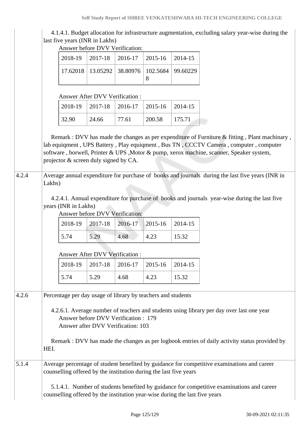|       |                                                                                                                                                                                                                                                                                                                                                 | last five years (INR in Lakhs)                                                                                                                   |          | Answer before DVV Verification: |               |          | 4.1.4.1. Budget allocation for infrastructure augmentation, excluding salary year-wise during the                                                                                                                                                                                                                                                                                    |  |  |  |  |
|-------|-------------------------------------------------------------------------------------------------------------------------------------------------------------------------------------------------------------------------------------------------------------------------------------------------------------------------------------------------|--------------------------------------------------------------------------------------------------------------------------------------------------|----------|---------------------------------|---------------|----------|--------------------------------------------------------------------------------------------------------------------------------------------------------------------------------------------------------------------------------------------------------------------------------------------------------------------------------------------------------------------------------------|--|--|--|--|
|       |                                                                                                                                                                                                                                                                                                                                                 | 2018-19                                                                                                                                          | 2017-18  | 2016-17                         | 2015-16       | 2014-15  |                                                                                                                                                                                                                                                                                                                                                                                      |  |  |  |  |
|       |                                                                                                                                                                                                                                                                                                                                                 | 17.62018                                                                                                                                         | 13.05292 | 38.80976                        | 102.5684<br>8 | 99.60229 |                                                                                                                                                                                                                                                                                                                                                                                      |  |  |  |  |
|       |                                                                                                                                                                                                                                                                                                                                                 | Answer After DVV Verification:                                                                                                                   |          |                                 |               |          |                                                                                                                                                                                                                                                                                                                                                                                      |  |  |  |  |
|       |                                                                                                                                                                                                                                                                                                                                                 | 2018-19                                                                                                                                          | 2017-18  | 2016-17                         | 2015-16       | 2014-15  |                                                                                                                                                                                                                                                                                                                                                                                      |  |  |  |  |
|       |                                                                                                                                                                                                                                                                                                                                                 | 32.90                                                                                                                                            | 24.66    | 77.61                           | 200.58        | 175.71   |                                                                                                                                                                                                                                                                                                                                                                                      |  |  |  |  |
| 4.2.4 |                                                                                                                                                                                                                                                                                                                                                 | projector & screen duly signed by CA.                                                                                                            |          |                                 |               |          | Remark : DVV has made the changes as per expenditure of Furniture & fitting, Plant machinary,<br>lab equiqment, UPS Battery, Play equiqment, Bus TN, CCCTV Camera, computer, computer<br>software, borwell, Printer & UPS, Motor & pump, xerox machine, scanner, Speaker system,<br>Average annual expenditure for purchase of books and journals during the last five years (INR in |  |  |  |  |
|       | Lakhs)<br>4.2.4.1. Annual expenditure for purchase of books and journals year-wise during the last five<br>years (INR in Lakhs)<br>Answer before DVV Verification:                                                                                                                                                                              |                                                                                                                                                  |          |                                 |               |          |                                                                                                                                                                                                                                                                                                                                                                                      |  |  |  |  |
|       |                                                                                                                                                                                                                                                                                                                                                 | 2018-19                                                                                                                                          | 2017-18  | 2016-17                         | 2015-16       | 2014-15  |                                                                                                                                                                                                                                                                                                                                                                                      |  |  |  |  |
|       |                                                                                                                                                                                                                                                                                                                                                 | 5.74                                                                                                                                             | 5.29     | 4.68                            | 4.23          | 15.32    |                                                                                                                                                                                                                                                                                                                                                                                      |  |  |  |  |
|       |                                                                                                                                                                                                                                                                                                                                                 | Answer After DVV Verification:                                                                                                                   |          |                                 |               |          |                                                                                                                                                                                                                                                                                                                                                                                      |  |  |  |  |
|       |                                                                                                                                                                                                                                                                                                                                                 | 2018-19                                                                                                                                          | 2017-18  | 2016-17                         | 2015-16       | 2014-15  |                                                                                                                                                                                                                                                                                                                                                                                      |  |  |  |  |
|       |                                                                                                                                                                                                                                                                                                                                                 | 5.74                                                                                                                                             | 5.29     | 4.68                            | 4.23          | 15.32    |                                                                                                                                                                                                                                                                                                                                                                                      |  |  |  |  |
| 4.2.6 | Percentage per day usage of library by teachers and students<br>4.2.6.1. Average number of teachers and students using library per day over last one year<br>Answer before DVV Verification: 179<br>Answer after DVV Verification: 103<br>Remark : DVV has made the changes as per logbook entries of daily activity status provided by<br>HEI. |                                                                                                                                                  |          |                                 |               |          |                                                                                                                                                                                                                                                                                                                                                                                      |  |  |  |  |
| 5.1.4 |                                                                                                                                                                                                                                                                                                                                                 | counselling offered by the institution during the last five years<br>counselling offered by the institution year-wise during the last five years |          |                                 |               |          | Average percentage of student benefited by guidance for competitive examinations and career<br>5.1.4.1. Number of students benefited by guidance for competitive examinations and career                                                                                                                                                                                             |  |  |  |  |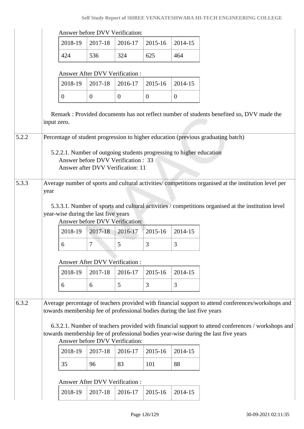#### **Self Study Report of SHREE VENKATESHWARA HI-TECH ENGINEERING COLLEGE**

|       |                |         | Answer before DVV Verification:                                                                                                                                                                                            |                |              |              |
|-------|----------------|---------|----------------------------------------------------------------------------------------------------------------------------------------------------------------------------------------------------------------------------|----------------|--------------|--------------|
|       |                | 2018-19 | 2017-18                                                                                                                                                                                                                    | 2016-17        | 2015-16      | 2014-15      |
|       |                | 424     | 536                                                                                                                                                                                                                        | 324            | 625          | 464          |
|       |                |         | Answer After DVV Verification:                                                                                                                                                                                             |                |              |              |
|       |                | 2018-19 | 2017-18                                                                                                                                                                                                                    | 2016-17        | 2015-16      | 2014-15      |
|       | $\overline{0}$ |         | $\overline{0}$                                                                                                                                                                                                             | $\overline{0}$ | $\mathbf{0}$ | $\mathbf{0}$ |
|       | input zero.    |         | Remark: Provided documents has not reflect number of students benefited so, DVV made the                                                                                                                                   |                |              |              |
| 5.2.2 |                |         | Percentage of student progression to higher education (previous graduating batch)                                                                                                                                          |                |              |              |
|       |                |         | 5.2.2.1. Number of outgoing students progressing to higher education<br>Answer before DVV Verification: 33<br>Answer after DVV Verification: 11                                                                            |                |              |              |
| 5.3.3 | year           |         | Average number of sports and cultural activities/ competitions organised at the institution level per                                                                                                                      |                |              |              |
|       |                |         |                                                                                                                                                                                                                            |                |              |              |
|       |                | 2018-19 | year-wise during the last five years<br>Answer before DVV Verification:<br>2017-18                                                                                                                                         | 2016-17        | 2015-16      | 2014-15      |
|       | 6              |         | $\tau$                                                                                                                                                                                                                     | 5              | 3            | 3            |
|       |                |         | <b>Answer After DVV Verification:</b>                                                                                                                                                                                      |                |              |              |
|       |                | 2018-19 | 2017-18                                                                                                                                                                                                                    | 2016-17        | 2015-16      | 2014-15      |
|       | 6              |         | 6                                                                                                                                                                                                                          | 5              | 3            | 3            |
|       |                |         |                                                                                                                                                                                                                            |                |              |              |
|       |                |         | Average percentage of teachers provided with financial support to attend conferences/workshops and<br>towards membership fee of professional bodies during the last five years                                             |                |              |              |
| 6.3.2 |                |         | 6.3.2.1. Number of teachers provided with financial support to attend conferences / workshops and<br>towards membership fee of professional bodies year-wise during the last five years<br>Answer before DVV Verification: |                |              |              |
|       |                | 2018-19 | 2017-18                                                                                                                                                                                                                    | 2016-17        | 2015-16      | 2014-15      |
|       |                | 35      | 96                                                                                                                                                                                                                         | 83             | 101          | 88           |
|       |                |         | Answer After DVV Verification:                                                                                                                                                                                             |                |              |              |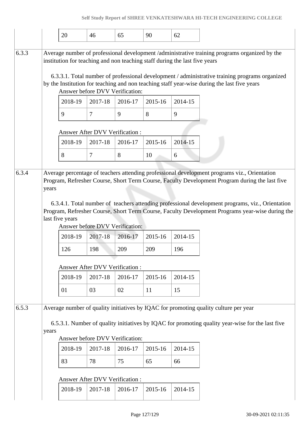|       |                                | 20                                    | 46                                                | 65             | 90             | 62                                                                         |                                                                                                                                                                                                                                                                                                |  |  |  |  |  |
|-------|--------------------------------|---------------------------------------|---------------------------------------------------|----------------|----------------|----------------------------------------------------------------------------|------------------------------------------------------------------------------------------------------------------------------------------------------------------------------------------------------------------------------------------------------------------------------------------------|--|--|--|--|--|
| 6.3.3 |                                |                                       | Answer before DVV Verification:                   |                |                | institution for teaching and non teaching staff during the last five years | Average number of professional development /administrative training programs organized by the<br>6.3.3.1. Total number of professional development / administrative training programs organized<br>by the Institution for teaching and non teaching staff year-wise during the last five years |  |  |  |  |  |
|       |                                | 2018-19                               | 2017-18                                           | 2016-17        | 2015-16        | 2014-15                                                                    |                                                                                                                                                                                                                                                                                                |  |  |  |  |  |
|       |                                | 9                                     | $7\phantom{.0}$                                   | 9              | 8              | 9                                                                          |                                                                                                                                                                                                                                                                                                |  |  |  |  |  |
|       |                                | <b>Answer After DVV Verification:</b> |                                                   |                |                |                                                                            |                                                                                                                                                                                                                                                                                                |  |  |  |  |  |
|       |                                | 2018-19                               | 2017-18                                           | 2016-17        | 2015-16        | 2014-15                                                                    |                                                                                                                                                                                                                                                                                                |  |  |  |  |  |
|       |                                | 8                                     | 7                                                 | 8              | 10             | 6                                                                          |                                                                                                                                                                                                                                                                                                |  |  |  |  |  |
|       |                                | last five years<br>2018-19<br>126     | Answer before DVV Verification:<br>2017-18<br>198 | 2016-17<br>209 | 2015-16<br>209 | 2014-15<br>196                                                             | 6.3.4.1. Total number of teachers attending professional development programs, viz., Orientation<br>Program, Refresher Course, Short Term Course, Faculty Development Programs year-wise during the                                                                                            |  |  |  |  |  |
|       | Answer After DVV Verification: |                                       |                                                   |                |                |                                                                            |                                                                                                                                                                                                                                                                                                |  |  |  |  |  |
|       |                                | 2018-19                               | 2017-18                                           | 2016-17        | 2015-16        | 2014-15                                                                    |                                                                                                                                                                                                                                                                                                |  |  |  |  |  |
|       |                                | 01                                    | 03                                                | 02             | 11             | 15                                                                         |                                                                                                                                                                                                                                                                                                |  |  |  |  |  |
| 6.5.3 | years                          |                                       | Answer before DVV Verification:                   |                |                |                                                                            | Average number of quality initiatives by IQAC for promoting quality culture per year<br>6.5.3.1. Number of quality initiatives by IQAC for promoting quality year-wise for the last five                                                                                                       |  |  |  |  |  |
|       |                                | 2018-19                               | 2017-18                                           | 2016-17        | 2015-16        | 2014-15                                                                    |                                                                                                                                                                                                                                                                                                |  |  |  |  |  |
|       |                                | 83                                    | 78                                                | 75             | 65             | 66                                                                         |                                                                                                                                                                                                                                                                                                |  |  |  |  |  |
|       |                                |                                       | <b>Answer After DVV Verification:</b>             |                |                |                                                                            |                                                                                                                                                                                                                                                                                                |  |  |  |  |  |
|       |                                | 2018-19                               | 2017-18                                           | 2016-17        | 2015-16        | 2014-15                                                                    |                                                                                                                                                                                                                                                                                                |  |  |  |  |  |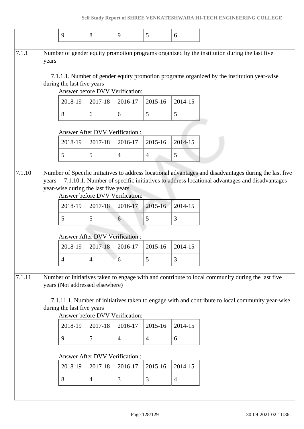|        |                                                                                                                                                                                                                                                                                                           | 9       | 8                                                                       | 9              | 5              | 6              |                                                                                                                                                                                                       |  |  |  |  |
|--------|-----------------------------------------------------------------------------------------------------------------------------------------------------------------------------------------------------------------------------------------------------------------------------------------------------------|---------|-------------------------------------------------------------------------|----------------|----------------|----------------|-------------------------------------------------------------------------------------------------------------------------------------------------------------------------------------------------------|--|--|--|--|
| 7.1.1  | Number of gender equity promotion programs organized by the institution during the last five<br>years<br>7.1.1.1. Number of gender equity promotion programs organized by the institution year-wise<br>during the last five years<br>Answer before DVV Verification:                                      |         |                                                                         |                |                |                |                                                                                                                                                                                                       |  |  |  |  |
|        |                                                                                                                                                                                                                                                                                                           |         |                                                                         |                |                |                |                                                                                                                                                                                                       |  |  |  |  |
|        |                                                                                                                                                                                                                                                                                                           | 2018-19 | 2017-18                                                                 | 2016-17        | 2015-16        | 2014-15        |                                                                                                                                                                                                       |  |  |  |  |
|        |                                                                                                                                                                                                                                                                                                           | 8       | 6                                                                       | 6              | 5              | 5              |                                                                                                                                                                                                       |  |  |  |  |
|        | Answer After DVV Verification:                                                                                                                                                                                                                                                                            |         |                                                                         |                |                |                |                                                                                                                                                                                                       |  |  |  |  |
|        |                                                                                                                                                                                                                                                                                                           | 2018-19 | 2017-18                                                                 | 2016-17        | 2015-16        | 2014-15        |                                                                                                                                                                                                       |  |  |  |  |
|        |                                                                                                                                                                                                                                                                                                           | 5       | 5                                                                       | $\overline{4}$ | $\overline{4}$ | 5              |                                                                                                                                                                                                       |  |  |  |  |
|        | years                                                                                                                                                                                                                                                                                                     |         | year-wise during the last five years<br>Answer before DVV Verification: |                |                |                | Number of Specific initiatives to address locational advantages and disadvantages during the last five<br>7.1.10.1. Number of specific initiatives to address locational advantages and disadvantages |  |  |  |  |
|        |                                                                                                                                                                                                                                                                                                           | 2018-19 | 2017-18                                                                 | 2016-17        | 2015-16        | 2014-15        |                                                                                                                                                                                                       |  |  |  |  |
|        |                                                                                                                                                                                                                                                                                                           | 5       | 5                                                                       | 6              | 5              | 3              |                                                                                                                                                                                                       |  |  |  |  |
|        |                                                                                                                                                                                                                                                                                                           |         | Answer After DVV Verification :                                         |                |                |                |                                                                                                                                                                                                       |  |  |  |  |
|        |                                                                                                                                                                                                                                                                                                           | 2018-19 | 2017-18                                                                 | 2016-17        | 2015-16        | 2014-15        |                                                                                                                                                                                                       |  |  |  |  |
|        |                                                                                                                                                                                                                                                                                                           | 4       | $\overline{4}$                                                          | 6              | 5              | 3              |                                                                                                                                                                                                       |  |  |  |  |
| 7.1.11 | Number of initiatives taken to engage with and contribute to local community during the last five<br>years (Not addressed elsewhere)<br>7.1.11.1. Number of initiatives taken to engage with and contribute to local community year-wise<br>during the last five years<br>Answer before DVV Verification: |         |                                                                         |                |                |                |                                                                                                                                                                                                       |  |  |  |  |
|        |                                                                                                                                                                                                                                                                                                           | 2018-19 | 2017-18                                                                 | 2016-17        | 2015-16        | 2014-15        |                                                                                                                                                                                                       |  |  |  |  |
|        |                                                                                                                                                                                                                                                                                                           | 9       | 5                                                                       | $\overline{4}$ | $\overline{4}$ | 6              |                                                                                                                                                                                                       |  |  |  |  |
|        |                                                                                                                                                                                                                                                                                                           |         | Answer After DVV Verification:                                          |                |                |                |                                                                                                                                                                                                       |  |  |  |  |
|        |                                                                                                                                                                                                                                                                                                           | 2018-19 | 2017-18                                                                 | 2016-17        | 2015-16        | 2014-15        |                                                                                                                                                                                                       |  |  |  |  |
|        |                                                                                                                                                                                                                                                                                                           | 8       | $\overline{4}$                                                          | 3              | 3              | $\overline{4}$ |                                                                                                                                                                                                       |  |  |  |  |
|        |                                                                                                                                                                                                                                                                                                           |         |                                                                         |                |                |                |                                                                                                                                                                                                       |  |  |  |  |